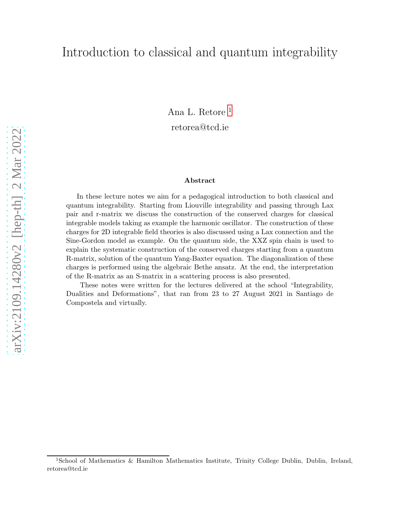# Introduction to classical and quantum integrability

Ana L. Retore [1](#page-0-0) retorea@tcd.ie

#### Abstract

In these lecture notes we aim for a pedagogical introduction to both classical and quantum integrability. Starting from Liouville integrability and passing through Lax pair and r-matrix we discuss the construction of the conserved charges for classical integrable models taking as example the harmonic oscillator. The construction of these charges for 2D integrable field theories is also discussed using a Lax connection and the Sine-Gordon model as example. On the quantum side, the XXZ spin chain is used to explain the systematic construction of the conserved charges starting from a quantum R-matrix, solution of the quantum Yang-Baxter equation. The diagonalization of these charges is performed using the algebraic Bethe ansatz. At the end, the interpretation of the R-matrix as an S-matrix in a scattering process is also presented.

These notes were written for the lectures delivered at the school "Integrability, Dualities and Deformations", that ran from 23 to 27 August 2021 in Santiago de Compostela and virtually.

<span id="page-0-0"></span><sup>1</sup>School of Mathematics & Hamilton Mathematics Institute, Trinity College Dublin, Dublin, Ireland, retorea@tcd.ie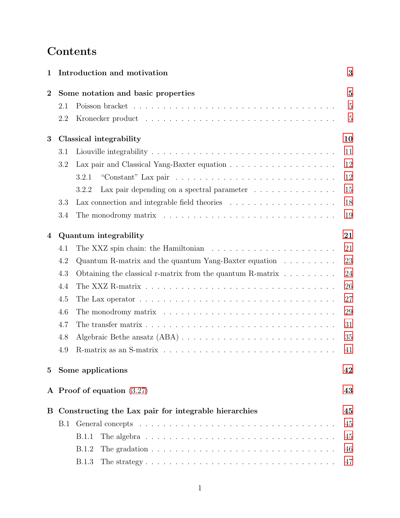# **Contents**

| 1              |                                                      | Introduction and motivation                                                                                | 3              |  |
|----------------|------------------------------------------------------|------------------------------------------------------------------------------------------------------------|----------------|--|
| $\overline{2}$ | Some notation and basic properties                   |                                                                                                            |                |  |
|                | 2.1                                                  |                                                                                                            | 5              |  |
|                | 2.2                                                  |                                                                                                            | $\overline{5}$ |  |
| 3              |                                                      | Classical integrability                                                                                    | 10             |  |
|                | 3.1                                                  |                                                                                                            | 11             |  |
|                | 3.2                                                  |                                                                                                            | 12             |  |
|                |                                                      | 3.2.1                                                                                                      | 12             |  |
|                |                                                      | 3.2.2<br>Lax pair depending on a spectral parameter $\ldots \ldots \ldots \ldots$                          | 15             |  |
|                | 3.3                                                  |                                                                                                            | 18             |  |
|                | 3.4                                                  | The monodromy matrix $\dots \dots \dots \dots \dots \dots \dots \dots \dots \dots \dots \dots$             | 19             |  |
| 4              | Quantum integrability                                |                                                                                                            |                |  |
|                | 4.1                                                  | The XXZ spin chain: the Hamiltonian $\ldots \ldots \ldots \ldots \ldots \ldots \ldots$                     | 21             |  |
|                | 4.2                                                  | Quantum R-matrix and the quantum Yang-Baxter equation $\dots \dots \dots$                                  | 23             |  |
|                | 4.3                                                  | Obtaining the classical r-matrix from the quantum R-matrix $\dots \dots \dots$                             | 24             |  |
|                | 4.4                                                  |                                                                                                            | 26             |  |
|                | 4.5                                                  | The Lax operator $\dots \dots \dots \dots \dots \dots \dots \dots \dots \dots \dots \dots \dots$           | 27             |  |
|                | 4.6                                                  | The monodromy matrix $\ldots \ldots \ldots \ldots \ldots \ldots \ldots \ldots \ldots \ldots \ldots$        | 29             |  |
|                | 4.7                                                  |                                                                                                            | 31             |  |
|                | 4.8                                                  |                                                                                                            | 35             |  |
|                | 4.9                                                  |                                                                                                            | 41             |  |
| $5^{\circ}$    |                                                      | Some applications                                                                                          | 42             |  |
|                |                                                      | A Proof of equation $(3.27)$                                                                               | 43             |  |
| Β              | Constructing the Lax pair for integrable hierarchies |                                                                                                            |                |  |
|                | B.1                                                  |                                                                                                            | 45             |  |
|                |                                                      | <b>B.1.1</b><br>The algebra $\ldots \ldots \ldots \ldots \ldots \ldots \ldots \ldots \ldots \ldots \ldots$ | 45             |  |
|                |                                                      | The gradation $\ldots \ldots \ldots \ldots \ldots \ldots \ldots \ldots \ldots \ldots$<br>B.1.2             | 46             |  |
|                |                                                      | <b>B.1.3</b>                                                                                               | 47             |  |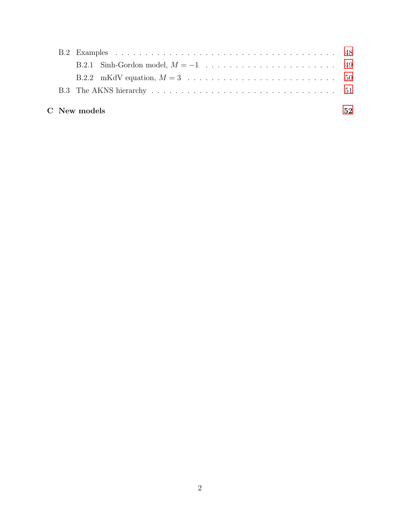|  | C New models | 52 |
|--|--------------|----|
|  |              |    |
|  |              |    |
|  |              |    |
|  |              |    |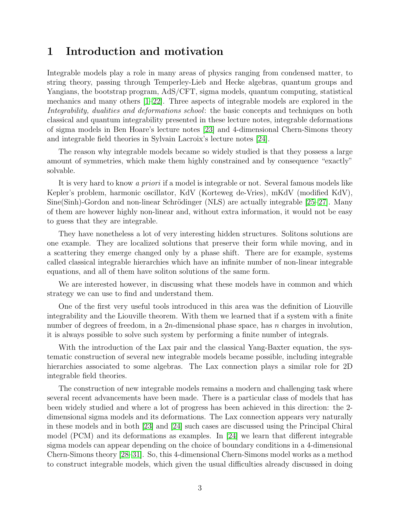# <span id="page-3-0"></span>1 Introduction and motivation

Integrable models play a role in many areas of physics ranging from condensed matter, to string theory, passing through Temperley-Lieb and Hecke algebras, quantum groups and Yangians, the bootstrap program, AdS/CFT, sigma models, quantum computing, statistical mechanics and many others [\[1](#page-55-0)[–22\]](#page-56-0). Three aspects of integrable models are explored in the Integrability, dualities and deformations school: the basic concepts and techniques on both classical and quantum integrability presented in these lecture notes, integrable deformations of sigma models in Ben Hoare's lecture notes [\[23\]](#page-56-1) and 4-dimensional Chern-Simons theory and integrable field theories in Sylvain Lacroix's lecture notes [\[24\]](#page-56-2).

The reason why integrable models became so widely studied is that they possess a large amount of symmetries, which make them highly constrained and by consequence "exactly" solvable.

It is very hard to know *a priori* if a model is integrable or not. Several famous models like Kepler's problem, harmonic oscillator, KdV (Korteweg de-Vries), mKdV (modified KdV),  $Sine(Sinh)$ -Gordon and non-linear Schrödinger (NLS) are actually integrable [\[25–](#page-56-3)[27\]](#page-57-0). Many of them are however highly non-linear and, without extra information, it would not be easy to guess that they are integrable.

They have nonetheless a lot of very interesting hidden structures. Solitons solutions are one example. They are localized solutions that preserve their form while moving, and in a scattering they emerge changed only by a phase shift. There are for example, systems called classical integrable hierarchies which have an infinite number of non-linear integrable equations, and all of them have soliton solutions of the same form.

We are interested however, in discussing what these models have in common and which strategy we can use to find and understand them.

One of the first very useful tools introduced in this area was the definition of Liouville integrability and the Liouville theorem. With them we learned that if a system with a finite number of degrees of freedom, in a  $2n$ -dimensional phase space, has n charges in involution, it is always possible to solve such system by performing a finite number of integrals.

With the introduction of the Lax pair and the classical Yang-Baxter equation, the systematic construction of several new integrable models became possible, including integrable hierarchies associated to some algebras. The Lax connection plays a similar role for 2D integrable field theories.

The construction of new integrable models remains a modern and challenging task where several recent advancements have been made. There is a particular class of models that has been widely studied and where a lot of progress has been achieved in this direction: the 2 dimensional sigma models and its deformations. The Lax connection appears very naturally in these models and in both [\[23\]](#page-56-1) and [\[24\]](#page-56-2) such cases are discussed using the Principal Chiral model (PCM) and its deformations as examples. In [\[24\]](#page-56-2) we learn that different integrable sigma models can appear depending on the choice of boundary conditions in a 4-dimensional Chern-Simons theory [\[28–](#page-57-1)[31\]](#page-57-2). So, this 4-dimensional Chern-Simons model works as a method to construct integrable models, which given the usual difficulties already discussed in doing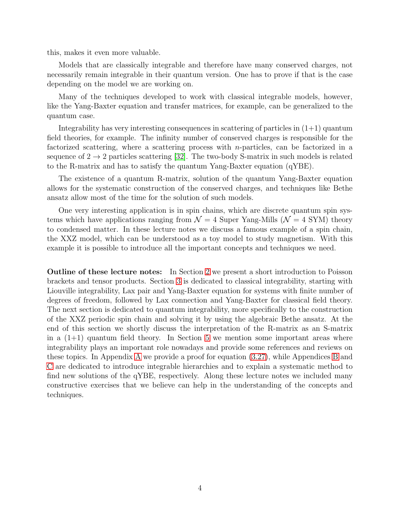this, makes it even more valuable.

Models that are classically integrable and therefore have many conserved charges, not necessarily remain integrable in their quantum version. One has to prove if that is the case depending on the model we are working on.

Many of the techniques developed to work with classical integrable models, however, like the Yang-Baxter equation and transfer matrices, for example, can be generalized to the quantum case.

Integrability has very interesting consequences in scattering of particles in  $(1+1)$  quantum field theories, for example. The infinity number of conserved charges is responsible for the factorized scattering, where a scattering process with  $n$ -particles, can be factorized in a sequence of  $2 \rightarrow 2$  particles scattering [\[32\]](#page-57-3). The two-body S-matrix in such models is related to the R-matrix and has to satisfy the quantum Yang-Baxter equation (qYBE).

The existence of a quantum R-matrix, solution of the quantum Yang-Baxter equation allows for the systematic construction of the conserved charges, and techniques like Bethe ansatz allow most of the time for the solution of such models.

One very interesting application is in spin chains, which are discrete quantum spin systems which have applications ranging from  $\mathcal{N} = 4$  Super Yang-Mills ( $\mathcal{N} = 4$  SYM) theory to condensed matter. In these lecture notes we discuss a famous example of a spin chain, the XXZ model, which can be understood as a toy model to study magnetism. With this example it is possible to introduce all the important concepts and techniques we need.

Outline of these lecture notes: In Section [2](#page-5-0) we present a short introduction to Poisson brackets and tensor products. Section [3](#page-10-0) is dedicated to classical integrability, starting with Liouville integrability, Lax pair and Yang-Baxter equation for systems with finite number of degrees of freedom, followed by Lax connection and Yang-Baxter for classical field theory. The next section is dedicated to quantum integrability, more specifically to the construction of the XXZ periodic spin chain and solving it by using the algebraic Bethe ansatz. At the end of this section we shortly discuss the interpretation of the R-matrix as an S-matrix in a  $(1+1)$  quantum field theory. In Section [5](#page-42-0) we mention some important areas where integrability plays an important role nowadays and provide some references and reviews on these topics. In Appendix [A](#page-43-0) we provide a proof for equation [\(3.27\)](#page-14-0), while Appendices [B](#page-45-0) and [C](#page-52-0) are dedicated to introduce integrable hierarchies and to explain a systematic method to find new solutions of the qYBE, respectively. Along these lecture notes we included many constructive exercises that we believe can help in the understanding of the concepts and techniques.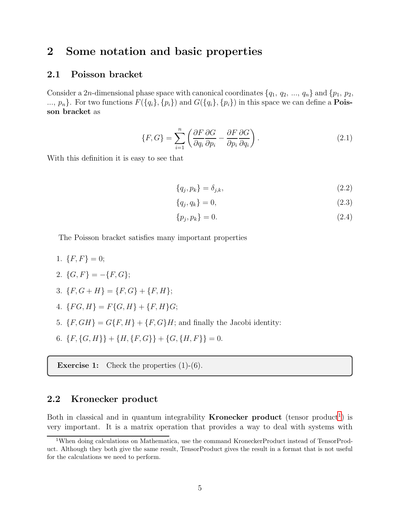# <span id="page-5-1"></span><span id="page-5-0"></span>2 Some notation and basic properties

#### 2.1 Poisson bracket

Consider a 2n-dimensional phase space with canonical coordinates  $\{q_1, q_2, ..., q_n\}$  and  $\{p_1, p_2, ...$ ...,  $p_n$ . For two functions  $F({q_i}, {p_i})$  and  $G({q_i}, {p_i})$  in this space we can define a **Pois**son bracket as

$$
\{F, G\} = \sum_{i=1}^{n} \left( \frac{\partial F}{\partial q_i} \frac{\partial G}{\partial p_i} - \frac{\partial F}{\partial p_i} \frac{\partial G}{\partial q_i} \right).
$$
 (2.1)

With this definition it is easy to see that

$$
\{q_j, p_k\} = \delta_{j,k},\tag{2.2}
$$

$$
\{q_j, q_k\} = 0,\t\t(2.3)
$$

$$
\{p_j, p_k\} = 0.\t\t(2.4)
$$

The Poisson bracket satisfies many important properties

1.  $\{F, F\} = 0;$ 

2. 
$$
\{G, F\} = -\{F, G\};
$$

- 3.  ${F, G + H} = {F, G} + {F, H};$
- 4.  $\{FG, H\} = F\{G, H\} + \{F, H\}G;$
- 5.  $\{F, GH\} = G\{F, H\} + \{F, G\}H$ ; and finally the Jacobi identity:
- 6.  $\{F, \{G, H\}\} + \{H, \{F, G\}\} + \{G, \{H, F\}\} = 0.$

**Exercise 1:** Check the properties  $(1)-(6)$ .

### <span id="page-5-2"></span>2.2 Kronecker product

Both in classical and in quantum integrability **Kronecker product** (tensor product<sup>[1](#page-5-3)</sup>) is very important. It is a matrix operation that provides a way to deal with systems with

<span id="page-5-3"></span><sup>1</sup>When doing calculations on Mathematica, use the command KroneckerProduct instead of TensorProduct. Although they both give the same result, TensorProduct gives the result in a format that is not useful for the calculations we need to perform.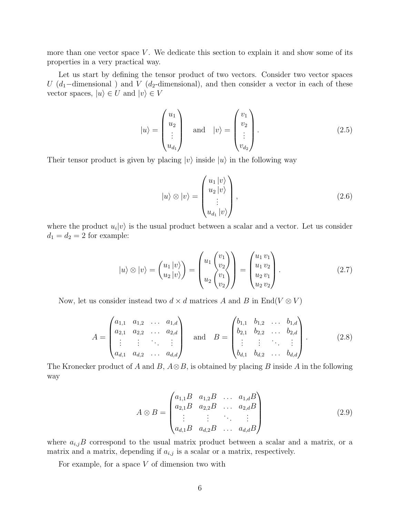more than one vector space  $V$ . We dedicate this section to explain it and show some of its properties in a very practical way.

Let us start by defining the tensor product of two vectors. Consider two vector spaces U (d<sub>1</sub>-dimensional) and V (d<sub>2</sub>-dimensional), and then consider a vector in each of these vector spaces,  $|u\rangle \in U$  and  $|v\rangle \in V$ 

$$
|u\rangle = \begin{pmatrix} u_1 \\ u_2 \\ \vdots \\ u_{d_1} \end{pmatrix} \quad \text{and} \quad |v\rangle = \begin{pmatrix} v_1 \\ v_2 \\ \vdots \\ v_{d_2} \end{pmatrix} . \tag{2.5}
$$

Their tensor product is given by placing  $|v\rangle$  inside  $|u\rangle$  in the following way

$$
|u\rangle \otimes |v\rangle = \begin{pmatrix} u_1 |v\rangle \\ u_2 |v\rangle \\ \vdots \\ u_{d_1} |v\rangle \end{pmatrix},
$$
\n(2.6)

where the product  $u_i|v\rangle$  is the usual product between a scalar and a vector. Let us consider  $d_1 = d_2 = 2$  for example:

$$
|u\rangle \otimes |v\rangle = \begin{pmatrix} u_1 |v\rangle \\ u_2 |v\rangle \end{pmatrix} = \begin{pmatrix} u_1 \begin{pmatrix} v_1 \\ v_2 \end{pmatrix} \\ u_2 \begin{pmatrix} v_1 \\ v_2 \end{pmatrix} \end{pmatrix} = \begin{pmatrix} u_1 v_1 \\ u_1 v_2 \\ u_2 v_1 \\ u_2 v_2 \end{pmatrix} . \tag{2.7}
$$

Now, let us consider instead two  $d \times d$  matrices A and B in End(V  $\otimes$  V)

$$
A = \begin{pmatrix} a_{1,1} & a_{1,2} & \dots & a_{1,d} \\ a_{2,1} & a_{2,2} & \dots & a_{2,d} \\ \vdots & \vdots & \ddots & \vdots \\ a_{d,1} & a_{d,2} & \dots & a_{d,d} \end{pmatrix} \text{ and } B = \begin{pmatrix} b_{1,1} & b_{1,2} & \dots & b_{1,d} \\ b_{2,1} & b_{2,2} & \dots & b_{2,d} \\ \vdots & \vdots & \ddots & \vdots \\ b_{d,1} & b_{d,2} & \dots & b_{d,d} \end{pmatrix} .
$$
 (2.8)

The Kronecker product of A and B,  $A \otimes B$ , is obtained by placing B inside A in the following way

$$
A \otimes B = \begin{pmatrix} a_{1,1}B & a_{1,2}B & \dots & a_{1,d}B \\ a_{2,1}B & a_{2,2}B & \dots & a_{2,d}B \\ \vdots & \vdots & \ddots & \vdots \\ a_{d,1}B & a_{d,2}B & \dots & a_{d,d}B \end{pmatrix}
$$
(2.9)

where  $a_{i,j}B$  correspond to the usual matrix product between a scalar and a matrix, or a matrix and a matrix, depending if  $a_{i,j}$  is a scalar or a matrix, respectively.

For example, for a space  $V$  of dimension two with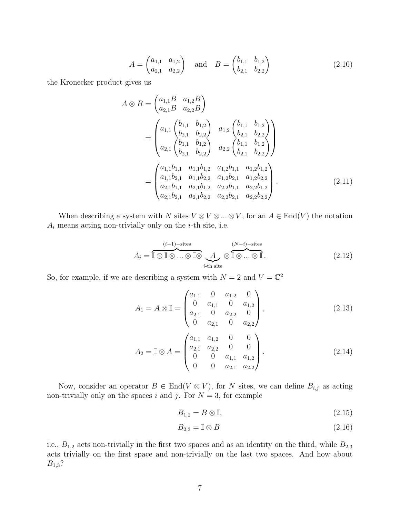$$
A = \begin{pmatrix} a_{1,1} & a_{1,2} \\ a_{2,1} & a_{2,2} \end{pmatrix} \text{ and } B = \begin{pmatrix} b_{1,1} & b_{1,2} \\ b_{2,1} & b_{2,2} \end{pmatrix}
$$
 (2.10)

the Kronecker product gives us

$$
A \otimes B = \begin{pmatrix} a_{1,1}B & a_{1,2}B \\ a_{2,1}B & a_{2,2}B \end{pmatrix}
$$
  
= 
$$
\begin{pmatrix} a_{1,1} & b_{1,2} \\ b_{2,1} & b_{2,2} \\ a_{2,1} & b_{2,2} \end{pmatrix} \begin{pmatrix} a_{1,2} & b_{1,1} & b_{1,2} \\ b_{2,1} & b_{2,2} \\ b_{2,1} & b_{2,2} \end{pmatrix}
$$
  
= 
$$
\begin{pmatrix} a_{1,1}b_{1,1} & a_{1,1}b_{1,2} & a_{1,2}b_{1,1} & a_{1,2}b_{1,2} \\ a_{1,1}b_{2,1} & a_{1,1}b_{2,2} & a_{1,2}b_{2,1} & a_{1,2}b_{2,2} \\ a_{2,1}b_{1,1} & a_{2,1}b_{1,2} & a_{2,2}b_{1,1} & a_{2,2}b_{1,2} \\ a_{2,1}b_{2,1} & a_{2,1}b_{2,2} & a_{2,2}b_{2,1} & a_{2,2}b_{2,2} \end{pmatrix}.
$$
(2.11)

When describing a system with N sites  $V \otimes V \otimes ... \otimes V$ , for an  $A \in End(V)$  the notation  $A_i$  means acting non-trivially only on the *i*-th site, i.e.

$$
A_i = \overbrace{\mathbb{I} \otimes \mathbb{I} \otimes \ldots \otimes \mathbb{I} \otimes}^{(i-1)\text{-sites}} \underbrace{A}_{i\text{-th site}} \otimes \overbrace{\mathbb{I} \otimes \ldots \otimes \mathbb{I}}^{(N-i)\text{-sites}}.
$$
\n(2.12)

So, for example, if we are describing a system with  $N = 2$  and  $V = \mathbb{C}^2$ 

$$
A_1 = A \otimes \mathbb{I} = \begin{pmatrix} a_{1,1} & 0 & a_{1,2} & 0 \\ 0 & a_{1,1} & 0 & a_{1,2} \\ a_{2,1} & 0 & a_{2,2} & 0 \\ 0 & a_{2,1} & 0 & a_{2,2} \end{pmatrix},
$$
(2.13)  

$$
A_2 = \mathbb{I} \otimes A = \begin{pmatrix} a_{1,1} & a_{1,2} & 0 & 0 \\ a_{2,1} & a_{2,2} & 0 & 0 \\ 0 & 0 & a_{1,1} & a_{1,2} \\ 0 & 0 & a_{2,1} & a_{2,2} \end{pmatrix}.
$$
(2.14)

Now, consider an operator  $B \in \text{End}(V \otimes V)$ , for N sites, we can define  $B_{i,j}$  as acting non-trivially only on the spaces i and j. For  $N = 3$ , for example

$$
B_{1,2} = B \otimes \mathbb{I},\tag{2.15}
$$

$$
B_{2,3} = \mathbb{I} \otimes B \tag{2.16}
$$

i.e.,  $B_{1,2}$  acts non-trivially in the first two spaces and as an identity on the third, while  $B_{2,3}$ acts trivially on the first space and non-trivially on the last two spaces. And how about  $B_{1,3}$ ?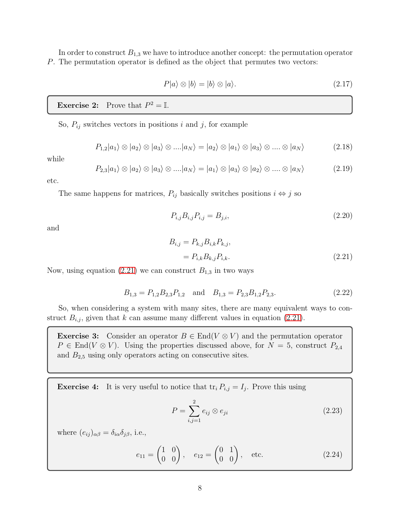In order to construct  $B_{1,3}$  we have to introduce another concept: the permutation operator P. The permutation operator is defined as the object that permutes two vectors:

$$
P|a\rangle \otimes |b\rangle = |b\rangle \otimes |a\rangle. \tag{2.17}
$$

### **Exercise 2:** Prove that  $P^2 = \mathbb{I}$ .

So,  $P_{ij}$  switches vectors in positions i and j, for example

$$
P_{1,2}|a_1\rangle \otimes |a_2\rangle \otimes |a_3\rangle \otimes ....|a_N\rangle = |a_2\rangle \otimes |a_1\rangle \otimes |a_3\rangle \otimes .... \otimes |a_N\rangle \tag{2.18}
$$

while

$$
P_{2,3}|a_1\rangle \otimes |a_2\rangle \otimes |a_3\rangle \otimes ....|a_N\rangle = |a_1\rangle \otimes |a_3\rangle \otimes |a_2\rangle \otimes .... \otimes |a_N\rangle \tag{2.19}
$$

etc.

The same happens for matrices,  $P_{ij}$  basically switches positions  $i \Leftrightarrow j$  so

$$
P_{i,j}B_{i,j}P_{i,j} = B_{j,i},\tag{2.20}
$$

and

<span id="page-8-0"></span>
$$
B_{i,j} = P_{k,j} B_{i,k} P_{k,j},
$$
  
=  $P_{i,k} B_{k,j} P_{i,k}.$  (2.21)

Now, using equation [\(2.21\)](#page-8-0) we can construct  $B_{1,3}$  in two ways

$$
B_{1,3} = P_{1,2}B_{2,3}P_{1,2} \quad \text{and} \quad B_{1,3} = P_{2,3}B_{1,2}P_{2,3}.\tag{2.22}
$$

So, when considering a system with many sites, there are many equivalent ways to construct  $B_{i,j}$ , given that k can assume many different values in equation [\(2.21\)](#page-8-0).

**Exercise 3:** Consider an operator  $B \in End(V \otimes V)$  and the permutation operator  $P \in \text{End}(V \otimes V)$ . Using the properties discussed above, for  $N = 5$ , construct  $P_{2,4}$ and  $B_{2,5}$  using only operators acting on consecutive sites.

**Exercise 4:** It is very useful to notice that  $tr_i P_{i,j} = I_j$ . Prove this using

$$
P = \sum_{i,j=1}^{2} e_{ij} \otimes e_{ji}
$$
\n
$$
(2.23)
$$

where  $(e_{ij})_{\alpha\beta} = \delta_{i\alpha}\delta_{j\beta}$ , i.e.,

$$
e_{11} = \begin{pmatrix} 1 & 0 \\ 0 & 0 \end{pmatrix}, \quad e_{12} = \begin{pmatrix} 0 & 1 \\ 0 & 0 \end{pmatrix}, \quad \text{etc.} \tag{2.24}
$$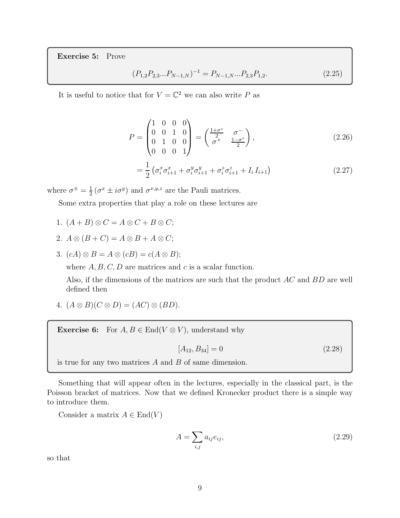Exercise 5: Prove

$$
(P_{1,2}P_{2,3}...P_{N-1,N})^{-1} = P_{N-1,N}...P_{2,3}P_{1,2}.
$$
\n(2.25)

It is useful to notice that for  $V = \mathbb{C}^2$  we can also write P as

$$
P = \begin{pmatrix} 1 & 0 & 0 & 0 \\ 0 & 0 & 1 & 0 \\ 0 & 1 & 0 & 0 \\ 0 & 0 & 0 & 1 \end{pmatrix} = \begin{pmatrix} \frac{1+\sigma^z}{2} & \sigma^- \\ \sigma^+ & \frac{1-\sigma^z}{2} \end{pmatrix},
$$
(2.26)

$$
= \frac{1}{2} \left( \sigma_i^x \sigma_{i+1}^x + \sigma_i^y \sigma_{i+1}^y + \sigma_i^z \sigma_{i+1}^z + I_i I_{i+1} \right) \tag{2.27}
$$

where  $\sigma^{\pm} = \frac{1}{2}$  $\frac{1}{2}(\sigma^x \pm i\sigma^y)$  and  $\sigma^{x,y,z}$  are the Pauli matrices.

Some extra properties that play a role on these lectures are

- 1.  $(A + B) \otimes C = A \otimes C + B \otimes C;$
- 2.  $A \otimes (B + C) = A \otimes B + A \otimes C;$
- 3.  $(cA) \otimes B = A \otimes (cB) = c(A \otimes B);$

where  $A, B, C, D$  are matrices and c is a scalar function.

Also, if the dimensions of the matrices are such that the product AC and BD are well defined then

4.  $(A \otimes B)(C \otimes D) = (AC) \otimes (BD)$ .

**Exercise 6:** For  $A, B \in \text{End}(V \otimes V)$ , understand why

<span id="page-9-0"></span>
$$
[A_{12}, B_{34}] = 0 \tag{2.28}
$$

is true for any two matrices  $A$  and  $B$  of same dimension.

Something that will appear often in the lectures, especially in the classical part, is the Poisson bracket of matrices. Now that we defined Kronecker product there is a simple way to introduce them.

Consider a matrix  $A \in End(V)$ 

$$
A = \sum_{i,j} a_{ij} e_{ij},\tag{2.29}
$$

so that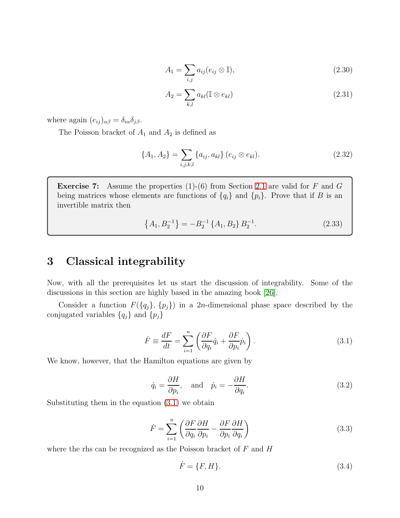$$
A_1 = \sum_{i,j} a_{ij} (e_{ij} \otimes \mathbb{I}), \qquad (2.30)
$$

$$
A_2 = \sum_{k,l} a_{kl} (\mathbb{I} \otimes e_{kl})
$$
\n(2.31)

where again  $(e_{ij})_{\alpha\beta} = \delta_{i\alpha}\delta_{j\beta}$ .

The Poisson bracket of  $A_1$  and  $A_2$  is defined as

$$
\{A_1, A_2\} = \sum_{i,j,k,l} \{a_{ij}, a_{kl}\} (e_{ij} \otimes e_{kl}).
$$
 (2.32)

**Exercise 7:** Assume the properties  $(1)-(6)$  from Section [2.1](#page-5-1) are valid for F and G being matrices whose elements are functions of  $\{q_i\}$  and  $\{p_i\}$ . Prove that if B is an invertible matrix then

<span id="page-10-4"></span>
$$
\{A_1, B_2^{-1}\} = -B_2^{-1} \{A_1, B_2\} B_2^{-1}.
$$
\n(2.33)

# <span id="page-10-0"></span>3 Classical integrability

Now, with all the prerequisites let us start the discussion of integrability. Some of the discussions in this section are highly based in the amazing book [\[26\]](#page-56-4).

Consider a function  $F({q_j}, {p_j})$  in a 2n-dimensional phase space described by the conjugated variables  $\{q_j\}$  and  $\{p_j\}$ 

<span id="page-10-1"></span>
$$
\dot{F} \equiv \frac{dF}{dt} = \sum_{i=1}^{n} \left( \frac{\partial F}{\partial q_i} \dot{q}_i + \frac{\partial F}{\partial p_i} \dot{p}_i \right). \tag{3.1}
$$

We know, however, that the Hamilton equations are given by

<span id="page-10-3"></span>
$$
\dot{q}_i = \frac{\partial H}{\partial p_i}, \text{ and } \dot{p}_i = -\frac{\partial H}{\partial q_i}.
$$
\n(3.2)

Substituting them in the equation [\(3.1\)](#page-10-1) we obtain

$$
\dot{F} = \sum_{i=1}^{n} \left( \frac{\partial F}{\partial q_i} \frac{\partial H}{\partial p_i} - \frac{\partial F}{\partial p_i} \frac{\partial H}{\partial q_i} \right)
$$
(3.3)

where the rhs can be recognized as the Poisson bracket of  $F$  and  $H$ 

<span id="page-10-2"></span>
$$
\dot{F} = \{F, H\}.\tag{3.4}
$$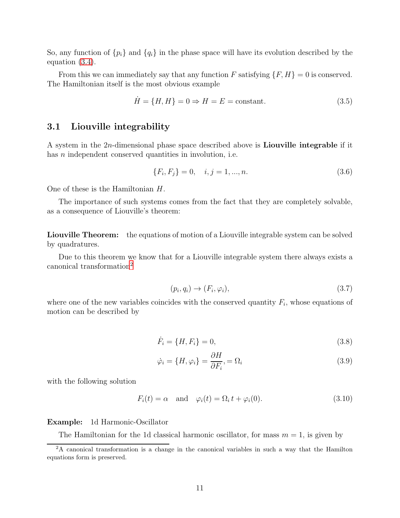So, any function of  $\{p_i\}$  and  $\{q_i\}$  in the phase space will have its evolution described by the equation [\(3.4\)](#page-10-2).

From this we can immediately say that any function F satisfying  $\{F, H\} = 0$  is conserved. The Hamiltonian itself is the most obvious example

$$
\dot{H} = \{H, H\} = 0 \Rightarrow H = E = \text{constant.} \tag{3.5}
$$

#### <span id="page-11-0"></span>3.1 Liouville integrability

A system in the 2n-dimensional phase space described above is Liouville integrable if it has *n* independent conserved quantities in involution, i.e.

$$
\{F_i, F_j\} = 0, \quad i, j = 1, ..., n. \tag{3.6}
$$

One of these is the Hamiltonian H.

The importance of such systems comes from the fact that they are completely solvable, as a consequence of Liouville's theorem:

Liouville Theorem: the equations of motion of a Liouville integrable system can be solved by quadratures.

Due to this theorem we know that for a Liouville integrable system there always exists a canonical transformation[2](#page-11-1)

<span id="page-11-3"></span><span id="page-11-2"></span>
$$
(p_i, q_i) \rightarrow (F_i, \varphi_i), \tag{3.7}
$$

where one of the new variables coincides with the conserved quantity  $F_i$ , whose equations of motion can be described by

$$
\dot{F}_i = \{H, F_i\} = 0,\t\t(3.8)
$$

$$
\dot{\varphi}_i = \{H, \varphi_i\} = \frac{\partial H}{\partial F_i}, = \Omega_i
$$
\n(3.9)

with the following solution

$$
F_i(t) = \alpha \quad \text{and} \quad \varphi_i(t) = \Omega_i \, t + \varphi_i(0). \tag{3.10}
$$

#### Example: 1d Harmonic-Oscillator

The Hamiltonian for the 1d classical harmonic oscillator, for mass  $m = 1$ , is given by

<span id="page-11-1"></span><sup>&</sup>lt;sup>2</sup>A canonical transformation is a change in the canonical variables in such a way that the Hamilton equations form is preserved.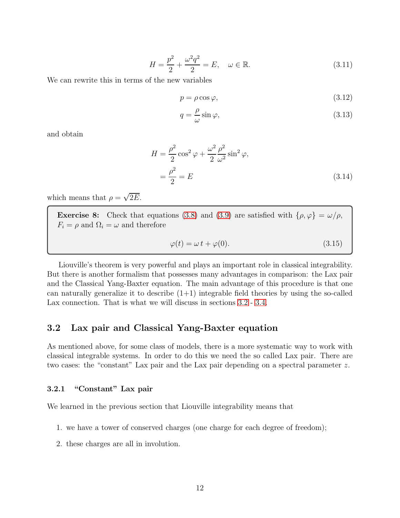$$
H = \frac{p^2}{2} + \frac{\omega^2 q^2}{2} = E, \quad \omega \in \mathbb{R}.
$$
 (3.11)

We can rewrite this in terms of the new variables

<span id="page-12-2"></span>
$$
p = \rho \cos \varphi,\tag{3.12}
$$

<span id="page-12-3"></span>
$$
q = \frac{\rho}{\omega} \sin \varphi,\tag{3.13}
$$

and obtain

$$
H = \frac{\rho^2}{2}\cos^2\varphi + \frac{\omega^2}{2}\frac{\rho^2}{\omega^2}\sin^2\varphi,
$$
  
= 
$$
\frac{\rho^2}{2} = E
$$
 (3.14)

which means that  $\rho = \sqrt{2E}$ .

**Exercise 8:** Check that equations [\(3.8\)](#page-11-2) and [\(3.9\)](#page-11-3) are satisfied with  $\{\rho, \varphi\} = \omega/\rho$ ,  $F_i = \rho$  and  $\Omega_i = \omega$  and therefore

$$
\varphi(t) = \omega \, t + \varphi(0). \tag{3.15}
$$

Liouville's theorem is very powerful and plays an important role in classical integrability. But there is another formalism that possesses many advantages in comparison: the Lax pair and the Classical Yang-Baxter equation. The main advantage of this procedure is that one can naturally generalize it to describe  $(1+1)$  integrable field theories by using the so-called Lax connection. That is what we will discuss in sections  $3.2$  -  $3.4$ .

### <span id="page-12-0"></span>3.2 Lax pair and Classical Yang-Baxter equation

As mentioned above, for some class of models, there is a more systematic way to work with classical integrable systems. In order to do this we need the so called Lax pair. There are two cases: the "constant" Lax pair and the Lax pair depending on a spectral parameter z.

#### <span id="page-12-1"></span>3.2.1 "Constant" Lax pair

We learned in the previous section that Liouville integrability means that

- 1. we have a tower of conserved charges (one charge for each degree of freedom);
- 2. these charges are all in involution.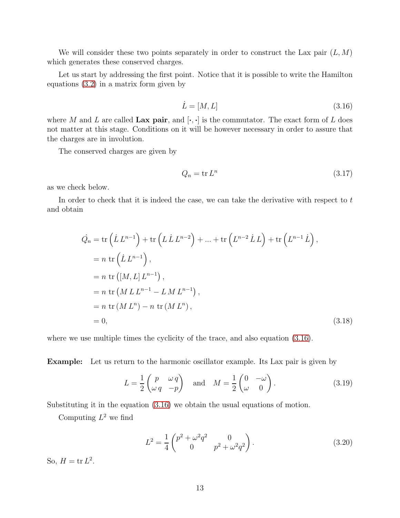We will consider these two points separately in order to construct the Lax pair  $(L, M)$ which generates these conserved charges.

Let us start by addressing the first point. Notice that it is possible to write the Hamilton equations [\(3.2\)](#page-10-3) in a matrix form given by

<span id="page-13-0"></span>
$$
\dot{L} = [M, L] \tag{3.16}
$$

where M and L are called Lax pair, and  $[\cdot, \cdot]$  is the commutator. The exact form of L does not matter at this stage. Conditions on it will be however necessary in order to assure that the charges are in involution.

The conserved charges are given by

$$
Q_n = \text{tr}\, L^n \tag{3.17}
$$

as we check below.

In order to check that it is indeed the case, we can take the derivative with respect to  $t$ and obtain

$$
\dot{Q}_n = \text{tr}\left(\dot{L}L^{n-1}\right) + \text{tr}\left(L\dot{L}L^{n-2}\right) + \dots + \text{tr}\left(L^{n-2}\dot{L}L\right) + \text{tr}\left(L^{n-1}\dot{L}\right),
$$
\n
$$
= n \text{ tr}\left(\dot{L}L^{n-1}\right),
$$
\n
$$
= n \text{ tr}\left(\left[M, L\right]L^{n-1}\right),
$$
\n
$$
= n \text{ tr}\left(M L L^{n-1} - L M L^{n-1}\right),
$$
\n
$$
= n \text{ tr}\left(M L^n\right) - n \text{ tr}\left(M L^n\right),
$$
\n
$$
= 0,
$$
\n(3.18)

where we use multiple times the cyclicity of the trace, and also equation  $(3.16)$ .

Example: Let us return to the harmonic oscillator example. Its Lax pair is given by

$$
L = \frac{1}{2} \begin{pmatrix} p & \omega q \\ \omega q & -p \end{pmatrix} \quad \text{and} \quad M = \frac{1}{2} \begin{pmatrix} 0 & -\omega \\ \omega & 0 \end{pmatrix}.
$$
 (3.19)

Substituting it in the equation [\(3.16\)](#page-13-0) we obtain the usual equations of motion.

Computing  $L^2$  we find

$$
L^{2} = \frac{1}{4} \begin{pmatrix} p^{2} + \omega^{2} q^{2} & 0\\ 0 & p^{2} + \omega^{2} q^{2} \end{pmatrix}.
$$
 (3.20)

So,  $H = \text{tr } L^2$ .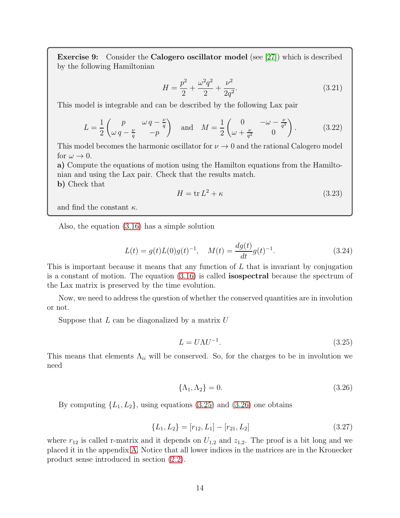Exercise 9: Consider the Calogero oscillator model (see [\[27\]](#page-57-0)) which is described by the following Hamiltonian

$$
H = \frac{p^2}{2} + \frac{\omega^2 q^2}{2} + \frac{\nu^2}{2q^2}.
$$
\n(3.21)

This model is integrable and can be described by the following Lax pair

$$
L = \frac{1}{2} \begin{pmatrix} p & \omega q - \frac{\nu}{q} \\ \omega q - \frac{\nu}{q} & -p \end{pmatrix} \quad \text{and} \quad M = \frac{1}{2} \begin{pmatrix} 0 & -\omega - \frac{\nu}{q^2} \\ \omega + \frac{\nu}{q^2} & 0 \end{pmatrix}.
$$
 (3.22)

This model becomes the harmonic oscillator for  $\nu \to 0$  and the rational Calogero model for  $\omega \to 0$ .

a) Compute the equations of motion using the Hamilton equations from the Hamiltonian and using the Lax pair. Check that the results match.

b) Check that

$$
H = \text{tr}\,L^2 + \kappa\tag{3.23}
$$

and find the constant  $\kappa$ .

Also, the equation [\(3.16\)](#page-13-0) has a simple solution

$$
L(t) = g(t)L(0)g(t)^{-1}, \quad M(t) = \frac{dg(t)}{dt}g(t)^{-1}.
$$
\n(3.24)

This is important because it means that any function of L that is invariant by conjugation is a constant of motion. The equation [\(3.16\)](#page-13-0) is called isospectral because the spectrum of the Lax matrix is preserved by the time evolution.

Now, we need to address the question of whether the conserved quantities are in involution or not.

Suppose that  $L$  can be diagonalized by a matrix  $U$ 

<span id="page-14-1"></span>
$$
L = U\Lambda U^{-1}.\tag{3.25}
$$

This means that elements  $\Lambda_{ii}$  will be conserved. So, for the charges to be in involution we need

<span id="page-14-2"></span>
$$
\{\Lambda_1, \Lambda_2\} = 0. \tag{3.26}
$$

By computing  $\{L_1, L_2\}$ , using equations [\(3.25\)](#page-14-1) and [\(3.26\)](#page-14-2) one obtains

<span id="page-14-0"></span>
$$
\{L_1, L_2\} = [r_{12}, L_1] - [r_{21}, L_2] \tag{3.27}
$$

where  $r_{12}$  is called r-matrix and it depends on  $U_{1,2}$  and  $z_{1,2}$ . The proof is a bit long and we placed it in the appendix [A.](#page-43-0) Notice that all lower indices in the matrices are in the Kronecker product sense introduced in section [\(2.2\)](#page-5-2).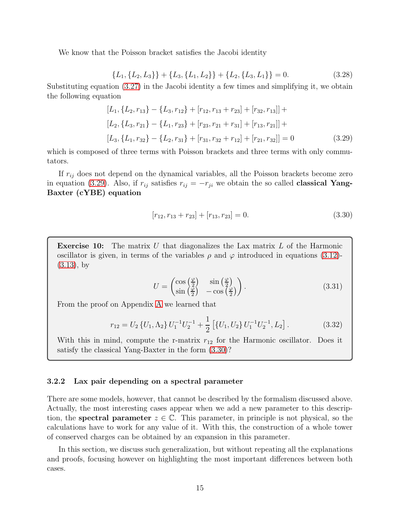We know that the Poisson bracket satisfies the Jacobi identity

$$
\{L_1, \{L_2, L_3\}\} + \{L_3, \{L_1, L_2\}\} + \{L_2, \{L_3, L_1\}\} = 0.
$$
\n(3.28)

Substituting equation [\(3.27\)](#page-14-0) in the Jacobi identity a few times and simplifying it, we obtain the following equation

$$
[L_1, \{L_2, r_{13}\} - \{L_3, r_{12}\} + [r_{12}, r_{13} + r_{23}] + [r_{32}, r_{13}]] +
$$
  
\n
$$
[L_2, \{L_3, r_{21}\} - \{L_1, r_{23}\} + [r_{23}, r_{21} + r_{31}] + [r_{13}, r_{21}]] +
$$
  
\n
$$
[L_3, \{L_1, r_{32}\} - \{L_2, r_{31}\} + [r_{31}, r_{32} + r_{12}] + [r_{21}, r_{32}]] = 0
$$
\n(3.29)

which is composed of three terms with Poisson brackets and three terms with only commutators.

If  $r_{ij}$  does not depend on the dynamical variables, all the Poisson brackets become zero in equation [\(3.29\)](#page-15-1). Also, if  $r_{ij}$  satisfies  $r_{ij} = -r_{ji}$  we obtain the so called **classical Yang-**Baxter (cYBE) equation

<span id="page-15-2"></span><span id="page-15-1"></span>
$$
[r_{12}, r_{13} + r_{23}] + [r_{13}, r_{23}] = 0.
$$
\n(3.30)

**Exercise 10:** The matrix U that diagonalizes the Lax matrix  $L$  of the Harmonic oscillator is given, in terms of the variables  $\rho$  and  $\varphi$  introduced in equations [\(3.12\)](#page-12-2)-[\(3.13\)](#page-12-3), by

$$
U = \begin{pmatrix} \cos\left(\frac{\varphi}{2}\right) & \sin\left(\frac{\varphi}{2}\right) \\ \sin\left(\frac{\varphi}{2}\right) & -\cos\left(\frac{\varphi}{2}\right) \end{pmatrix} . \tag{3.31}
$$

From the proof on Appendix [A](#page-43-0) we learned that

$$
r_{12} = U_2 \{U_1, \Lambda_2\} U_1^{-1} U_2^{-1} + \frac{1}{2} \left[ \{U_1, U_2\} U_1^{-1} U_2^{-1}, L_2 \right]. \tag{3.32}
$$

With this in mind, compute the r-matrix  $r_{12}$  for the Harmonic oscillator. Does it satisfy the classical Yang-Baxter in the form [\(3.30\)](#page-15-2)?

#### <span id="page-15-0"></span>3.2.2 Lax pair depending on a spectral parameter

There are some models, however, that cannot be described by the formalism discussed above. Actually, the most interesting cases appear when we add a new parameter to this description, the **spectral parameter**  $z \in \mathbb{C}$ . This parameter, in principle is not physical, so the calculations have to work for any value of it. With this, the construction of a whole tower of conserved charges can be obtained by an expansion in this parameter.

In this section, we discuss such generalization, but without repeating all the explanations and proofs, focusing however on highlighting the most important differences between both cases.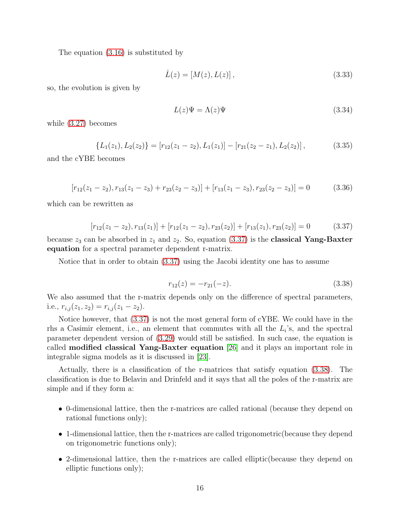The equation [\(3.16\)](#page-13-0) is substituted by

$$
\dot{L}(z) = [M(z), L(z)],
$$
\n(3.33)

so, the evolution is given by

$$
L(z)\Psi = \Lambda(z)\Psi \tag{3.34}
$$

while [\(3.27\)](#page-14-0) becomes

$$
\{L_1(z_1), L_2(z_2)\} = [r_{12}(z_1 - z_2), L_1(z_1)] - [r_{21}(z_2 - z_1), L_2(z_2)],
$$
\n(3.35)

and the cYBE becomes

<span id="page-16-2"></span>
$$
[r_{12}(z_1 - z_2), r_{13}(z_1 - z_3) + r_{23}(z_2 - z_3)] + [r_{13}(z_1 - z_3), r_{23}(z_2 - z_3)] = 0 \qquad (3.36)
$$

which can be rewritten as

<span id="page-16-0"></span>
$$
[r_{12}(z_1 - z_2), r_{13}(z_1)] + [r_{12}(z_1 - z_2), r_{23}(z_2)] + [r_{13}(z_1), r_{23}(z_2)] = 0 \qquad (3.37)
$$

because  $z_3$  can be absorbed in  $z_1$  and  $z_2$ . So, equation [\(3.37\)](#page-16-0) is the **classical Yang-Baxter** equation for a spectral parameter dependent r-matrix.

Notice that in order to obtain [\(3.37\)](#page-16-0) using the Jacobi identity one has to assume

<span id="page-16-1"></span>
$$
r_{12}(z) = -r_{21}(-z). \tag{3.38}
$$

We also assumed that the r-matrix depends only on the difference of spectral parameters, i.e.,  $r_{i,j}(z_1, z_2) = r_{i,j}(z_1 - z_2)$ .

Notice however, that [\(3.37\)](#page-16-0) is not the most general form of cYBE. We could have in the rhs a Casimir element, i.e., an element that commutes with all the  $L_i$ 's, and the spectral parameter dependent version of [\(3.29\)](#page-15-1) would still be satisfied. In such case, the equation is called modified classical Yang-Baxter equation [\[26\]](#page-56-4) and it plays an important role in integrable sigma models as it is discussed in [\[23\]](#page-56-1).

Actually, there is a classification of the r-matrices that satisfy equation [\(3.38\)](#page-16-1). The classification is due to Belavin and Drinfeld and it says that all the poles of the r-matrix are simple and if they form a:

- 0-dimensional lattice, then the r-matrices are called rational (because they depend on rational functions only);
- 1-dimensional lattice, then the r-matrices are called trigonometric(because they depend on trigonometric functions only);
- 2-dimensional lattice, then the r-matrices are called elliptic(because they depend on elliptic functions only);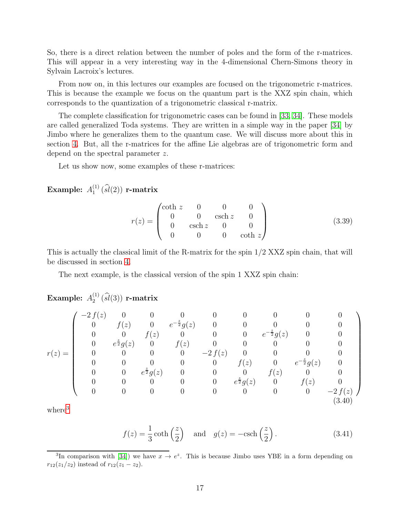So, there is a direct relation between the number of poles and the form of the r-matrices. This will appear in a very interesting way in the 4-dimensional Chern-Simons theory in Sylvain Lacroix's lectures.

From now on, in this lectures our examples are focused on the trigonometric r-matrices. This is because the example we focus on the quantum part is the XXZ spin chain, which corresponds to the quantization of a trigonometric classical r-matrix.

The complete classification for trigonometric cases can be found in [\[33,](#page-57-4) [34\]](#page-57-5). These models are called generalized Toda systems. They are written in a simple way in the paper [\[34\]](#page-57-5) by Jimbo where he generalizes them to the quantum case. We will discuss more about this in section [4.](#page-21-0) But, all the r-matrices for the affine Lie algebras are of trigonometric form and depend on the spectral parameter z.

Let us show now, some examples of these r-matrices:

Example:  $A_1^{(1)}$  $\binom{11}{1}$   $(sl(2))$  r-matrix

<span id="page-17-1"></span>
$$
r(z) = \begin{pmatrix} \coth z & 0 & 0 & 0 \\ 0 & 0 & \text{csch } z & 0 \\ 0 & \text{csch } z & 0 & 0 \\ 0 & 0 & 0 & \text{coth } z \end{pmatrix}
$$
 (3.39)

This is actually the classical limit of the R-matrix for the spin 1/2 XXZ spin chain, that will be discussed in section [4.](#page-21-0)

The next example, is the classical version of the spin 1 XXZ spin chain:

<span id="page-17-2"></span>Example: 
$$
A_2^{(1)}(\widehat{sl}(3))
$$
 r-matrix  
\n
$$
\begin{pmatrix}\n-2 f(z) & 0 & 0 & 0 & 0 & 0 & 0 & 0 & 0 \\
0 & f(z) & 0 & e^{-\frac{z}{2}}g(z) & 0 & 0 & 0 & 0 & 0 \\
0 & 0 & f(z) & 0 & 0 & 0 & e^{-\frac{z}{2}}g(z) & 0 & 0 \\
0 & e^{\frac{z}{2}}g(z) & 0 & f(z) & 0 & 0 & 0 & 0 & 0 \\
0 & 0 & 0 & 0 & -2 f(z) & 0 & 0 & 0 & 0 \\
0 & 0 & 0 & 0 & 0 & f(z) & 0 & e^{-\frac{z}{2}}g(z) & 0 \\
0 & 0 & e^{\frac{z}{2}}g(z) & 0 & 0 & 0 & f(z) & 0 & 0 \\
0 & 0 & 0 & 0 & 0 & e^{\frac{z}{2}}g(z) & 0 & f(z) & 0 \\
0 & 0 & 0 & 0 & 0 & 0 & 0 & 0 & -2 f(z)\n\end{pmatrix}
$$
 (3.40)

where<sup>[3](#page-17-0)</sup>

$$
f(z) = \frac{1}{3} \coth\left(\frac{z}{2}\right) \quad \text{and} \quad g(z) = -\text{csch}\left(\frac{z}{2}\right). \tag{3.41}
$$

<span id="page-17-0"></span><sup>&</sup>lt;sup>3</sup>In comparison with [\[34\]](#page-57-5)) we have  $x \to e^z$ . This is because Jimbo uses YBE in a form depending on  $r_{12}(z_1/z_2)$  instead of  $r_{12}(z_1 - z_2)$ .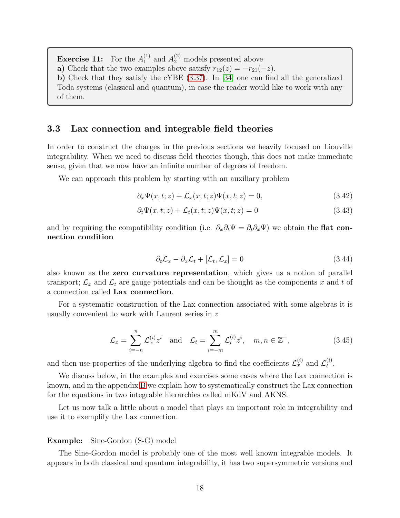**Exercise 11:** For the  $A_1^{(1)}$  $_1^{(1)}$  and  $A_2^{(2)}$  models presented above a) Check that the two examples above satisfy  $r_{12}(z) = -r_{21}(-z)$ . b) Check that they satisfy the cYBE [\(3.37\)](#page-16-0). In [\[34\]](#page-57-5) one can find all the generalized Toda systems (classical and quantum), in case the reader would like to work with any of them.

#### <span id="page-18-0"></span>3.3 Lax connection and integrable field theories

In order to construct the charges in the previous sections we heavily focused on Liouville integrability. When we need to discuss field theories though, this does not make immediate sense, given that we now have an infinite number of degrees of freedom.

We can approach this problem by starting with an auxiliary problem

$$
\partial_x \Psi(x, t; z) + \mathcal{L}_x(x, t; z) \Psi(x, t; z) = 0,
$$
\n(3.42)

$$
\partial_t \Psi(x, t; z) + \mathcal{L}_t(x, t; z) \Psi(x, t; z) = 0 \tag{3.43}
$$

and by requiring the compatibility condition (i.e.  $\partial_x \partial_t \Psi = \partial_t \partial_x \Psi$ ) we obtain the flat connection condition

$$
\partial_t \mathcal{L}_x - \partial_x \mathcal{L}_t + [\mathcal{L}_t, \mathcal{L}_x] = 0 \tag{3.44}
$$

also known as the zero curvature representation, which gives us a notion of parallel transport;  $\mathcal{L}_x$  and  $\mathcal{L}_t$  are gauge potentials and can be thought as the components x and t of a connection called Lax connection.

For a systematic construction of the Lax connection associated with some algebras it is usually convenient to work with Laurent series in z

$$
\mathcal{L}_x = \sum_{i=-n}^n \mathcal{L}_x^{(i)} z^i \quad \text{and} \quad \mathcal{L}_t = \sum_{i=-m}^m \mathcal{L}_t^{(i)} z^i, \quad m, n \in \mathbb{Z}^+, \tag{3.45}
$$

and then use properties of the underlying algebra to find the coefficients  $\mathcal{L}_x^{(i)}$  and  $\mathcal{L}_t^{(i)}$  $\frac{u}{t}$ .

We discuss below, in the examples and exercises some cases where the Lax connection is known, and in the appendix [B](#page-45-0) we explain how to systematically construct the Lax connection for the equations in two integrable hierarchies called mKdV and AKNS.

Let us now talk a little about a model that plays an important role in integrability and use it to exemplify the Lax connection.

#### Example: Sine-Gordon (S-G) model

The Sine-Gordon model is probably one of the most well known integrable models. It appears in both classical and quantum integrability, it has two supersymmetric versions and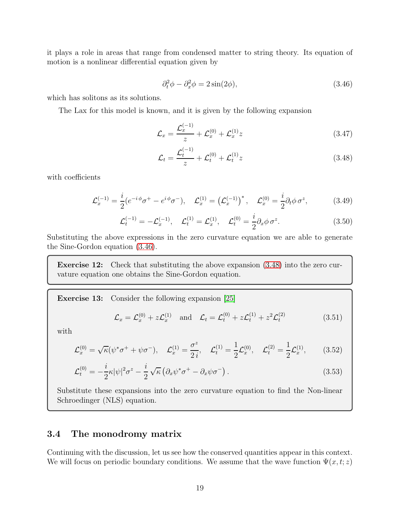it plays a role in areas that range from condensed matter to string theory. Its equation of motion is a nonlinear differential equation given by

<span id="page-19-1"></span>
$$
\partial_t^2 \phi - \partial_x^2 \phi = 2\sin(2\phi),\tag{3.46}
$$

which has solitons as its solutions.

The Lax for this model is known, and it is given by the following expansion

$$
\mathcal{L}_x = \frac{\mathcal{L}_x^{(-1)}}{z} + \mathcal{L}_x^{(0)} + \mathcal{L}_x^{(1)} z \tag{3.47}
$$

<span id="page-19-2"></span>
$$
\mathcal{L}_t = \frac{\mathcal{L}_t^{(-1)}}{z} + \mathcal{L}_t^{(0)} + \mathcal{L}_t^{(1)} z \tag{3.48}
$$

with coefficients

$$
\mathcal{L}_x^{(-1)} = \frac{i}{2} (e^{-i\phi} \sigma^+ - e^{i\phi} \sigma^-), \quad \mathcal{L}_x^{(1)} = (\mathcal{L}_x^{(-1)})^*, \quad \mathcal{L}_x^{(0)} = \frac{i}{2} \partial_t \phi \sigma^z,
$$
(3.49)

$$
\mathcal{L}_t^{(-1)} = -\mathcal{L}_x^{(-1)}, \quad \mathcal{L}_t^{(1)} = \mathcal{L}_x^{(1)}, \quad \mathcal{L}_t^{(0)} = \frac{i}{2} \partial_x \phi \, \sigma^z. \tag{3.50}
$$

Substituting the above expressions in the zero curvature equation we are able to generate the Sine-Gordon equation [\(3.46\)](#page-19-1).

Exercise 12: Check that substituting the above expansion [\(3.48\)](#page-19-2) into the zero curvature equation one obtains the Sine-Gordon equation.

Exercise 13: Consider the following expansion [\[25\]](#page-56-3)

$$
\mathcal{L}_x = \mathcal{L}_x^{(0)} + z \mathcal{L}_x^{(1)}
$$
 and  $\mathcal{L}_t = \mathcal{L}_t^{(0)} + z \mathcal{L}_t^{(1)} + z^2 \mathcal{L}_t^{(2)}$  (3.51)

with

$$
\mathcal{L}_x^{(0)} = \sqrt{\kappa}(\psi^* \sigma^+ + \psi \sigma^-), \quad \mathcal{L}_x^{(1)} = \frac{\sigma^z}{2i}, \quad \mathcal{L}_t^{(1)} = \frac{1}{2}\mathcal{L}_x^{(0)}, \quad \mathcal{L}_t^{(2)} = \frac{1}{2}\mathcal{L}_x^{(1)}, \tag{3.52}
$$

$$
\mathcal{L}_t^{(0)} = -\frac{i}{2}\kappa |\psi|^2 \sigma^z - \frac{i}{2} \sqrt{\kappa} \left( \partial_x \psi^* \sigma^+ - \partial_x \psi \sigma^- \right). \tag{3.53}
$$

Substitute these expansions into the zero curvature equation to find the Non-linear Schroedinger (NLS) equation.

### <span id="page-19-0"></span>3.4 The monodromy matrix

Continuing with the discussion, let us see how the conserved quantities appear in this context. We will focus on periodic boundary conditions. We assume that the wave function  $\Psi(x, t; z)$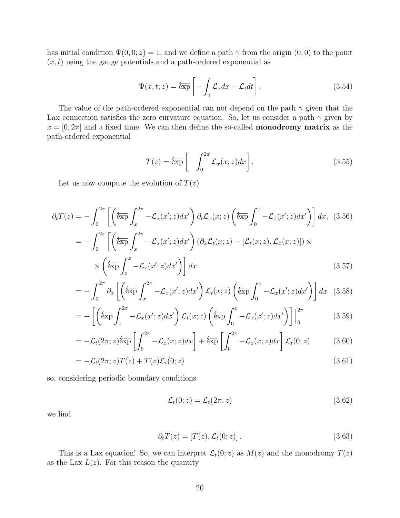has initial condition  $\Psi(0,0; z) = 1$ , and we define a path  $\gamma$  from the origin  $(0, 0)$  to the point  $(x, t)$  using the gauge potentials and a path-ordered exponential as

$$
\Psi(x,t;z) = \overleftarrow{\exp}\left[-\int_{\gamma} \mathcal{L}_x dx - \mathcal{L}_t dt\right].
$$
\n(3.54)

The value of the path-ordered exponential can not depend on the path  $\gamma$  given that the Lax connection satisfies the zero curvature equation. So, let us consider a path  $\gamma$  given by  $x = [0, 2\pi]$  and a fixed time. We can then define the so-called **monodromy matrix** as the path-ordered exponential

$$
T(z) = \overleftarrow{\exp}\left[-\int_0^{2\pi} \mathcal{L}_x(x; z) dx\right].
$$
 (3.55)

Let us now compute the evolution of  $T(z)$ 

$$
\partial_t T(z) = -\int_0^{2\pi} \left[ \left( \overline{\exp} \int_x^{2\pi} -\mathcal{L}_x(x'; z) dx' \right) \partial_t \mathcal{L}_x(x; z) \left( \overline{\exp} \int_0^x -\mathcal{L}_x(x'; z) dx' \right) \right] dx, (3.56)
$$

$$
= -\int_0^{2\pi} \left[ \left( \overline{\exp} \int_x^{2\pi} -\mathcal{L}_x(x'; z) dx' \right) (\partial_x \mathcal{L}_t(x; z) - [\mathcal{L}_t(x; z), \mathcal{L}_x(x; z)]) \times \left( \overline{\exp} \int_0^x -\mathcal{L}_x(x'; z) dx' \right) \right] dx
$$
(3.57)

$$
= -\int_0^{2\pi} \partial_x \left[ \left( \overleftarrow{\exp} \int_x^{2\pi} -\mathcal{L}_x(x'; z) dx' \right) \mathcal{L}_t(x; z) \left( \overleftarrow{\exp} \int_0^x -\mathcal{L}_x(x'; z) dx' \right) \right] dx \quad (3.58)
$$

$$
= -\left[\left(\overleftarrow{\exp} \int_{x}^{2\pi} -\mathcal{L}_x(x';z)dx'\right)\mathcal{L}_t(x;z)\left(\overleftarrow{\exp} \int_{0}^{x} -\mathcal{L}_x(x';z)dx'\right)\right]\Big|_{0}^{2\pi} \tag{3.59}
$$

$$
= -\mathcal{L}_t(2\pi; z)\overleftarrow{\exp}\left[\int_0^{2\pi} -\mathcal{L}_x(x; z)dx\right] + \overleftarrow{\exp}\left[\int_0^{2\pi} -\mathcal{L}_x(x; z)dx\right]\mathcal{L}_t(0; z) \tag{3.60}
$$

$$
= -\mathcal{L}_t(2\pi; z)T(z) + T(z)\mathcal{L}_t(0; z)
$$
\n(3.61)

so, considering periodic boundary conditions

$$
\mathcal{L}_t(0; z) = \mathcal{L}_t(2\pi, z) \tag{3.62}
$$

we find

$$
\partial_t T(z) = [T(z), \mathcal{L}_t(0; z)]. \qquad (3.63)
$$

This is a Lax equation! So, we can interpret  $\mathcal{L}_t(0; z)$  as  $M(z)$  and the monodromy  $T(z)$ as the Lax  $L(z)$ . For this reason the quantity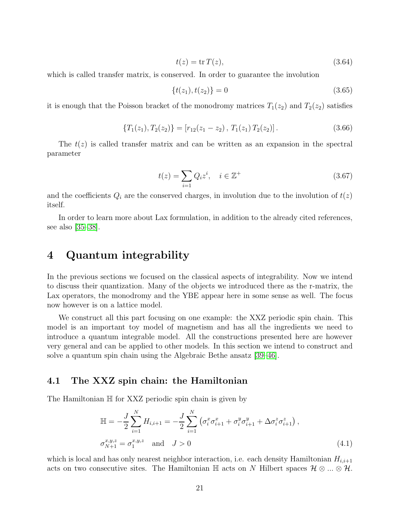$$
t(z) = \operatorname{tr} T(z),\tag{3.64}
$$

which is called transfer matrix, is conserved. In order to guarantee the involution

$$
\{t(z_1), t(z_2)\} = 0\tag{3.65}
$$

it is enough that the Poisson bracket of the monodromy matrices  $T_1(z_2)$  and  $T_2(z_2)$  satisfies

$$
\{T_1(z_1), T_2(z_2)\} = [r_{12}(z_1 - z_2), T_1(z_1) T_2(z_2)].
$$
\n(3.66)

The  $t(z)$  is called transfer matrix and can be written as an expansion in the spectral parameter

$$
t(z) = \sum_{i=1} Q_i z^i, \quad i \in \mathbb{Z}^+ \tag{3.67}
$$

and the coefficients  $Q_i$  are the conserved charges, in involution due to the involution of  $t(z)$ itself.

In order to learn more about Lax formulation, in addition to the already cited references, see also [\[35](#page-57-6)[–38\]](#page-57-7).

# <span id="page-21-0"></span>4 Quantum integrability

In the previous sections we focused on the classical aspects of integrability. Now we intend to discuss their quantization. Many of the objects we introduced there as the r-matrix, the Lax operators, the monodromy and the YBE appear here in some sense as well. The focus now however is on a lattice model.

We construct all this part focusing on one example: the XXZ periodic spin chain. This model is an important toy model of magnetism and has all the ingredients we need to introduce a quantum integrable model. All the constructions presented here are however very general and can be applied to other models. In this section we intend to construct and solve a quantum spin chain using the Algebraic Bethe ansatz [\[39–](#page-57-8)[46\]](#page-58-0).

#### <span id="page-21-1"></span>4.1 The XXZ spin chain: the Hamiltonian

The Hamiltonian H for XXZ periodic spin chain is given by

<span id="page-21-2"></span>
$$
\mathbb{H} = -\frac{J}{2} \sum_{i=1}^{N} H_{i,i+1} = -\frac{J}{2} \sum_{i=1}^{N} \left( \sigma_i^x \sigma_{i+1}^x + \sigma_i^y \sigma_{i+1}^y + \Delta \sigma_i^z \sigma_{i+1}^z \right),
$$
  
\n
$$
\sigma_{N+1}^{x,y,z} = \sigma_1^{x,y,z} \quad \text{and} \quad J > 0
$$
\n(4.1)

which is local and has only nearest neighbor interaction, i.e. each density Hamiltonian  $H_{i,i+1}$ acts on two consecutive sites. The Hamiltonian  $\mathbb H$  acts on N Hilbert spaces  $\mathcal H \otimes ... \otimes \mathcal H$ .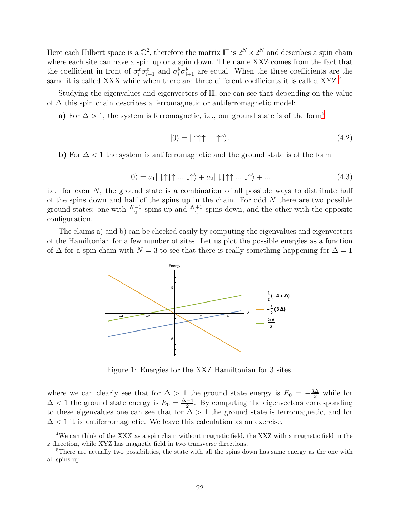Here each Hilbert space is a  $\mathbb{C}^2$ , therefore the matrix  $\mathbb{H}$  is  $2^N \times 2^N$  and describes a spin chain where each site can have a spin up or a spin down. The name XXZ comes from the fact that the coefficient in front of  $\sigma_i^x \sigma_{i+1}^x$  and  $\sigma_i^y \sigma_{i+1}^y$  are equal. When the three coefficients are the same it is called XXX while when there are three different coefficients it is called XYZ<sup>[4](#page-22-0)</sup>.

Studying the eigenvalues and eigenvectors of H, one can see that depending on the value of ∆ this spin chain describes a ferromagnetic or antiferromagnetic model:

a) For  $\Delta > 1$ , the system is ferromagnetic, i.e., our ground state is of the form<sup>[5](#page-22-1)</sup>

$$
|0\rangle = |\uparrow \uparrow \uparrow ... \uparrow \uparrow \rangle. \tag{4.2}
$$

b) For  $\Delta$  < 1 the system is antiferromagnetic and the ground state is of the form

$$
|0\rangle = a_1|\downarrow\uparrow\downarrow\uparrow...\downarrow\uparrow\rangle + a_2|\downarrow\downarrow\uparrow\uparrow...\downarrow\uparrow\rangle + ... \qquad (4.3)
$$

i.e. for even  $N$ , the ground state is a combination of all possible ways to distribute half of the spins down and half of the spins up in the chain. For odd  $N$  there are two possible ground states: one with  $\frac{N-1}{2}$  spins up and  $\frac{N+1}{2}$  spins down, and the other with the opposite configuration.

The claims a) and b) can be checked easily by computing the eigenvalues and eigenvectors of the Hamiltonian for a few number of sites. Let us plot the possible energies as a function of  $\Delta$  for a spin chain with  $N = 3$  to see that there is really something happening for  $\Delta = 1$ 



Figure 1: Energies for the XXZ Hamiltonian for 3 sites.

where we can clearly see that for  $\Delta > 1$  the ground state energy is  $E_0 = -\frac{3\Delta}{2}$  while for  $\Delta$  < 1 the ground state energy is  $E_0 = \frac{\Delta - 4}{2}$  $\frac{-4}{2}$ . By computing the eigenvectors corresponding to these eigenvalues one can see that for  $\Delta > 1$  the ground state is ferromagnetic, and for  $\Delta$  < 1 it is antiferromagnetic. We leave this calculation as an exercise.

<span id="page-22-0"></span><sup>&</sup>lt;sup>4</sup>We can think of the XXX as a spin chain without magnetic field, the XXZ with a magnetic field in the z direction, while XYZ has magnetic field in two transverse directions.

<span id="page-22-1"></span><sup>&</sup>lt;sup>5</sup>There are actually two possibilities, the state with all the spins down has same energy as the one with all spins up.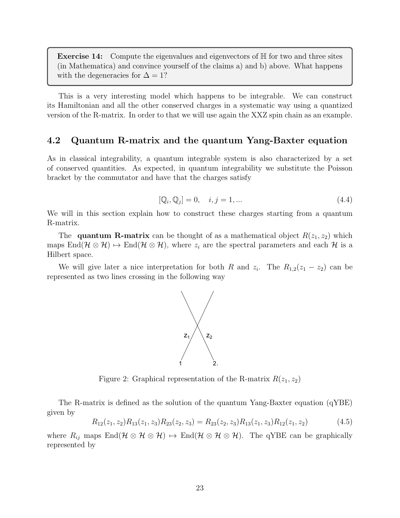**Exercise 14:** Compute the eigenvalues and eigenvectors of  $\mathbb{H}$  for two and three sites (in Mathematica) and convince yourself of the claims a) and b) above. What happens with the degeneracies for  $\Delta = 1$ ?

This is a very interesting model which happens to be integrable. We can construct its Hamiltonian and all the other conserved charges in a systematic way using a quantized version of the R-matrix. In order to that we will use again the XXZ spin chain as an example.

### <span id="page-23-0"></span>4.2 Quantum R-matrix and the quantum Yang-Baxter equation

As in classical integrability, a quantum integrable system is also characterized by a set of conserved quantities. As expected, in quantum integrability we substitute the Poisson bracket by the commutator and have that the charges satisfy

$$
[\mathbb{Q}_i, \mathbb{Q}_j] = 0, \quad i, j = 1, \dots \tag{4.4}
$$

We will in this section explain how to construct these charges starting from a quantum R-matrix.

The **quantum R-matrix** can be thought of as a mathematical object  $R(z_1, z_2)$  which maps  $\text{End}(\mathcal{H} \otimes \mathcal{H}) \mapsto \text{End}(\mathcal{H} \otimes \mathcal{H})$ , where  $z_i$  are the spectral parameters and each  $\mathcal{H}$  is a Hilbert space.

We will give later a nice interpretation for both R and  $z_i$ . The  $R_{1,2}(z_1 - z_2)$  can be represented as two lines crossing in the following way



Figure 2: Graphical representation of the R-matrix  $R(z_1, z_2)$ 

The R-matrix is defined as the solution of the quantum Yang-Baxter equation (qYBE) given by

<span id="page-23-1"></span>
$$
R_{12}(z_1, z_2)R_{13}(z_1, z_3)R_{23}(z_2, z_3) = R_{23}(z_2, z_3)R_{13}(z_1, z_3)R_{12}(z_1, z_2)
$$
\n(4.5)

where  $R_{ij}$  maps  $\text{End}(\mathcal{H} \otimes \mathcal{H} \otimes \mathcal{H}) \mapsto \text{End}(\mathcal{H} \otimes \mathcal{H} \otimes \mathcal{H})$ . The qYBE can be graphically represented by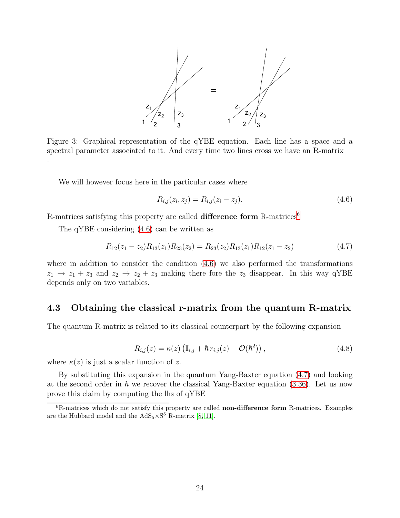

Figure 3: Graphical representation of the qYBE equation. Each line has a space and a spectral parameter associated to it. And every time two lines cross we have an R-matrix .

We will however focus here in the particular cases where

<span id="page-24-2"></span>
$$
R_{i,j}(z_i, z_j) = R_{i,j}(z_i - z_j). \tag{4.6}
$$

R-matrices satisfying this property are called **difference form** R-matrices<sup>[6](#page-24-1)</sup>

The qYBE considering [\(4.6\)](#page-24-2) can be written as

<span id="page-24-3"></span>
$$
R_{12}(z_1 - z_2)R_{13}(z_1)R_{23}(z_2) = R_{23}(z_2)R_{13}(z_1)R_{12}(z_1 - z_2)
$$
\n(4.7)

where in addition to consider the condition  $(4.6)$  we also performed the transformations  $z_1 \rightarrow z_1 + z_3$  and  $z_2 \rightarrow z_2 + z_3$  making there fore the  $z_3$  disappear. In this way qYBE depends only on two variables.

### <span id="page-24-0"></span>4.3 Obtaining the classical r-matrix from the quantum R-matrix

The quantum R-matrix is related to its classical counterpart by the following expansion

$$
R_{i,j}(z) = \kappa(z) \left( \mathbb{I}_{i,j} + \hbar r_{i,j}(z) + \mathcal{O}(\hbar^2) \right), \tag{4.8}
$$

where  $\kappa(z)$  is just a scalar function of z.

By substituting this expansion in the quantum Yang-Baxter equation [\(4.7\)](#page-24-3) and looking at the second order in  $\hbar$  we recover the classical Yang-Baxter equation [\(3.36\)](#page-16-2). Let us now prove this claim by computing the lhs of qYBE

<span id="page-24-1"></span><sup>&</sup>lt;sup>6</sup>R-matrices which do not satisfy this property are called **non-difference form** R-matrices. Examples are the Hubbard model and the  $AdS_5 \times S^5$  R-matrix [\[8,](#page-55-1) [11\]](#page-55-2).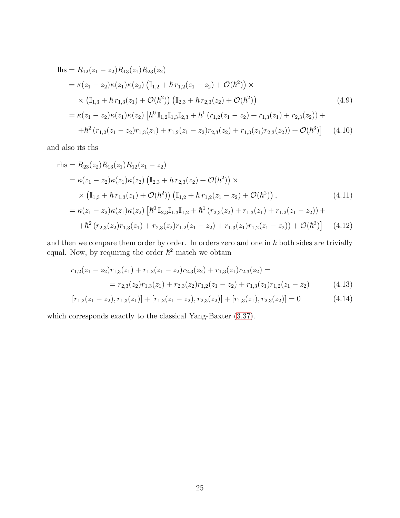$$
\begin{split} \text{lls} &= R_{12}(z_1 - z_2)R_{13}(z_1)R_{23}(z_2) \\ &= \kappa(z_1 - z_2)\kappa(z_1)\kappa(z_2) \left( \mathbb{I}_{1,2} + \hbar \, r_{1,2}(z_1 - z_2) + \mathcal{O}(\hbar^2) \right) \times \\ &\times \left( \mathbb{I}_{1,3} + \hbar \, r_{1,3}(z_1) + \mathcal{O}(\hbar^2) \right) \left( \mathbb{I}_{2,3} + \hbar \, r_{2,3}(z_2) + \mathcal{O}(\hbar^2) \right) \\ &= \kappa(z_1 - z_2)\kappa(z_1)\kappa(z_2) \left[ \hbar^0 \, \mathbb{I}_{1,2} \mathbb{I}_{1,3} \mathbb{I}_{2,3} + \hbar^1 \left( r_{1,2}(z_1 - z_2) + r_{1,3}(z_1) + r_{2,3}(z_2) \right) + \\ &\quad + \hbar^2 \left( r_{1,2}(z_1 - z_2) r_{1,3}(z_1) + r_{1,2}(z_1 - z_2) r_{2,3}(z_2) + r_{1,3}(z_1) r_{2,3}(z_2) \right) + \mathcal{O}(\hbar^3) \right] \end{split} \tag{4.10}
$$

and also its rhs

$$
\begin{split} \text{rhs} &= R_{23}(z_2)R_{13}(z_1)R_{12}(z_1 - z_2) \\ &= \kappa(z_1 - z_2)\kappa(z_1)\kappa(z_2) \left( \mathbb{I}_{2,3} + \hbar \, r_{2,3}(z_2) + \mathcal{O}(\hbar^2) \right) \times \\ &\times \left( \mathbb{I}_{1,3} + \hbar \, r_{1,3}(z_1) + \mathcal{O}(\hbar^2) \right) \left( \mathbb{I}_{1,2} + \hbar \, r_{1,2}(z_1 - z_2) + \mathcal{O}(\hbar^2) \right), \end{split} \tag{4.11}
$$
\n
$$
= \kappa(z_1 - z_2)\kappa(z_1)\kappa(z_2) \left[ \hbar^0 \mathbb{I}_{2,3} \mathbb{I}_{1,3} \mathbb{I}_{1,2} + \hbar^1 \left( r_{2,3}(z_2) + r_{1,3}(z_1) + r_{1,2}(z_1 - z_2) \right) + \\ + \hbar^2 \left( r_{2,3}(z_2) r_{1,3}(z_1) + r_{2,3}(z_2) r_{1,2}(z_1 - z_2) + r_{1,3}(z_1) r_{1,2}(z_1 - z_2) \right) + \mathcal{O}(\hbar^3) \right] \tag{4.12}
$$

and then we compare them order by order. In orders zero and one in  $\hbar$  both sides are trivially equal. Now, by requiring the order  $\hbar^2$  match we obtain

$$
r_{1,2}(z_1 - z_2)r_{1,3}(z_1) + r_{1,2}(z_1 - z_2)r_{2,3}(z_2) + r_{1,3}(z_1)r_{2,3}(z_2) =
$$
  
= 
$$
r_{2,3}(z_2)r_{1,3}(z_1) + r_{2,3}(z_2)r_{1,2}(z_1 - z_2) + r_{1,3}(z_1)r_{1,2}(z_1 - z_2)
$$
(4.13)

$$
[r_{1,2}(z_1 - z_2), r_{1,3}(z_1)] + [r_{1,2}(z_1 - z_2), r_{2,3}(z_2)] + [r_{1,3}(z_1), r_{2,3}(z_2)] = 0 \qquad (4.14)
$$

which corresponds exactly to the classical Yang-Baxter [\(3.37\)](#page-16-0).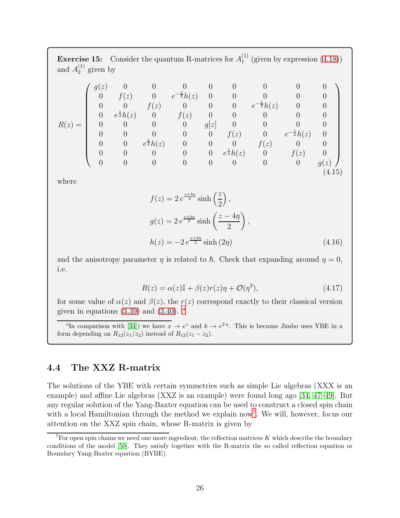**Exercise 15:** Consider the quantum R-matrices for  $A_1^{(1)}$  $_1^{(1)}$  (given by expression  $(4.18)$ ) and  $A_2^{(1)}$  given by

$$
R(z) = \begin{pmatrix} g(z) & 0 & 0 & 0 & 0 & 0 & 0 & 0 & 0 & 0 \\ 0 & f(z) & 0 & e^{-\frac{z}{2}}h(z) & 0 & 0 & 0 & 0 & 0 \\ 0 & 0 & f(z) & 0 & 0 & 0 & e^{-\frac{z}{2}}h(z) & 0 & 0 \\ 0 & e^{\frac{z}{2}}h(z) & 0 & f(z) & 0 & 0 & 0 & 0 & 0 \\ 0 & 0 & 0 & 0 & g[z] & 0 & 0 & 0 & 0 \\ 0 & 0 & e^{\frac{z}{2}}h(z) & 0 & 0 & f(z) & 0 & e^{-\frac{z}{2}}h(z) & 0 \\ 0 & 0 & 0 & 0 & 0 & e^{\frac{z}{2}}h(z) & 0 & f(z) & 0 \\ 0 & 0 & 0 & 0 & 0 & 0 & 0 & 0 & g(z) \end{pmatrix}
$$
(4.15)

where

$$
f(z) = 2 e^{\frac{z+4\eta}{2}} \sinh\left(\frac{z}{2}\right),
$$
  
\n
$$
g(z) = 2 e^{\frac{z+4\eta}{2}} \sinh\left(\frac{z-4\eta}{2}\right),
$$
  
\n
$$
h(z) = -2 e^{\frac{z+4\eta}{2}} \sinh(2\eta)
$$
\n(4.16)

and the anisotropy parameter  $\eta$  is related to  $\hbar$ . Check that expanding around  $\eta = 0$ , i.e.

$$
R(z) = \alpha(z)\mathbb{I} + \beta(z)r(z)\eta + \mathcal{O}(\eta^2),\tag{4.17}
$$

for some value of  $\alpha(z)$  and  $\beta(z)$ , the  $r(z)$  correspond exactly to their classical version given in equ[a](#page-26-1)tions  $(3.39)$  and  $(3.40)$ .  $\alpha$ 

<span id="page-26-1"></span><sup>a</sup>In comparison with [\[34\]](#page-57-5)) we have  $x \to e^z$  and  $k \to e^{2\eta}$ . This is because Jimbo uses YBE in a form depending on  $R_{12}(z_1/z_2)$  instead of  $R_{12}(z_1 - z_2)$ .

## <span id="page-26-0"></span>4.4 The XXZ R-matrix

The solutions of the YBE with certain symmetries such as simple Lie algebras (XXX is an example) and affine Lie algebras (XXZ is an example) were found long ago [\[34,](#page-57-5) [47](#page-58-1)[–49\]](#page-58-2). But any regular solution of the Yang-Baxter equation can be used to construct a closed spin chain with a local Hamiltonian through the method we explain now<sup>[7](#page-26-2)</sup>. We will, however, focus our attention on the XXZ spin chain, whose R-matrix is given by

<span id="page-26-2"></span> $^7$  For open spin chains we need one more ingredient, the reflection matrices K which describe the boundary conditions of the model [\[50\]](#page-58-3). They satisfy together with the R-matrix the so called reflection equation or Boundary Yang-Baxter equation (BYBE).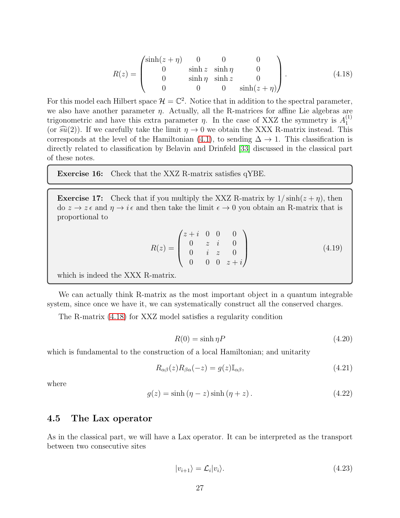<span id="page-27-1"></span>
$$
R(z) = \begin{pmatrix} \sinh(z+\eta) & 0 & 0 & 0 \\ 0 & \sinh z & \sinh \eta & 0 \\ 0 & \sinh \eta & \sinh z & 0 \\ 0 & 0 & 0 & \sinh(z+\eta) \end{pmatrix}.
$$
 (4.18)

For this model each Hilbert space  $\mathcal{H} = \mathbb{C}^2$ . Notice that in addition to the spectral parameter, we also have another parameter  $\eta$ . Actually, all the R-matrices for affine Lie algebras are trigonometric and have this extra parameter  $\eta$ . In the case of XXZ the symmetry is  $A_1^{(1)}$ 1 (or  $\widehat{\mathfrak{su}}(2)$ ). If we carefully take the limit  $\eta \to 0$  we obtain the XXX R-matrix instead. This corresponds at the level of the Hamiltonian  $(4.1)$ , to sending  $\Delta \rightarrow 1$ . This classification is directly related to classification by Belavin and Drinfeld [\[33\]](#page-57-4) discussed in the classical part of these notes.

Exercise 16: Check that the XXZ R-matrix satisfies qYBE.

**Exercise 17:** Check that if you multiply the XXZ R-matrix by  $1/\sinh(z + \eta)$ , then do  $z \to z \epsilon$  and  $\eta \to i \epsilon$  and then take the limit  $\epsilon \to 0$  you obtain an R-matrix that is proportional to

$$
R(z) = \begin{pmatrix} z+i & 0 & 0 & 0 \\ 0 & z & i & 0 \\ 0 & i & z & 0 \\ 0 & 0 & 0 & z+i \end{pmatrix}
$$
 (4.19)

which is indeed the XXX R-matrix.

We can actually think R-matrix as the most important object in a quantum integrable system, since once we have it, we can systematically construct all the conserved charges.

The R-matrix [\(4.18\)](#page-27-1) for XXZ model satisfies a regularity condition

$$
R(0) = \sinh \eta P \tag{4.20}
$$

which is fundamental to the construction of a local Hamiltonian; and unitarity

<span id="page-27-3"></span>
$$
R_{\alpha\beta}(z)R_{\beta\alpha}(-z) = g(z)\mathbb{I}_{\alpha\beta},\tag{4.21}
$$

where

<span id="page-27-2"></span>
$$
g(z) = \sinh(\eta - z)\sinh(\eta + z). \tag{4.22}
$$

#### <span id="page-27-0"></span>4.5 The Lax operator

As in the classical part, we will have a Lax operator. It can be interpreted as the transport between two consecutive sites

$$
|v_{i+1}\rangle = \mathcal{L}_i |v_i\rangle. \tag{4.23}
$$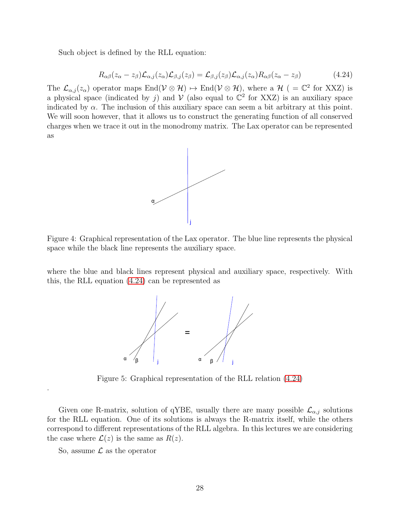Such object is defined by the RLL equation:

<span id="page-28-0"></span>
$$
R_{\alpha\beta}(z_{\alpha}-z_{\beta})\mathcal{L}_{\alpha,j}(z_{\alpha})\mathcal{L}_{\beta,j}(z_{\beta})=\mathcal{L}_{\beta,j}(z_{\beta})\mathcal{L}_{\alpha,j}(z_{\alpha})R_{\alpha\beta}(z_{\alpha}-z_{\beta})
$$
(4.24)

The  $\mathcal{L}_{\alpha,j}(z_\alpha)$  operator maps End $(\mathcal{V} \otimes \mathcal{H}) \mapsto$  End $(\mathcal{V} \otimes \mathcal{H})$ , where a  $\mathcal{H}$  ( =  $\mathbb{C}^2$  for XXZ) is a physical space (indicated by j) and  $V$  (also equal to  $\mathbb{C}^2$  for XXZ) is an auxiliary space indicated by  $\alpha$ . The inclusion of this auxiliary space can seem a bit arbitrary at this point. We will soon however, that it allows us to construct the generating function of all conserved charges when we trace it out in the monodromy matrix. The Lax operator can be represented as



Figure 4: Graphical representation of the Lax operator. The blue line represents the physical space while the black line represents the auxiliary space.

where the blue and black lines represent physical and auxiliary space, respectively. With this, the RLL equation [\(4.24\)](#page-28-0) can be represented as



<span id="page-28-1"></span>Figure 5: Graphical representation of the RLL relation [\(4.24\)](#page-28-0)

Given one R-matrix, solution of qYBE, usually there are many possible  $\mathcal{L}_{\alpha,j}$  solutions for the RLL equation. One of its solutions is always the R-matrix itself, while the others correspond to different representations of the RLL algebra. In this lectures we are considering the case where  $\mathcal{L}(z)$  is the same as  $R(z)$ .

So, assume  $\mathcal L$  as the operator

.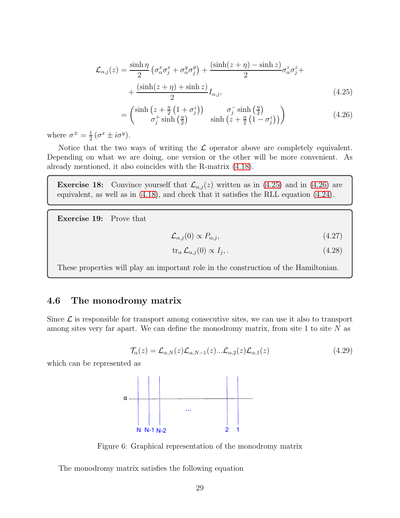$$
\mathcal{L}_{\alpha,j}(z) = \frac{\sinh \eta}{2} \left( \sigma_{\alpha}^x \sigma_j^x + \sigma_{\alpha}^y \sigma_j^y \right) + \frac{(\sinh(z + \eta) - \sinh z)}{2} \sigma_{\alpha}^z \sigma_j^z + \frac{(\sinh(z + \eta) + \sinh z)}{2} I_{\alpha,j},
$$
\n(4.25)

<span id="page-29-1"></span>
$$
= \begin{pmatrix} \sinh\left(z + \frac{\eta}{2}\left(1 + \sigma_j^z\right)\right) & \sigma_j^- \sinh\left(\frac{\eta}{2}\right) \\ \sigma_j^+ \sinh\left(\frac{\eta}{2}\right) & \sinh\left(z + \frac{\eta}{2}\left(1 - \sigma_j^z\right)\right) \end{pmatrix} \tag{4.26}
$$

where  $\sigma^{\pm} = \frac{1}{2}$  $\frac{1}{2}(\sigma^x \pm i\sigma^y).$ 

=

Notice that the two ways of writing the  $\mathcal L$  operator above are completely equivalent. Depending on what we are doing, one version or the other will be more convenient. As already mentioned, it also coincides with the R-matrix [\(4.18\)](#page-27-1).

**Exercise 18:** Convince yourself that  $\mathcal{L}_{\alpha,j}(z)$  written as in [\(4.25\)](#page-29-1) and in [\(4.26\)](#page-29-2) are equivalent, as well as in [\(4.18\)](#page-27-1), and check that it satisfies the RLL equation [\(4.24\)](#page-28-0).

Exercise 19: Prove that

<span id="page-29-2"></span>
$$
\mathcal{L}_{\alpha,j}(0) \propto P_{\alpha,j},\tag{4.27}
$$

<span id="page-29-3"></span>
$$
\operatorname{tr}_{\alpha} \mathcal{L}_{\alpha,j}(0) \propto I_j,\tag{4.28}
$$

These properties will play an important role in the construction of the Hamiltonian.

### <span id="page-29-0"></span>4.6 The monodromy matrix

Since  $\mathcal L$  is responsible for transport among consecutive sites, we can use it also to transport among sites very far apart. We can define the monodromy matrix, from site 1 to site N as

$$
\mathcal{T}_{\alpha}(z) = \mathcal{L}_{\alpha,N}(z)\mathcal{L}_{\alpha,N-1}(z)\dots\mathcal{L}_{\alpha,2}(z)\mathcal{L}_{\alpha,1}(z) \tag{4.29}
$$

which can be represented as



Figure 6: Graphical representation of the monodromy matrix

The monodromy matrix satisfies the following equation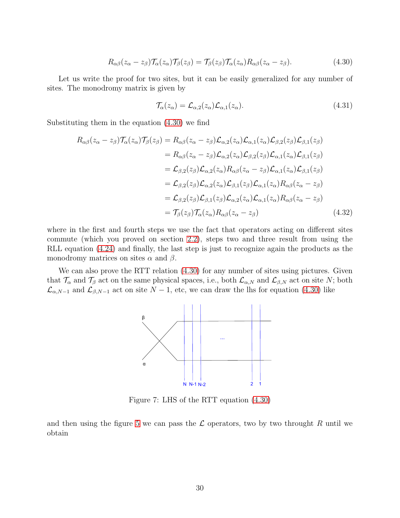<span id="page-30-0"></span>
$$
R_{\alpha\beta}(z_{\alpha}-z_{\beta})\mathcal{T}_{\alpha}(z_{\alpha})\mathcal{T}_{\beta}(z_{\beta})=\mathcal{T}_{\beta}(z_{\beta})\mathcal{T}_{\alpha}(z_{\alpha})R_{\alpha\beta}(z_{\alpha}-z_{\beta}).
$$
\n(4.30)

Let us write the proof for two sites, but it can be easily generalized for any number of sites. The monodromy matrix is given by

$$
\mathcal{T}_{\alpha}(z_{\alpha}) = \mathcal{L}_{\alpha,2}(z_{\alpha}) \mathcal{L}_{\alpha,1}(z_{\alpha}). \tag{4.31}
$$

Substituting them in the equation [\(4.30\)](#page-30-0) we find

$$
R_{\alpha\beta}(z_{\alpha} - z_{\beta})\mathcal{T}_{\alpha}(z_{\alpha})\mathcal{T}_{\beta}(z_{\beta}) = R_{\alpha\beta}(z_{\alpha} - z_{\beta})\mathcal{L}_{\alpha,2}(z_{\alpha})\mathcal{L}_{\alpha,1}(z_{\alpha})\mathcal{L}_{\beta,2}(z_{\beta})\mathcal{L}_{\beta,1}(z_{\beta})
$$
  
\n
$$
= R_{\alpha\beta}(z_{\alpha} - z_{\beta})\mathcal{L}_{\alpha,2}(z_{\alpha})\mathcal{L}_{\beta,2}(z_{\beta})\mathcal{L}_{\alpha,1}(z_{\alpha})\mathcal{L}_{\beta,1}(z_{\beta})
$$
  
\n
$$
= \mathcal{L}_{\beta,2}(z_{\beta})\mathcal{L}_{\alpha,2}(z_{\alpha})R_{\alpha\beta}(z_{\alpha} - z_{\beta})\mathcal{L}_{\alpha,1}(z_{\alpha})\mathcal{L}_{\beta,1}(z_{\beta})
$$
  
\n
$$
= \mathcal{L}_{\beta,2}(z_{\beta})\mathcal{L}_{\alpha,2}(z_{\alpha})\mathcal{L}_{\beta,1}(z_{\beta})\mathcal{L}_{\alpha,1}(z_{\alpha})R_{\alpha\beta}(z_{\alpha} - z_{\beta})
$$
  
\n
$$
= \mathcal{L}_{\beta,2}(z_{\beta})\mathcal{L}_{\beta,1}(z_{\beta})\mathcal{L}_{\alpha,2}(z_{\alpha})\mathcal{L}_{\alpha,1}(z_{\alpha})R_{\alpha\beta}(z_{\alpha} - z_{\beta})
$$
  
\n
$$
= \mathcal{T}_{\beta}(z_{\beta})\mathcal{T}_{\alpha}(z_{\alpha})R_{\alpha\beta}(z_{\alpha} - z_{\beta})
$$
  
\n(4.32)

where in the first and fourth steps we use the fact that operators acting on different sites commute (which you proved on section [2.2\)](#page-5-2), steps two and three result from using the RLL equation [\(4.24\)](#page-28-0) and finally, the last step is just to recognize again the products as the monodromy matrices on sites  $\alpha$  and  $\beta$ .

We can also prove the RTT relation  $(4.30)$  for any number of sites using pictures. Given that  $\mathcal{T}_{\alpha}$  and  $\mathcal{T}_{\beta}$  act on the same physical spaces, i.e., both  $\mathcal{L}_{\alpha,N}$  and  $\mathcal{L}_{\beta,N}$  act on site N; both  $\mathcal{L}_{\alpha,N-1}$  and  $\mathcal{L}_{\beta,N-1}$  act on site  $N-1$ , etc, we can draw the lhs for equation [\(4.30\)](#page-30-0) like



Figure 7: LHS of the RTT equation [\(4.30\)](#page-30-0)

and then using the figure [5](#page-28-1) we can pass the  $\mathcal L$  operators, two by two throught R until we obtain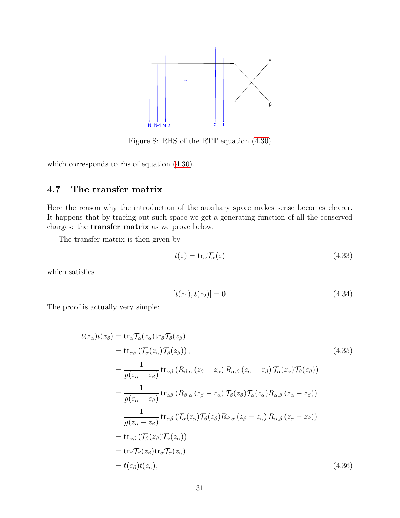

Figure 8: RHS of the RTT equation [\(4.30\)](#page-30-0)

<span id="page-31-0"></span>which corresponds to rhs of equation [\(4.30\)](#page-30-0).

## 4.7 The transfer matrix

Here the reason why the introduction of the auxiliary space makes sense becomes clearer. It happens that by tracing out such space we get a generating function of all the conserved charges: the transfer matrix as we prove below.

The transfer matrix is then given by

$$
t(z) = \text{tr}_{\alpha} \mathcal{T}_{\alpha}(z) \tag{4.33}
$$

which satisfies

<span id="page-31-1"></span>
$$
[t(z_1), t(z_2)] = 0. \t\t(4.34)
$$

The proof is actually very simple:

$$
t(z_{\alpha})t(z_{\beta}) = \text{tr}_{\alpha} \mathcal{T}_{\alpha}(z_{\alpha}) \text{tr}_{\beta} \mathcal{T}_{\beta}(z_{\beta})
$$
  
\n
$$
= \text{tr}_{\alpha\beta} \left( \mathcal{T}_{\alpha}(z_{\alpha}) \mathcal{T}_{\beta}(z_{\beta}) \right),
$$
  
\n
$$
= \frac{1}{g(z_{\alpha} - z_{\beta})} \text{tr}_{\alpha\beta} \left( R_{\beta,\alpha} \left( z_{\beta} - z_{\alpha} \right) R_{\alpha,\beta} \left( z_{\alpha} - z_{\beta} \right) \mathcal{T}_{\alpha}(z_{\alpha}) \mathcal{T}_{\beta}(z_{\beta}) \right)
$$
  
\n
$$
= \frac{1}{g(z_{\alpha} - z_{\beta})} \text{tr}_{\alpha\beta} \left( R_{\beta,\alpha} \left( z_{\beta} - z_{\alpha} \right) \mathcal{T}_{\beta}(z_{\beta}) \mathcal{T}_{\alpha}(z_{\alpha}) R_{\alpha,\beta} \left( z_{\alpha} - z_{\beta} \right) \right)
$$
  
\n
$$
= \frac{1}{g(z_{\alpha} - z_{\beta})} \text{tr}_{\alpha\beta} \left( \mathcal{T}_{\alpha}(z_{\alpha}) \mathcal{T}_{\beta}(z_{\beta}) R_{\beta,\alpha} \left( z_{\beta} - z_{\alpha} \right) R_{\alpha,\beta} \left( z_{\alpha} - z_{\beta} \right) \right)
$$
  
\n
$$
= \text{tr}_{\alpha\beta} \left( \mathcal{T}_{\beta}(z_{\beta}) \mathcal{T}_{\alpha}(z_{\alpha}) \right)
$$
  
\n
$$
= \text{tr}_{\beta} \mathcal{T}_{\beta}(z_{\beta}) \text{tr}_{\alpha} \mathcal{T}_{\alpha}(z_{\alpha})
$$
  
\n
$$
= t(z_{\beta}) t(z_{\alpha}),
$$
\n(4.36)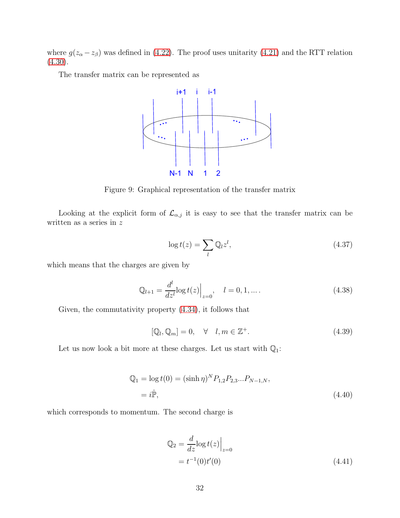where  $g(z_{\alpha}-z_{\beta})$  was defined in [\(4.22\)](#page-27-2). The proof uses unitarity [\(4.21\)](#page-27-3) and the RTT relation  $(4.30).$  $(4.30).$ 

The transfer matrix can be represented as



Figure 9: Graphical representation of the transfer matrix

Looking at the explicit form of  $\mathcal{L}_{\alpha,j}$  it is easy to see that the transfer matrix can be written as a series in  $\boldsymbol{z}$ 

$$
\log t(z) = \sum_{l} \mathbb{Q}_l z^l,\tag{4.37}
$$

which means that the charges are given by

$$
\mathbb{Q}_{l+1} = \frac{d^l}{dz^l} \log t(z) \Big|_{z=0}, \quad l = 0, 1, \dots.
$$
\n(4.38)

Given, the commutativity property [\(4.34\)](#page-31-1), it follows that

$$
[\mathbb{Q}_l, \mathbb{Q}_m] = 0, \quad \forall \quad l, m \in \mathbb{Z}^+.
$$
\n(4.39)

Let us now look a bit more at these charges. Let us start with  $\mathbb{Q}_1$ :

$$
Q_1 = \log t(0) = (\sinh \eta)^N P_{1,2} P_{2,3} ... P_{N-1,N},
$$
  
=  $i\hat{\mathbb{P}},$  (4.40)

which corresponds to momentum. The second charge is

<span id="page-32-0"></span>
$$
\mathbb{Q}_2 = \frac{d}{dz} \log t(z) \Big|_{z=0}
$$
  
=  $t^{-1}(0)t'(0)$  (4.41)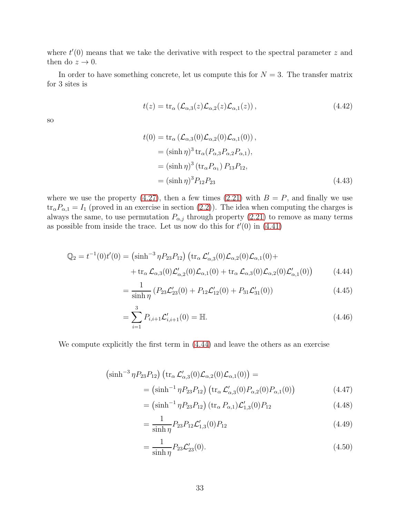where  $t'(0)$  means that we take the derivative with respect to the spectral parameter z and then do  $z \to 0$ .

In order to have something concrete, let us compute this for  $N = 3$ . The transfer matrix for 3 sites is

$$
t(z) = \operatorname{tr}_{\alpha} \left( \mathcal{L}_{\alpha,3}(z) \mathcal{L}_{\alpha,2}(z) \mathcal{L}_{\alpha,1}(z) \right), \tag{4.42}
$$

so

$$
t(0) = \text{tr}_{\alpha} (\mathcal{L}_{\alpha,3}(0) \mathcal{L}_{\alpha,2}(0) \mathcal{L}_{\alpha,1}(0)),
$$
  
\n
$$
= (\sinh \eta)^3 \text{tr}_{\alpha} (P_{\alpha,3} P_{\alpha,2} P_{\alpha,1}),
$$
  
\n
$$
= (\sinh \eta)^3 (\text{tr}_{\alpha} P_{\alpha_1}) P_{13} P_{12},
$$
  
\n
$$
= (\sinh \eta)^3 P_{12} P_{23}
$$
 (4.43)

where we use the property [\(4.27\)](#page-29-3), then a few times [\(2.21\)](#page-8-0) with  $B = P$ , and finally we use  $\text{tr}_{\alpha}P_{\alpha,1} = I_1$  (proved in an exercise in section [\(2.2\)](#page-5-2)). The idea when computing the charges is always the same, to use permutation  $P_{\alpha,j}$  through property [\(2.21\)](#page-8-0) to remove as many terms as possible from inside the trace. Let us now do this for  $t'(0)$  in  $(4.41)$ 

$$
\mathbb{Q}_2 = t^{-1}(0)t'(0) = (\sinh^{-3}\eta P_{23}P_{12}) (\text{tr}_\alpha \mathcal{L}'_{\alpha,3}(0)\mathcal{L}_{\alpha,2}(0)\mathcal{L}_{\alpha,1}(0) + \n+ \text{tr}_\alpha \mathcal{L}_{\alpha,3}(0)\mathcal{L}'_{\alpha,2}(0)\mathcal{L}_{\alpha,1}(0) + \text{tr}_\alpha \mathcal{L}_{\alpha,3}(0)\mathcal{L}_{\alpha,2}(0)\mathcal{L}'_{\alpha,1}(0))
$$
\n(4.44)

<span id="page-33-1"></span><span id="page-33-0"></span>
$$
=\frac{1}{\sinh \eta} \left(P_{23} \mathcal{L}_{23}'(0) + P_{12} \mathcal{L}_{12}'(0) + P_{31} \mathcal{L}_{31}'(0)\right) \tag{4.45}
$$

$$
=\sum_{i=1}^{3} P_{i,i+1} \mathcal{L}'_{i,i+1}(0) = \mathbb{H}.
$$
\n(4.46)

We compute explicitly the first term in [\(4.44\)](#page-33-0) and leave the others as an exercise

$$
\left(\sinh^{-3}\eta P_{23}P_{12}\right)\left(\operatorname{tr}_{\alpha}\mathcal{L}'_{\alpha,3}(0)\mathcal{L}_{\alpha,2}(0)\mathcal{L}_{\alpha,1}(0)\right) =\n= \left(\sinh^{-1}\eta P_{23}P_{12}\right)\left(\operatorname{tr}_{\alpha}\mathcal{L}'_{\alpha,3}(0)P_{\alpha,2}(0)P_{\alpha,1}(0)\right)\n\tag{4.47}
$$

$$
= (\sinh^{-1} \eta P_{23} P_{12}) (\text{tr}_{\alpha} P_{\alpha,1}) \mathcal{L}'_{1,3}(0) P_{12}
$$
\n(4.48)

$$
=\frac{1}{\sinh \eta} P_{23} P_{12} \mathcal{L}'_{1,3}(0) P_{12} \tag{4.49}
$$

$$
=\frac{1}{\sinh \eta} P_{23} \mathcal{L}'_{23}(0). \tag{4.50}
$$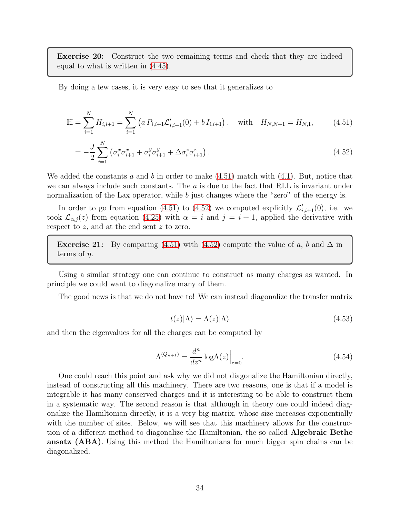Exercise 20: Construct the two remaining terms and check that they are indeed equal to what is written in [\(4.45\)](#page-33-1).

By doing a few cases, it is very easy to see that it generalizes to

$$
\mathbb{H} = \sum_{i=1}^{N} H_{i,i+1} = \sum_{i=1}^{N} \left( a \, P_{i,i+1} \mathcal{L}'_{i,i+1}(0) + b \, I_{i,i+1} \right), \quad \text{with} \quad H_{N,N+1} = H_{N,1}, \tag{4.51}
$$

$$
= -\frac{J}{2} \sum_{i=1}^{N} \left( \sigma_i^x \sigma_{i+1}^x + \sigma_i^y \sigma_{i+1}^y + \Delta \sigma_i^z \sigma_{i+1}^z \right). \tag{4.52}
$$

We added the constants a and b in order to make  $(4.51)$  match with  $(4.1)$ . But, notice that we can always include such constants. The  $a$  is due to the fact that RLL is invariant under normalization of the Lax operator, while b just changes where the "zero" of the energy is.

In order to go from equation [\(4.51\)](#page-34-0) to [\(4.52\)](#page-34-1) we computed explicitly  $\mathcal{L}'_{i,i+1}(0)$ , i.e. we took  $\mathcal{L}_{\alpha,j}(z)$  from equation [\(4.25\)](#page-29-1) with  $\alpha = i$  and  $j = i + 1$ , applied the derivative with respect to z, and at the end sent z to zero.

**Exercise 21:** By comparing [\(4.51\)](#page-34-0) with [\(4.52\)](#page-34-1) compute the value of a, b and  $\Delta$  in terms of  $\eta$ .

Using a similar strategy one can continue to construct as many charges as wanted. In principle we could want to diagonalize many of them.

The good news is that we do not have to! We can instead diagonalize the transfer matrix

<span id="page-34-1"></span><span id="page-34-0"></span>
$$
t(z)|\Lambda\rangle = \Lambda(z)|\Lambda\rangle \tag{4.53}
$$

and then the eigenvalues for all the charges can be computed by

$$
\Lambda^{(Q_{n+1})} = \frac{d^n}{dz^n} \log \Lambda(z) \Big|_{z=0}.
$$
\n(4.54)

One could reach this point and ask why we did not diagonalize the Hamiltonian directly, instead of constructing all this machinery. There are two reasons, one is that if a model is integrable it has many conserved charges and it is interesting to be able to construct them in a systematic way. The second reason is that although in theory one could indeed diagonalize the Hamiltonian directly, it is a very big matrix, whose size increases exponentially with the number of sites. Below, we will see that this machinery allows for the construction of a different method to diagonalize the Hamiltonian, the so called Algebraic Bethe ansatz (ABA). Using this method the Hamiltonians for much bigger spin chains can be diagonalized.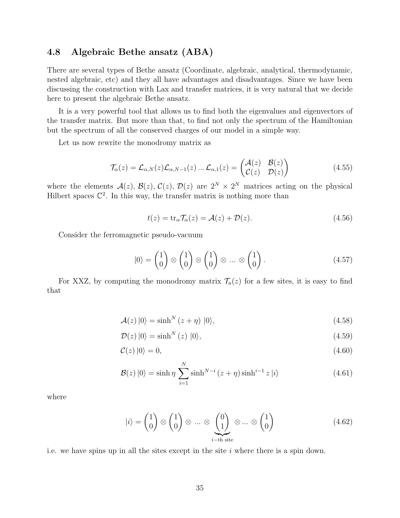### <span id="page-35-0"></span>4.8 Algebraic Bethe ansatz (ABA)

There are several types of Bethe ansatz (Coordinate, algebraic, analytical, thermodynamic, nested algebraic, etc) and they all have advantages and disadvantages. Since we have been discussing the construction with Lax and transfer matrices, it is very natural that we decide here to present the algebraic Bethe ansatz.

It is a very powerful tool that allows us to find both the eigenvalues and eigenvectors of the transfer matrix. But more than that, to find not only the spectrum of the Hamiltonian but the spectrum of all the conserved charges of our model in a simple way.

Let us now rewrite the monodromy matrix as

<span id="page-35-5"></span>
$$
\mathcal{T}_{\alpha}(z) = \mathcal{L}_{\alpha,N}(z)\mathcal{L}_{\alpha,N-1}(z)\dots\mathcal{L}_{\alpha,1}(z) = \begin{pmatrix} \mathcal{A}(z) & \mathcal{B}(z) \\ \mathcal{C}(z) & \mathcal{D}(z) \end{pmatrix}
$$
(4.55)

where the elements  $\mathcal{A}(z)$ ,  $\mathcal{B}(z)$ ,  $\mathcal{C}(z)$ ,  $\mathcal{D}(z)$  are  $2^N \times 2^N$  matrices acting on the physical Hilbert spaces  $\mathbb{C}^2$ . In this way, the transfer matrix is nothing more than

<span id="page-35-4"></span>
$$
t(z) = \text{tr}_{\alpha} \mathcal{T}_{\alpha}(z) = \mathcal{A}(z) + \mathcal{D}(z). \tag{4.56}
$$

Consider the ferromagnetic pseudo-vacuum

<span id="page-35-3"></span><span id="page-35-1"></span>
$$
|0\rangle = \begin{pmatrix} 1 \\ 0 \end{pmatrix} \otimes \begin{pmatrix} 1 \\ 0 \end{pmatrix} \otimes \begin{pmatrix} 1 \\ 0 \end{pmatrix} \otimes \dots \otimes \begin{pmatrix} 1 \\ 0 \end{pmatrix}.
$$
 (4.57)

For XXZ, by computing the monodromy matrix  $\mathcal{T}_a(z)$  for a few sites, it is easy to find that

$$
\mathcal{A}(z) \left| 0 \right\rangle = \sinh^N \left( z + \eta \right) \left| 0 \right\rangle, \tag{4.58}
$$

$$
\mathcal{D}(z) \left| 0 \right\rangle = \sinh^{N}(z) \left| 0 \right\rangle, \tag{4.59}
$$

<span id="page-35-2"></span>
$$
\mathcal{C}(z) \left| 0 \right\rangle = 0, \tag{4.60}
$$

$$
\mathcal{B}(z) |0\rangle = \sinh \eta \sum_{i=1}^{N} \sinh^{N-i} (z + \eta) \sinh^{i-1} z |i\rangle
$$
 (4.61)

where

$$
|i\rangle = \begin{pmatrix} 1 \\ 0 \end{pmatrix} \otimes \begin{pmatrix} 1 \\ 0 \end{pmatrix} \otimes \dots \otimes \underbrace{\begin{pmatrix} 0 \\ 1 \end{pmatrix}}_{i-\text{th site}} \otimes \dots \otimes \begin{pmatrix} 1 \\ 0 \end{pmatrix} \tag{4.62}
$$

i.e. we have spins up in all the sites except in the site  $i$  where there is a spin down.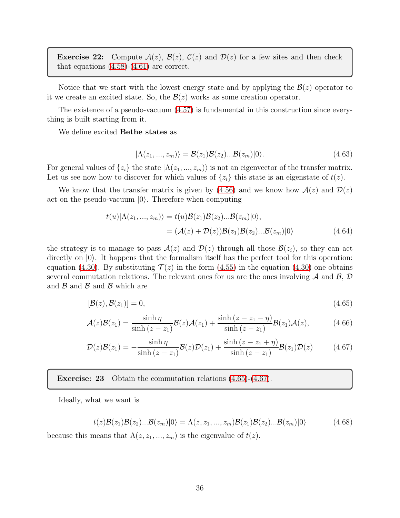**Exercise 22:** Compute  $A(z)$ ,  $B(z)$ ,  $C(z)$  and  $D(z)$  for a few sites and then check that equations  $(4.58)-(4.61)$  $(4.58)-(4.61)$  are correct.

Notice that we start with the lowest energy state and by applying the  $\mathcal{B}(z)$  operator to it we create an excited state. So, the  $\mathcal{B}(z)$  works as some creation operator.

The existence of a pseudo-vacuum [\(4.57\)](#page-35-3) is fundamental in this construction since everything is built starting from it.

We define excited Bethe states as

<span id="page-36-3"></span>
$$
|\Lambda(z_1,...,z_m)\rangle = \mathcal{B}(z_1)\mathcal{B}(z_2)... \mathcal{B}(z_m)|0\rangle.
$$
 (4.63)

For general values of  $\{z_i\}$  the state  $|\Lambda(z_1, ..., z_m)\rangle$  is not an eigenvector of the transfer matrix. Let us see now how to discover for which values of  $\{z_i\}$  this state is an eigenstate of  $t(z)$ .

We know that the transfer matrix is given by [\(4.56\)](#page-35-4) and we know how  $\mathcal{A}(z)$  and  $\mathcal{D}(z)$ act on the pseudo-vacuum  $|0\rangle$ . Therefore when computing

<span id="page-36-0"></span>
$$
t(u)|\Lambda(z_1,...,z_m)\rangle = t(u)\mathcal{B}(z_1)\mathcal{B}(z_2)...\mathcal{B}(z_m)|0\rangle,
$$
  
=  $(\mathcal{A}(z) + \mathcal{D}(z))\mathcal{B}(z_1)\mathcal{B}(z_2)...\mathcal{B}(z_m)|0\rangle$  (4.64)

the strategy is to manage to pass  $A(z)$  and  $D(z)$  through all those  $B(z_i)$ , so they can act directly on  $|0\rangle$ . It happens that the formalism itself has the perfect tool for this operation: equation [\(4.30\)](#page-30-0). By substituting  $\mathcal{T}(z)$  in the form [\(4.55\)](#page-35-5) in the equation (4.30) one obtains several commutation relations. The relevant ones for us are the ones involving  $A$  and  $B$ ,  $D$ and  $\beta$  and  $\beta$  and  $\beta$  which are

<span id="page-36-2"></span>
$$
[\mathcal{B}(z), \mathcal{B}(z_1)] = 0,\tag{4.65}
$$

$$
\mathcal{A}(z)\mathcal{B}(z_1) = \frac{\sinh\eta}{\sinh\left(z - z_1\right)}\mathcal{B}(z)\mathcal{A}(z_1) + \frac{\sinh\left(z - z_1 - \eta\right)}{\sinh\left(z - z_1\right)}\mathcal{B}(z_1)\mathcal{A}(z),\tag{4.66}
$$

<span id="page-36-1"></span>
$$
\mathcal{D}(z)\mathcal{B}(z_1) = -\frac{\sinh\eta}{\sinh\left(z - z_1\right)}\mathcal{B}(z)\mathcal{D}(z_1) + \frac{\sinh\left(z - z_1 + \eta\right)}{\sinh\left(z - z_1\right)}\mathcal{B}(z_1)\mathcal{D}(z) \tag{4.67}
$$

Exercise: 23 Obtain the commutation relations [\(4.65\)](#page-36-0)-[\(4.67\)](#page-36-1).

Ideally, what we want is

<span id="page-36-4"></span>
$$
t(z)\mathcal{B}(z_1)\mathcal{B}(z_2)... \mathcal{B}(z_m)|0\rangle = \Lambda(z, z_1, ..., z_m)\mathcal{B}(z_1)\mathcal{B}(z_2)... \mathcal{B}(z_m)|0\rangle
$$
(4.68)

because this means that  $\Lambda(z, z_1, ..., z_m)$  is the eigenvalue of  $t(z)$ .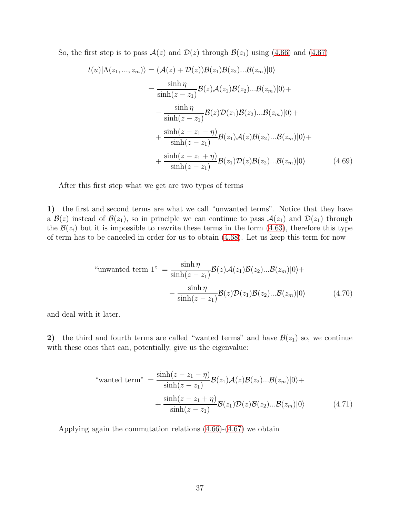So, the first step is to pass  $A(z)$  and  $D(z)$  through  $B(z_1)$  using [\(4.66\)](#page-36-2) and [\(4.67\)](#page-36-1)

$$
t(u)|\Lambda(z_1,...,z_m)\rangle = (\mathcal{A}(z) + \mathcal{D}(z))\mathcal{B}(z_1)\mathcal{B}(z_2)...\mathcal{B}(z_m)|0\rangle
$$
  
\n
$$
= \frac{\sinh \eta}{\sinh(z - z_1)}\mathcal{B}(z)\mathcal{A}(z_1)\mathcal{B}(z_2)...\mathcal{B}(z_m)|0\rangle +
$$
  
\n
$$
- \frac{\sinh \eta}{\sinh(z - z_1)}\mathcal{B}(z)\mathcal{D}(z_1)\mathcal{B}(z_2)...\mathcal{B}(z_m)|0\rangle +
$$
  
\n
$$
+ \frac{\sinh(z - z_1 - \eta)}{\sinh(z - z_1)}\mathcal{B}(z_1)\mathcal{A}(z)\mathcal{B}(z_2)...\mathcal{B}(z_m)|0\rangle +
$$
  
\n
$$
+ \frac{\sinh(z - z_1 + \eta)}{\sinh(z - z_1)}\mathcal{B}(z_1)\mathcal{D}(z)\mathcal{B}(z_2)...\mathcal{B}(z_m)|0\rangle \qquad (4.69)
$$

After this first step what we get are two types of terms

1) the first and second terms are what we call "unwanted terms". Notice that they have a  $\mathcal{B}(z)$  instead of  $\mathcal{B}(z_1)$ , so in principle we can continue to pass  $\mathcal{A}(z_1)$  and  $\mathcal{D}(z_1)$  through the  $\mathcal{B}(z_i)$  but it is impossible to rewrite these terms in the form [\(4.63\)](#page-36-3), therefore this type of term has to be canceled in order for us to obtain [\(4.68\)](#page-36-4). Let us keep this term for now

"unwanted term 1" = 
$$
\frac{\sinh \eta}{\sinh(z - z_1)} \mathcal{B}(z) \mathcal{A}(z_1) \mathcal{B}(z_2) \dots \mathcal{B}(z_m) |0\rangle +
$$

$$
-\frac{\sinh \eta}{\sinh(z - z_1)} \mathcal{B}(z) \mathcal{D}(z_1) \mathcal{B}(z_2) \dots \mathcal{B}(z_m) |0\rangle \tag{4.70}
$$

and deal with it later.

2) the third and fourth terms are called "wanted terms" and have  $\mathcal{B}(z_1)$  so, we continue with these ones that can, potentially, give us the eigenvalue:

$$
\text{``wanted term''} = \frac{\sinh(z - z_1 - \eta)}{\sinh(z - z_1)} \mathcal{B}(z_1) \mathcal{A}(z) \mathcal{B}(z_2) \dots \mathcal{B}(z_m) |0\rangle + \frac{\sinh(z - z_1 + \eta)}{\sinh(z - z_1)} \mathcal{B}(z_1) \mathcal{D}(z) \mathcal{B}(z_2) \dots \mathcal{B}(z_m) |0\rangle \tag{4.71}
$$

Applying again the commutation relations [\(4.66\)](#page-36-2)-[\(4.67\)](#page-36-1) we obtain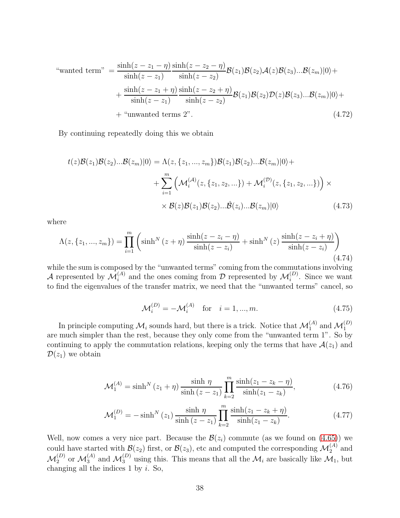$$
\text{``wanted term''} = \frac{\sinh(z - z_1 - \eta)}{\sinh(z - z_1)} \frac{\sinh(z - z_2 - \eta)}{\sinh(z - z_2)} \mathcal{B}(z_1) \mathcal{B}(z_2) \mathcal{A}(z) \mathcal{B}(z_3) \dots \mathcal{B}(z_m) |0\rangle + \frac{\sinh(z - z_1 + \eta)}{\sinh(z - z_1)} \frac{\sinh(z - z_2 + \eta)}{\sinh(z - z_2)} \mathcal{B}(z_1) \mathcal{B}(z_2) \mathcal{D}(z) \mathcal{B}(z_3) \dots \mathcal{B}(z_m) |0\rangle + \text{``unwanted terms 2''}.
$$
\n
$$
(4.72)
$$

By continuing repeatedly doing this we obtain

$$
t(z)\mathcal{B}(z_1)\mathcal{B}(z_2)... \mathcal{B}(z_m)|0\rangle = \Lambda(z, \{z_1, ..., z_m\})\mathcal{B}(z_1)\mathcal{B}(z_2)... \mathcal{B}(z_m)|0\rangle + \sum_{i=1}^m \left(\mathcal{M}_i^{(\mathcal{A})}(z, \{z_1, z_2, ...\}) + \mathcal{M}_i^{(\mathcal{D})}(z, \{z_1, z_2, ...\})\right) \times \mathcal{B}(z)\mathcal{B}(z_1)\mathcal{B}(z_2)... \mathcal{B}(z_n)|0\rangle
$$
\n(4.73)

where

<span id="page-38-1"></span>
$$
\Lambda(z, \{z_1, ..., z_m\}) = \prod_{i=1}^m \left( \sinh^N (z + \eta) \frac{\sinh(z - z_i - \eta)}{\sinh(z - z_i)} + \sinh^N (z) \frac{\sinh(z - z_i + \eta)}{\sinh(z - z_i)} \right)
$$
(4.74)

while the sum is composed by the "unwanted terms" coming from the commutations involving A represented by  $\mathcal{M}_i^{(A)}$  and the ones coming from D represented by  $\mathcal{M}_i^{(D)}$ . Since we want to find the eigenvalues of the transfer matrix, we need that the "unwanted terms" cancel, so

<span id="page-38-0"></span>
$$
\mathcal{M}_i^{(D)} = -\mathcal{M}_i^{(A)} \quad \text{for} \quad i = 1, ..., m. \tag{4.75}
$$

In principle computing  $\mathcal{M}_i$  sounds hard, but there is a trick. Notice that  $\mathcal{M}_1^{(A)}$  and  $\mathcal{M}_1^{(D)}$ are much simpler than the rest, because they only come from the "unwanted term 1". So by continuing to apply the commutation relations, keeping only the terms that have  $\mathcal{A}(z_1)$  and  $\mathcal{D}(z_1)$  we obtain

$$
\mathcal{M}_1^{(A)} = \sinh^N(z_1 + \eta) \frac{\sinh \eta}{\sinh (z - z_1)} \prod_{k=2}^m \frac{\sinh (z_1 - z_k - \eta)}{\sinh (z_1 - z_k)},
$$
(4.76)

$$
\mathcal{M}_1^{(D)} = -\sinh^N(z_1) \frac{\sinh \eta}{\sinh (z - z_1)} \prod_{k=2}^m \frac{\sinh (z_1 - z_k + \eta)}{\sinh (z_1 - z_k)}.
$$
 (4.77)

Well, now comes a very nice part. Because the  $\mathcal{B}(z_i)$  commute (as we found on [\(4.65\)](#page-36-0)) we could have started with  $\mathcal{B}(z_2)$  first, or  $\mathcal{B}(z_3)$ , etc and computed the corresponding  $\mathcal{M}_2^{(A)}$  and  $\mathcal{M}_2^{(D)}$  or  $\mathcal{M}_3^{(A)}$  and  $\mathcal{M}_3^{(D)}$  using this. This means that all the  $\mathcal{M}_i$  are basically like  $\mathcal{M}_1$ , but changing all the indices 1 by  $i$ . So,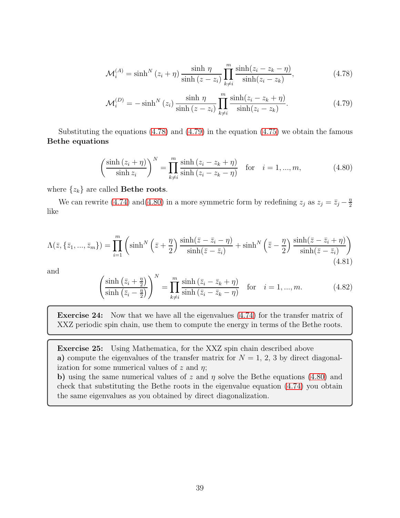<span id="page-39-0"></span>
$$
\mathcal{M}_i^{(A)} = \sinh^N(z_i + \eta) \frac{\sinh \eta}{\sinh (z - z_i)} \prod_{k \neq i}^m \frac{\sinh (z_i - z_k - \eta)}{\sinh (z_i - z_k)},
$$
\n(4.78)

<span id="page-39-1"></span>
$$
\mathcal{M}_i^{(D)} = -\sinh^N(z_i) \frac{\sinh \eta}{\sinh (z - z_i)} \prod_{k \neq i}^m \frac{\sinh (z_i - z_k + \eta)}{\sinh (z_i - z_k)}.
$$
\n(4.79)

Substituting the equations [\(4.78\)](#page-39-0) and [\(4.79\)](#page-39-1) in the equation [\(4.75\)](#page-38-0) we obtain the famous Bethe equations

<span id="page-39-2"></span>
$$
\left(\frac{\sinh(z_i + \eta)}{\sinh z_i}\right)^N = \prod_{k \neq i}^m \frac{\sinh(z_i - z_k + \eta)}{\sinh(z_i - z_k - \eta)} \quad \text{for} \quad i = 1, ..., m,
$$
\n(4.80)

where  $\{z_k\}$  are called **Bethe roots**.

We can rewrite [\(4.74\)](#page-38-1) and [\(4.80\)](#page-39-2) in a more symmetric form by redefining  $z_j$  as  $z_j = \bar{z}_j - \frac{\eta}{2}$ 2 like

$$
\Lambda(\bar{z}, \{\bar{z}_1, ..., \bar{z}_m\}) = \prod_{i=1}^m \left( \sinh^N \left(\bar{z} + \frac{\eta}{2}\right) \frac{\sinh(\bar{z} - \bar{z}_i - \eta)}{\sinh(\bar{z} - \bar{z}_i)} + \sinh^N \left(\bar{z} - \frac{\eta}{2}\right) \frac{\sinh(\bar{z} - \bar{z}_i + \eta)}{\sinh(\bar{z} - \bar{z}_i)} \right)
$$
(4.81)

and

$$
\left(\frac{\sinh\left(\bar{z}_i + \frac{\eta}{2}\right)}{\sinh\left(\bar{z}_i - \frac{\eta}{2}\right)}\right)^N = \prod_{k \neq i}^m \frac{\sinh\left(\bar{z}_i - \bar{z}_k + \eta\right)}{\sinh\left(\bar{z}_i - \bar{z}_k - \eta\right)} \quad \text{for} \quad i = 1, ..., m. \tag{4.82}
$$

Exercise 24: Now that we have all the eigenvalues [\(4.74\)](#page-38-1) for the transfer matrix of XXZ periodic spin chain, use them to compute the energy in terms of the Bethe roots.

Exercise 25: Using Mathematica, for the XXZ spin chain described above a) compute the eigenvalues of the transfer matrix for  $N = 1, 2, 3$  by direct diagonalization for some numerical values of  $z$  and  $\eta$ ;

b) using the same numerical values of z and  $\eta$  solve the Bethe equations [\(4.80\)](#page-39-2) and check that substituting the Bethe roots in the eigenvalue equation [\(4.74\)](#page-38-1) you obtain the same eigenvalues as you obtained by direct diagonalization.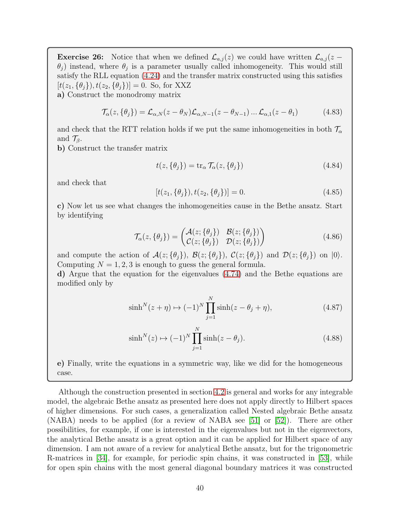**Exercise 26:** Notice that when we defined  $\mathcal{L}_{a,j}(z)$  we could have written  $\mathcal{L}_{a,j}(z \theta_j$ ) instead, where  $\theta_j$  is a parameter usually called inhomogeneity. This would still satisfy the RLL equation [\(4.24\)](#page-28-0) and the transfer matrix constructed using this satisfies  $[t(z_1, {\theta_i}), t(z_2, {\theta_i})]=0.$  So, for XXZ

a) Construct the monodromy matrix

$$
\mathcal{T}_{\alpha}(z,\{\theta_j\}) = \mathcal{L}_{\alpha,N}(z-\theta_N)\mathcal{L}_{\alpha,N-1}(z-\theta_{N-1})\dots\mathcal{L}_{\alpha,1}(z-\theta_1) \tag{4.83}
$$

and check that the RTT relation holds if we put the same inhomogeneities in both  $\mathcal{T}_{\alpha}$ and  $\mathcal{T}_{\beta}$ .

b) Construct the transfer matrix

$$
t(z, \{\theta_j\}) = \text{tr}_{\alpha} \mathcal{T}_{\alpha}(z, \{\theta_j\})
$$
\n(4.84)

and check that

$$
[t(z_1, \{\theta_j\}), t(z_2, \{\theta_j\})] = 0.
$$
\n(4.85)

c) Now let us see what changes the inhomogeneities cause in the Bethe ansatz. Start by identifying

$$
\mathcal{T}_{\alpha}(z,\{\theta_j\}) = \begin{pmatrix} \mathcal{A}(z;\{\theta_j\}) & \mathcal{B}(z;\{\theta_j\}) \\ \mathcal{C}(z;\{\theta_j\}) & \mathcal{D}(z;\{\theta_j\}) \end{pmatrix}
$$
(4.86)

and compute the action of  $\mathcal{A}(z; {\theta_i})$ ,  $\mathcal{B}(z; {\theta_i})$ ,  $\mathcal{C}(z; {\theta_j})$  and  $\mathcal{D}(z; {\theta_j})$  on  $|0\rangle$ . Computing  $N = 1, 2, 3$  is enough to guess the general formula.

d) Argue that the equation for the eigenvalues [\(4.74\)](#page-38-1) and the Bethe equations are modified only by

$$
\sinh^{N}(z+\eta) \mapsto (-1)^{N} \prod_{j=1}^{N} \sinh(z-\theta_{j}+\eta), \qquad (4.87)
$$

$$
\sinh^{N}(z) \mapsto (-1)^{N} \prod_{j=1}^{N} \sinh(z - \theta_{j}).
$$
\n(4.88)

e) Finally, write the equations in a symmetric way, like we did for the homogeneous case.

Although the construction presented in section [4.2](#page-23-0) is general and works for any integrable model, the algebraic Bethe ansatz as presented here does not apply directly to Hilbert spaces of higher dimensions. For such cases, a generalization called Nested algebraic Bethe ansatz (NABA) needs to be applied (for a review of NABA see [\[51\]](#page-58-4) or [\[52\]](#page-58-5)). There are other possibilities, for example, if one is interested in the eigenvalues but not in the eigenvectors, the analytical Bethe ansatz is a great option and it can be applied for Hilbert space of any dimension. I am not aware of a review for analytical Bethe ansatz, but for the trigonometric R-matrices in [\[34\]](#page-57-5), for example, for periodic spin chains, it was constructed in [\[53\]](#page-58-6), while for open spin chains with the most general diagonal boundary matrices it was constructed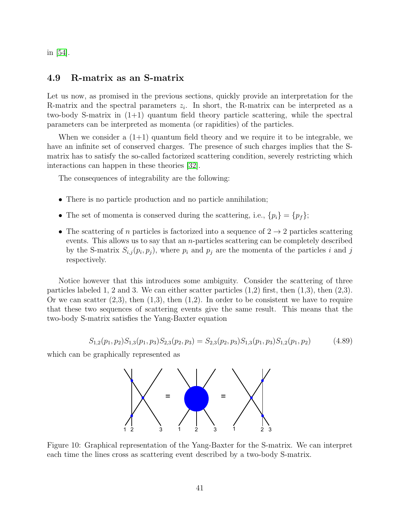<span id="page-41-0"></span>in [\[54\]](#page-58-7).

#### 4.9 R-matrix as an S-matrix

Let us now, as promised in the previous sections, quickly provide an interpretation for the R-matrix and the spectral parameters  $z_i$ . In short, the R-matrix can be interpreted as a two-body S-matrix in (1+1) quantum field theory particle scattering, while the spectral parameters can be interpreted as momenta (or rapidities) of the particles.

When we consider a  $(1+1)$  quantum field theory and we require it to be integrable, we have an infinite set of conserved charges. The presence of such charges implies that the Smatrix has to satisfy the so-called factorized scattering condition, severely restricting which interactions can happen in these theories [\[32\]](#page-57-3).

The consequences of integrability are the following:

- There is no particle production and no particle annihilation;
- The set of momenta is conserved during the scattering, i.e.,  $\{p_i\} = \{p_f\};$
- The scattering of n particles is factorized into a sequence of  $2 \rightarrow 2$  particles scattering events. This allows us to say that an n-particles scattering can be completely described by the S-matrix  $S_{i,j}(p_i, p_j)$ , where  $p_i$  and  $p_j$  are the momenta of the particles i and j respectively.

Notice however that this introduces some ambiguity. Consider the scattering of three particles labeled 1, 2 and 3. We can either scatter particles  $(1,2)$  first, then  $(1,3)$ , then  $(2,3)$ . Or we can scatter  $(2,3)$ , then  $(1,3)$ , then  $(1,2)$ . In order to be consistent we have to require that these two sequences of scattering events give the same result. This means that the two-body S-matrix satisfies the Yang-Baxter equation

$$
S_{1,2}(p_1, p_2)S_{1,3}(p_1, p_3)S_{2,3}(p_2, p_3) = S_{2,3}(p_2, p_3)S_{1,3}(p_1, p_3)S_{1,2}(p_1, p_2)
$$
(4.89)

which can be graphically represented as



Figure 10: Graphical representation of the Yang-Baxter for the S-matrix. We can interpret each time the lines cross as scattering event described by a two-body S-matrix.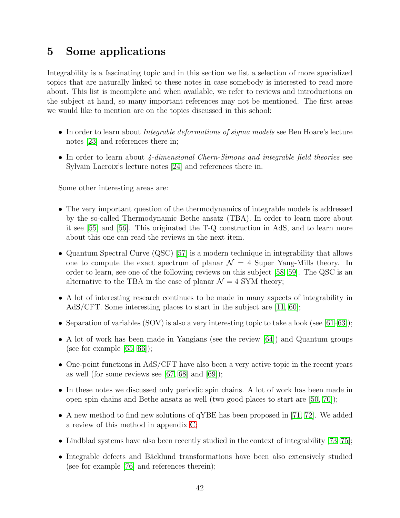# <span id="page-42-0"></span>5 Some applications

Integrability is a fascinating topic and in this section we list a selection of more specialized topics that are naturally linked to these notes in case somebody is interested to read more about. This list is incomplete and when available, we refer to reviews and introductions on the subject at hand, so many important references may not be mentioned. The first areas we would like to mention are on the topics discussed in this school:

- In order to learn about *Integrable deformations of sigma models* see Ben Hoare's lecture notes [\[23\]](#page-56-1) and references there in;
- In order to learn about 4-dimensional Chern-Simons and integrable field theories see Sylvain Lacroix's lecture notes [\[24\]](#page-56-2) and references there in.

Some other interesting areas are:

- The very important question of the thermodynamics of integrable models is addressed by the so-called Thermodynamic Bethe ansatz (TBA). In order to learn more about it see [\[55\]](#page-58-8) and [\[56\]](#page-58-9). This originated the T-Q construction in AdS, and to learn more about this one can read the reviews in the next item.
- Quantum Spectral Curve (QSC) [\[57\]](#page-58-10) is a modern technique in integrability that allows one to compute the exact spectrum of planar  $\mathcal{N} = 4$  Super Yang-Mills theory. In order to learn, see one of the following reviews on this subject [\[58,](#page-58-11) [59\]](#page-58-12). The QSC is an alternative to the TBA in the case of planar  $\mathcal{N} = 4$  SYM theory;
- A lot of interesting research continues to be made in many aspects of integrability in AdS/CFT. Some interesting places to start in the subject are [\[11,](#page-55-2) [60\]](#page-59-0);
- Separation of variables (SOV) is also a very interesting topic to take a look (see [\[61](#page-59-1)[–63\]](#page-59-2));
- A lot of work has been made in Yangians (see the review [\[64\]](#page-59-3)) and Quantum groups (see for example  $[65, 66]$  $[65, 66]$ );
- One-point functions in AdS/CFT have also been a very active topic in the recent years as well (for some reviews see  $[67, 68]$  $[67, 68]$  and  $[69]$ );
- In these notes we discussed only periodic spin chains. A lot of work has been made in open spin chains and Bethe ansatz as well (two good places to start are [\[50,](#page-58-3) [70\]](#page-59-9));
- A new method to find new solutions of qYBE has been proposed in [\[71,](#page-59-10) [72\]](#page-59-11). We added a review of this method in appendix [C;](#page-52-0)
- Lindblad systems have also been recently studied in the context of integrability [\[73–](#page-59-12)[75\]](#page-60-0);
- Integrable defects and Bäcklund transformations have been also extensively studied (see for example [\[76\]](#page-60-1) and references therein);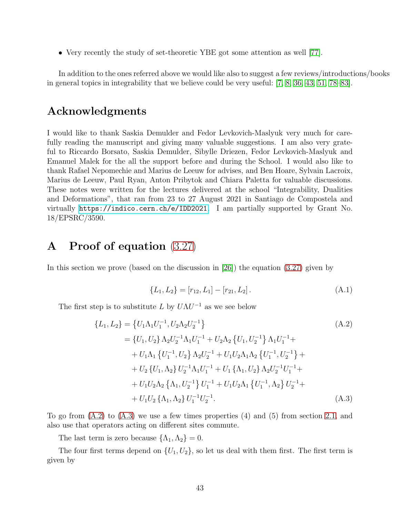• Very recently the study of set-theoretic YBE got some attention as well [\[77\]](#page-60-2).

In addition to the ones referred above we would like also to suggest a few reviews/introductions/books in general topics in integrability that we believe could be very useful: [\[7,](#page-55-3) [8,](#page-55-1) [36,](#page-57-9) [43,](#page-57-10) [51,](#page-58-4) [78–](#page-60-3)[83\]](#page-60-4).

## Acknowledgments

I would like to thank Saskia Demulder and Fedor Levkovich-Maslyuk very much for carefully reading the manuscript and giving many valuable suggestions. I am also very grateful to Riccardo Borsato, Saskia Demulder, Sibylle Driezen, Fedor Levkovich-Maslyuk and Emanuel Malek for the all the support before and during the School. I would also like to thank Rafael Nepomechie and Marius de Leeuw for advises, and Ben Hoare, Sylvain Lacroix, Marius de Leeuw, Paul Ryan, Anton Pribytok and Chiara Paletta for valuable discussions. These notes were written for the lectures delivered at the school "Integrability, Dualities and Deformations", that ran from 23 to 27 August 2021 in Santiago de Compostela and virtually <https://indico.cern.ch/e/IDD2021>. I am partially supported by Grant No. 18/EPSRC/3590.

# <span id="page-43-0"></span>A Proof of equation [\(3.27\)](#page-14-0)

In this section we prove (based on the discussion in  $[26]$ ) the equation  $(3.27)$  given by

<span id="page-43-2"></span><span id="page-43-1"></span>
$$
\{L_1, L_2\} = [r_{12}, L_1] - [r_{21}, L_2]. \tag{A.1}
$$

The first step is to substitute L by  $U\Lambda U^{-1}$  as we see below

$$
\{L_1, L_2\} = \{U_1 \Lambda_1 U_1^{-1}, U_2 \Lambda_2 U_2^{-1}\}\
$$
\n
$$
= \{U_1, U_2\} \Lambda_2 U_2^{-1} \Lambda_1 U_1^{-1} + U_2 \Lambda_2 \{U_1, U_2^{-1}\} \Lambda_1 U_1^{-1} +
$$
\n
$$
+ U_1 \Lambda_1 \{U_1^{-1}, U_2\} \Lambda_2 U_2^{-1} + U_1 U_2 \Lambda_1 \Lambda_2 \{U_1^{-1}, U_2^{-1}\} +
$$
\n
$$
+ U_2 \{U_1, \Lambda_2\} U_2^{-1} \Lambda_1 U_1^{-1} + U_1 \{\Lambda_1, U_2\} \Lambda_2 U_2^{-1} U_1^{-1} +
$$
\n
$$
+ U_1 U_2 \Lambda_2 \{\Lambda_1, U_2^{-1}\} U_1^{-1} + U_1 U_2 \Lambda_1 \{U_1^{-1}, \Lambda_2\} U_2^{-1} +
$$
\n
$$
+ U_1 U_2 \{\Lambda_1, \Lambda_2\} U_1^{-1} U_2^{-1}.
$$
\n(A.3)

To go from  $(A.2)$  to  $(A.3)$  we use a few times properties  $(4)$  and  $(5)$  from section [2.1,](#page-5-1) and also use that operators acting on different sites commute.

The last term is zero because  $\{\Lambda_1, \Lambda_2\} = 0$ .

The four first terms depend on  $\{U_1, U_2\}$ , so let us deal with them first. The first term is given by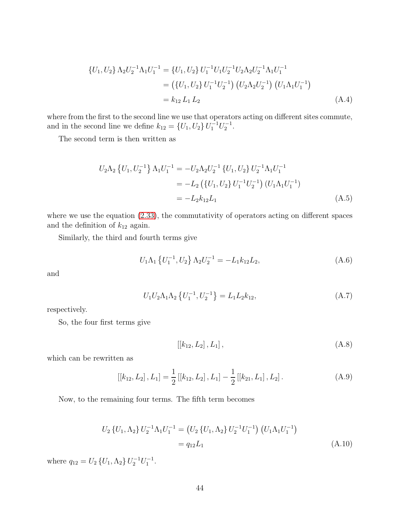$$
\{U_1, U_2\} \Lambda_2 U_2^{-1} \Lambda_1 U_1^{-1} = \{U_1, U_2\} U_1^{-1} U_1 U_2^{-1} U_2 \Lambda_2 U_2^{-1} \Lambda_1 U_1^{-1}
$$
  
= 
$$
(\{U_1, U_2\} U_1^{-1} U_2^{-1}) (U_2 \Lambda_2 U_2^{-1}) (U_1 \Lambda_1 U_1^{-1})
$$
  
=  $k_{12} L_1 L_2$  (A.4)

where from the first to the second line we use that operators acting on different sites commute, and in the second line we define  $k_{12} = \{U_1, U_2\} U_1^{-1} U_2^{-1}$ .

The second term is then written as

$$
U_2 \Lambda_2 \left\{ U_1, U_2^{-1} \right\} \Lambda_1 U_1^{-1} = -U_2 \Lambda_2 U_2^{-1} \left\{ U_1, U_2 \right\} U_2^{-1} \Lambda_1 U_1^{-1}
$$
  
=  $-L_2 \left( \left\{ U_1, U_2 \right\} U_1^{-1} U_2^{-1} \right) \left( U_1 \Lambda_1 U_1^{-1} \right)$   
=  $-L_2 k_{12} L_1$  (A.5)

where we use the equation [\(2.33\)](#page-10-4), the commutativity of operators acting on different spaces and the definition of  $k_{12}$  again.

Similarly, the third and fourth terms give

$$
U_1 \Lambda_1 \left\{ U_1^{-1}, U_2 \right\} \Lambda_2 U_2^{-1} = -L_1 k_{12} L_2, \tag{A.6}
$$

and

$$
U_1 U_2 \Lambda_1 \Lambda_2 \left\{ U_1^{-1}, U_2^{-1} \right\} = L_1 L_2 k_{12}, \tag{A.7}
$$

respectively.

So, the four first terms give

$$
[[k_{12}, L_2], L_1], \tag{A.8}
$$

which can be rewritten as

$$
[[k_{12}, L_2], L_1] = \frac{1}{2} [[k_{12}, L_2], L_1] - \frac{1}{2} [[k_{21}, L_1], L_2]. \tag{A.9}
$$

Now, to the remaining four terms. The fifth term becomes

$$
U_2 \{U_1, \Lambda_2\} U_2^{-1} \Lambda_1 U_1^{-1} = (U_2 \{U_1, \Lambda_2\} U_2^{-1} U_1^{-1}) (U_1 \Lambda_1 U_1^{-1})
$$
  
=  $q_{12} L_1$  (A.10)

where  $q_{12} = U_2 \{U_1, \Lambda_2\} U_2^{-1} U_1^{-1}$ .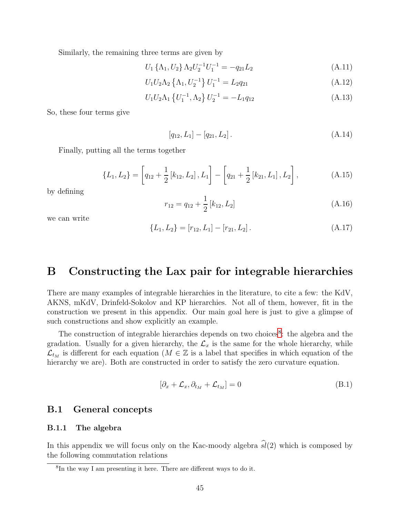Similarly, the remaining three terms are given by

$$
U_1 \{\Lambda_1, U_2\} \Lambda_2 U_2^{-1} U_1^{-1} = -q_{21} L_2 \tag{A.11}
$$

$$
U_1 U_2 \Lambda_2 \left\{ \Lambda_1, U_2^{-1} \right\} U_1^{-1} = L_2 q_{21}
$$
 (A.12)

$$
U_1 U_2 \Lambda_1 \left\{ U_1^{-1}, \Lambda_2 \right\} U_2^{-1} = -L_1 q_{12} \tag{A.13}
$$

So, these four terms give

$$
[q_{12}, L_1] - [q_{21}, L_2]. \tag{A.14}
$$

Finally, putting all the terms together

$$
\{L_1, L_2\} = \left[q_{12} + \frac{1}{2} \left[k_{12}, L_2\right], L_1\right] - \left[q_{21} + \frac{1}{2} \left[k_{21}, L_1\right], L_2\right],\tag{A.15}
$$

by defining

$$
r_{12} = q_{12} + \frac{1}{2} [k_{12}, L_2]
$$
 (A.16)

we can write

$$
\{L_1, L_2\} = [r_{12}, L_1] - [r_{21}, L_2]. \tag{A.17}
$$

# <span id="page-45-0"></span>B Constructing the Lax pair for integrable hierarchies

There are many examples of integrable hierarchies in the literature, to cite a few: the KdV, AKNS, mKdV, Drinfeld-Sokolov and KP hierarchies. Not all of them, however, fit in the construction we present in this appendix. Our main goal here is just to give a glimpse of such constructions and show explicitly an example.

The construction of integrable hierarchies depends on two choices<sup>[8](#page-45-3)</sup>: the algebra and the gradation. Usually for a given hierarchy, the  $\mathcal{L}_x$  is the same for the whole hierarchy, while  $\mathcal{L}_{t_M}$  is different for each equation ( $M \in \mathbb{Z}$  is a label that specifies in which equation of the hierarchy we are). Both are constructed in order to satisfy the zero curvature equation.

$$
[\partial_x + \mathcal{L}_x, \partial_{t_M} + \mathcal{L}_{t_M}] = 0
$$
\n(B.1)

#### <span id="page-45-2"></span><span id="page-45-1"></span>B.1 General concepts

#### B.1.1 The algebra

In this appendix we will focus only on the Kac-moody algebra  $\hat{sl}(2)$  which is composed by the following commutation relations

<span id="page-45-3"></span><sup>8</sup> In the way I am presenting it here. There are different ways to do it.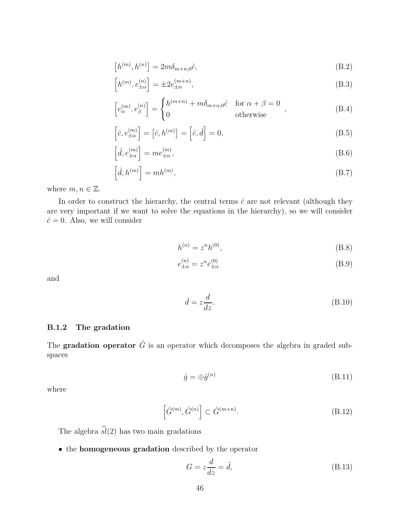$$
\left[h^{(m)},h^{(n)}\right] = 2m\delta_{m+n,0}\hat{c},\tag{B.2}
$$

$$
\[h^{(m)}, e^{(n)}_{\pm \alpha} \] = \pm 2e^{(m+n)}_{\pm \alpha},\tag{B.3}
$$

$$
\[e_{\alpha}^{(m)}, e_{\beta}^{(n)}\] = \begin{cases} h^{(m+n)} + m\delta_{m+n,0}\hat{c} & \text{for } \alpha + \beta = 0\\ 0 & \text{otherwise} \end{cases}
$$
\n(B.4)

$$
\left[\hat{c}, e^{(m)}_{\pm \alpha}\right] = \left[\hat{c}, h^{(m)}\right] = \left[\hat{c}, \hat{d}\right] = 0,\tag{B.5}
$$

$$
\left[\hat{d}, e^{(m)}_{\pm \alpha}\right] = me^{(m)}_{\pm \alpha},\tag{B.6}
$$

$$
\left[\hat{d}, h^{(m)}\right] = mh^{(m)},\tag{B.7}
$$

where  $m, n \in \mathbb{Z}$ .

In order to construct the hierarchy, the central terms  $\hat{c}$  are not relevant (although they are very important if we want to solve the equations in the hierarchy), so we will consider  $\hat{c} = 0$ . Also, we will consider

$$
h^{(n)} = z^n h^{(0)},
$$
\n(B.8)

$$
e_{\pm\alpha}^{(n)} = z^n e_{\pm\alpha}^{(0)} \tag{B.9}
$$

and

$$
\hat{d} = z \frac{d}{dz}.\tag{B.10}
$$

#### <span id="page-46-0"></span>B.1.2 The gradation

The **gradation operator**  $\hat{G}$  is an operator which decomposes the algebra in graded subspaces

$$
\hat{g} = \bigoplus \hat{g}^{(n)} \tag{B.11}
$$

where

$$
\left[\hat{G}^{(m)}, \hat{G}^{(n)}\right] \subset \hat{G}^{(m+n)}.
$$
\n(B.12)

The algebra  $\widehat{sl}(2)$  has two main gradations

• the homogeneous gradation described by the operator

$$
G = z\frac{d}{dz} = \hat{d},\tag{B.13}
$$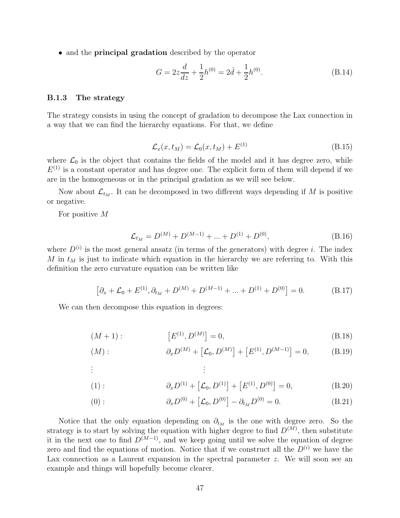• and the **principal gradation** described by the operator

$$
G = 2z\frac{d}{dz} + \frac{1}{2}h^{(0)} = 2\hat{d} + \frac{1}{2}h^{(0)}.
$$
 (B.14)

#### <span id="page-47-0"></span>B.1.3 The strategy

The strategy consists in using the concept of gradation to decompose the Lax connection in a way that we can find the hierarchy equations. For that, we define

$$
\mathcal{L}_x(x, t_M) = \mathcal{L}_0(x, t_M) + E^{(1)} \tag{B.15}
$$

where  $\mathcal{L}_0$  is the object that contains the fields of the model and it has degree zero, while  $E^{(1)}$  is a constant operator and has degree one. The explicit form of them will depend if we are in the homogeneous or in the principal gradation as we will see below.

Now about  $\mathcal{L}_{t_M}$ . It can be decomposed in two different ways depending if M is positive or negative.

For positive M

<span id="page-47-2"></span><span id="page-47-1"></span>
$$
\mathcal{L}_{t_M} = D^{(M)} + D^{(M-1)} + \dots + D^{(1)} + D^{(0)},
$$
\n(B.16)

where  $D^{(i)}$  is the most general ansatz (in terms of the generators) with degree i. The index M in  $t_M$  is just to indicate which equation in the hierarchy we are referring to. With this definition the zero curvature equation can be written like

$$
[\partial_x + \mathcal{L}_0 + E^{(1)}, \partial_{t_M} + D^{(M)} + D^{(M-1)} + \dots + D^{(1)} + D^{(0)}] = 0.
$$
 (B.17)

We can then decompose this equation in degrees:

$$
(M+1): \t\t [E(1), D(M)] = 0,
$$
\t(B.18)

$$
(M): \t\partial_x D^{(M)} + [\mathcal{L}_0, D^{(M)}] + [E^{(1)}, D^{(M-1)}] = 0,
$$
\t(B.19)

. . .

(1): 
$$
\partial_x D^{(1)} + [\mathcal{L}_0, D^{(1)}] + [E^{(1)}, D^{(0)}] = 0,
$$
 (B.20)

<span id="page-47-3"></span>(0): 
$$
\partial_x D^{(0)} + [\mathcal{L}_0, D^{(0)}] - \partial_{t_M} D^{(0)} = 0.
$$
 (B.21)

Notice that the only equation depending on  $\partial_{t_M}$  is the one with degree zero. So the strategy is to start by solving the equation with higher degree to find  $D^{(M)}$ , then substitute it in the next one to find  $D^{(M-1)}$ , and we keep going until we solve the equation of degree zero and find the equations of motion. Notice that if we construct all the  $D^{(i)}$  we have the Lax connection as a Laurent expansion in the spectral parameter z. We will soon see an example and things will hopefully become clearer.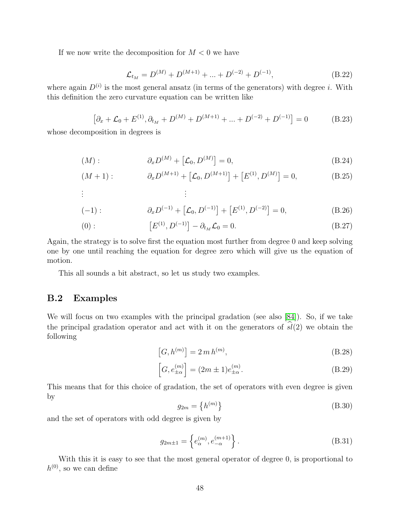If we now write the decomposition for  $M < 0$  we have

$$
\mathcal{L}_{t_M} = D^{(M)} + D^{(M+1)} + \dots + D^{(-2)} + D^{(-1)},
$$
\n(B.22)

where again  $D^{(i)}$  is the most general ansatz (in terms of the generators) with degree i. With this definition the zero curvature equation can be written like

$$
[\partial_x + \mathcal{L}_0 + E^{(1)}, \partial_{t_M} + D^{(M)} + D^{(M+1)} + \dots + D^{(-2)} + D^{(-1)}] = 0
$$
 (B.23)

whose decomposition in degrees is

$$
(M): \t\t \partial_x D^{(M)} + [\mathcal{L}_0, D^{(M)}] = 0,
$$
\t(B.24)

$$
(M+1): \t \partial_x D^{(M+1)} + [\mathcal{L}_0, D^{(M+1)}] + [E^{(1)}, D^{(M)}] = 0,
$$
\n
$$
\vdots
$$
\n(B.25)

. . .

$$
(-1): \qquad \partial_x D^{(-1)} + [\mathcal{L}_0, D^{(-1)}] + [E^{(1)}, D^{(-2)}] = 0,
$$
\n(B.26)

(0): 
$$
[E^{(1)}, D^{(-1)}] - \partial_{t_M} \mathcal{L}_0 = 0.
$$
 (B.27)

Again, the strategy is to solve first the equation most further from degree 0 and keep solving one by one until reaching the equation for degree zero which will give us the equation of motion.

This all sounds a bit abstract, so let us study two examples.

### <span id="page-48-0"></span>B.2 Examples

We will focus on two examples with the principal gradation (see also [\[84\]](#page-60-5)). So, if we take the principal gradation operator and act with it on the generators of  $sl(2)$  we obtain the following

$$
[G, h^{(m)}] = 2 m h^{(m)},
$$
\n(B.28)

$$
\[G, e_{\pm\alpha}^{(m)}\] = (2m \pm 1)e_{\pm\alpha}^{(m)}.\tag{B.29}
$$

This means that for this choice of gradation, the set of operators with even degree is given by

<span id="page-48-2"></span>
$$
g_{2m} = \left\{ h^{(m)} \right\} \tag{B.30}
$$

and the set of operators with odd degree is given by

<span id="page-48-1"></span>
$$
g_{2m\pm 1} = \left\{ e_{\alpha}^{(m)}, e_{-\alpha}^{(m+1)} \right\}.
$$
 (B.31)

With this it is easy to see that the most general operator of degree 0, is proportional to  $h^{(0)}$ , so we can define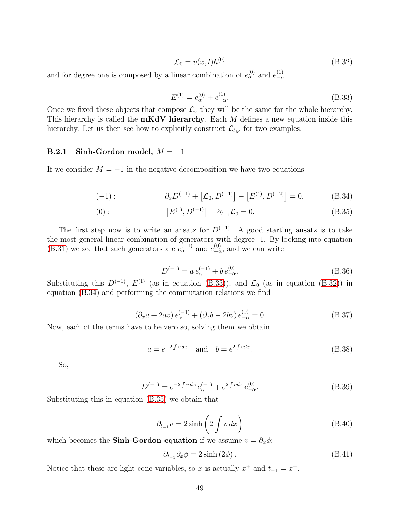<span id="page-49-2"></span>
$$
\mathcal{L}_0 = v(x, t)h^{(0)}\tag{B.32}
$$

and for degree one is composed by a linear combination of  $e_{\alpha}^{(0)}$  and  $e_{-\alpha}^{(1)}$  $-\alpha$ 

<span id="page-49-3"></span><span id="page-49-1"></span>
$$
E^{(1)} = e_{\alpha}^{(0)} + e_{-\alpha}^{(1)}.
$$
\n(B.33)

Once we fixed these objects that compose  $\mathcal{L}_x$  they will be the same for the whole hierarchy. This hierarchy is called the  $mKdV$  hierarchy. Each  $M$  defines a new equation inside this hierarchy. Let us then see how to explicitly construct  $\mathcal{L}_{t_M}$  for two examples.

#### <span id="page-49-0"></span>B.2.1 Sinh-Gordon model,  $M = -1$

If we consider  $M = -1$  in the negative decomposition we have two equations

$$
(-1): \qquad \partial_x D^{(-1)} + [\mathcal{L}_0, D^{(-1)}] + [E^{(1)}, D^{(-2)}] = 0, \qquad (B.34)
$$

(0): 
$$
\left[E^{(1)}, D^{(-1)}\right] - \partial_{t_{-1}} \mathcal{L}_0 = 0. \tag{B.35}
$$

The first step now is to write an ansatz for  $D^{(-1)}$ . A good starting ansatz is to take the most general linear combination of generators with degree -1. By looking into equation [\(B.31\)](#page-48-1) we see that such generators are  $e_{\alpha}^{(-1)}$  and  $e_{-\alpha}^{(0)}$ , and we can write

<span id="page-49-4"></span>
$$
D^{(-1)} = a e_{\alpha}^{(-1)} + b e_{-\alpha}^{(0)}.
$$
 (B.36)

Substituting this  $D^{(-1)}$ ,  $E^{(1)}$  (as in equation [\(B.33\)](#page-49-1)), and  $\mathcal{L}_0$  (as in equation [\(B.32\)](#page-49-2)) in equation [\(B.34\)](#page-49-3) and performing the commutation relations we find

$$
(\partial_x a + 2av) e_{\alpha}^{(-1)} + (\partial_x b - 2bv) e_{-\alpha}^{(0)} = 0.
$$
 (B.37)

Now, each of the terms have to be zero so, solving them we obtain

$$
a = e^{-2\int v \, dx} \quad \text{and} \quad b = e^{2\int v \, dx}.\tag{B.38}
$$

So,

$$
D^{(-1)} = e^{-2 \int v \, dx} \, e_{\alpha}^{(-1)} + e^{2 \int v \, dx} \, e_{-\alpha}^{(0)}.\tag{B.39}
$$

Substituting this in equation [\(B.35\)](#page-49-4) we obtain that

$$
\partial_{t_{-1}} v = 2 \sinh\left(2 \int v \, dx\right) \tag{B.40}
$$

which becomes the **Sinh-Gordon equation** if we assume  $v = \partial_x \phi$ :

$$
\partial_{t_{-1}} \partial_x \phi = 2 \sinh(2\phi). \tag{B.41}
$$

Notice that these are light-cone variables, so x is actually  $x^+$  and  $t_{-1} = x^-$ .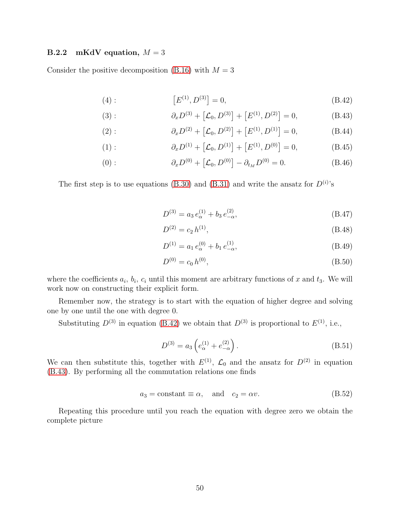#### <span id="page-50-0"></span>**B.2.2** mKdV equation,  $M = 3$

Consider the positive decomposition [\(B.16\)](#page-47-1) with  $M = 3$ 

(4): 
$$
[E^{(1)}, D^{(3)}] = 0,
$$
 (B.42)

(3): 
$$
\partial_x D^{(3)} + [\mathcal{L}_0, D^{(3)}] + [E^{(1)}, D^{(2)}] = 0,
$$
 (B.43)

(2): 
$$
\partial_x D^{(2)} + [\mathcal{L}_0, D^{(2)}] + [E^{(1)}, D^{(1)}] = 0,
$$
 (B.44)

(1): 
$$
\partial_x D^{(1)} + [\mathcal{L}_0, D^{(1)}] + [E^{(1)}, D^{(0)}] = 0,
$$
 (B.45)

(0): 
$$
\partial_x D^{(0)} + [\mathcal{L}_0, D^{(0)}] - \partial_{t_M} D^{(0)} = 0.
$$
 (B.46)

The first step is to use equations [\(B.30\)](#page-48-2) and [\(B.31\)](#page-48-1) and write the ansatz for  $D^{(i)}$ 's

<span id="page-50-2"></span><span id="page-50-1"></span>
$$
D^{(3)} = a_3 e_{\alpha}^{(1)} + b_3 e_{-\alpha}^{(2)},
$$
\n(B.47)

$$
D^{(2)} = c_2 h^{(1)}, \tag{B.48}
$$

$$
D^{(1)} = a_1 e_\alpha^{(0)} + b_1 e_{-\alpha}^{(1)},
$$
\n(B.49)

$$
D^{(0)} = c_0 h^{(0)}, \tag{B.50}
$$

where the coefficients  $a_i$ ,  $b_i$ ,  $c_i$  until this moment are arbitrary functions of x and  $t_3$ . We will work now on constructing their explicit form.

Remember now, the strategy is to start with the equation of higher degree and solving one by one until the one with degree 0.

Substituting  $D^{(3)}$  in equation [\(B.42\)](#page-50-1) we obtain that  $D^{(3)}$  is proportional to  $E^{(1)}$ , i.e.,

$$
D^{(3)} = a_3 \left( e_{\alpha}^{(1)} + e_{-\alpha}^{(2)} \right). \tag{B.51}
$$

We can then substitute this, together with  $E^{(1)}$ ,  $\mathcal{L}_0$  and the ansatz for  $D^{(2)}$  in equation [\(B.43\)](#page-50-2). By performing all the commutation relations one finds

$$
a_3 = \text{constant} \equiv \alpha, \quad \text{and} \quad c_2 = \alpha v. \tag{B.52}
$$

Repeating this procedure until you reach the equation with degree zero we obtain the complete picture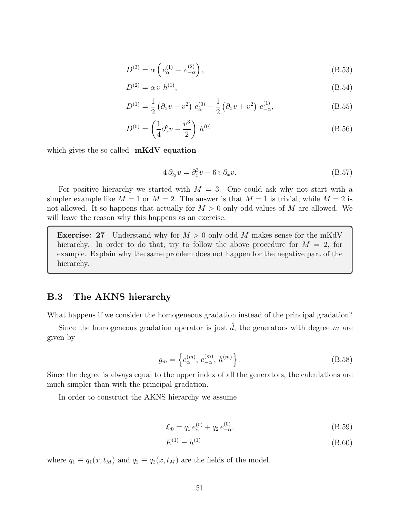$$
D^{(3)} = \alpha \left( e_{\alpha}^{(1)} + e_{-\alpha}^{(2)} \right), \tag{B.53}
$$

$$
D^{(2)} = \alpha v h^{(1)}, \tag{B.54}
$$

$$
D^{(1)} = \frac{1}{2} \left( \partial_x v - v^2 \right) e^{(0)}_{\alpha} - \frac{1}{2} \left( \partial_x v + v^2 \right) e^{(1)}_{-\alpha}, \tag{B.55}
$$

$$
D^{(0)} = \left(\frac{1}{4}\partial_x^2 v - \frac{v^3}{2}\right) h^{(0)}
$$
 (B.56)

which gives the so called  $mKdV$  equation

$$
4 \partial_{t_3} v = \partial_x^3 v - 6 v \partial_x v. \tag{B.57}
$$

For positive hierarchy we started with  $M = 3$ . One could ask why not start with a simpler example like  $M = 1$  or  $M = 2$ . The answer is that  $M = 1$  is trivial, while  $M = 2$  is not allowed. It so happens that actually for  $M > 0$  only odd values of M are allowed. We will leave the reason why this happens as an exercise.

**Exercise: 27** Understand why for  $M > 0$  only odd M makes sense for the mKdV hierarchy. In order to do that, try to follow the above procedure for  $M = 2$ , for example. Explain why the same problem does not happen for the negative part of the hierarchy.

### <span id="page-51-0"></span>B.3 The AKNS hierarchy

What happens if we consider the homogeneous gradation instead of the principal gradation?

Since the homogeneous gradation operator is just  $\hat{d}$ , the generators with degree m are given by

<span id="page-51-1"></span>
$$
g_m = \left\{ e_\alpha^{(m)}, e_{-\alpha}^{(m)}, h^{(m)} \right\}.
$$
 (B.58)

Since the degree is always equal to the upper index of all the generators, the calculations are much simpler than with the principal gradation.

In order to construct the AKNS hierarchy we assume

$$
\mathcal{L}_0 = q_1 e_\alpha^{(0)} + q_2 e_{-\alpha}^{(0)},\tag{B.59}
$$

$$
E^{(1)} = h^{(1)} \tag{B.60}
$$

where  $q_1 \equiv q_1(x, t_M)$  and  $q_2 \equiv q_2(x, t_M)$  are the fields of the model.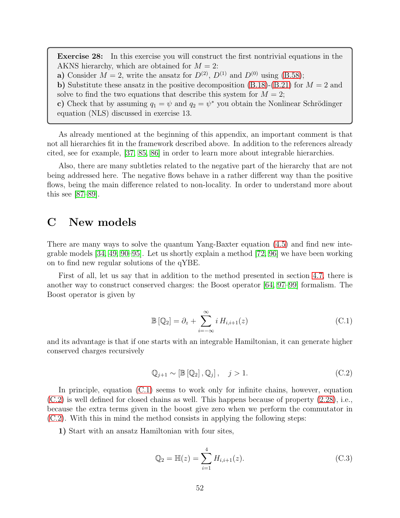Exercise 28: In this exercise you will construct the first nontrivial equations in the AKNS hierarchy, which are obtained for  $M = 2$ : **a**) Consider  $M = 2$ , write the ansatz for  $D^{(2)}$ ,  $D^{(1)}$  and  $D^{(0)}$  using [\(B.58\)](#page-51-1); b) Substitute these ansatz in the positive decomposition  $(B.18)-(B.21)$  $(B.18)-(B.21)$  for  $M = 2$  and solve to find the two equations that describe this system for  $M = 2$ ; c) Check that by assuming  $q_1 = \psi$  and  $q_2 = \psi^*$  you obtain the Nonlinear Schrödinger

equation (NLS) discussed in exercise 13.

As already mentioned at the beginning of this appendix, an important comment is that not all hierarchies fit in the framework described above. In addition to the references already cited, see for example, [\[37,](#page-57-11) [85,](#page-60-6) [86\]](#page-60-7) in order to learn more about integrable hierarchies.

Also, there are many subtleties related to the negative part of the hierarchy that are not being addressed here. The negative flows behave in a rather different way than the positive flows, being the main difference related to non-locality. In order to understand more about this see [\[87–](#page-60-8)[89\]](#page-61-0).

## <span id="page-52-0"></span>C New models

There are many ways to solve the quantum Yang-Baxter equation [\(4.5\)](#page-23-1) and find new integrable models  $[34, 49, 90-95]$  $[34, 49, 90-95]$  $[34, 49, 90-95]$  $[34, 49, 90-95]$ . Let us shortly explain a method  $[72, 96]$  $[72, 96]$  we have been working on to find new regular solutions of the qYBE.

First of all, let us say that in addition to the method presented in section [4.7,](#page-31-0) there is another way to construct conserved charges: the Boost operator [\[64,](#page-59-3) [97](#page-61-4)[–99\]](#page-61-5) formalism. The Boost operator is given by

<span id="page-52-1"></span>
$$
\mathbb{B}[\mathbb{Q}_2] = \partial_z + \sum_{i=-\infty}^{\infty} i H_{i,i+1}(z)
$$
\n(C.1)

and its advantage is that if one starts with an integrable Hamiltonian, it can generate higher conserved charges recursively

<span id="page-52-2"></span>
$$
\mathbb{Q}_{j+1} \sim [\mathbb{B}[\mathbb{Q}_2], \mathbb{Q}_j], \quad j > 1.
$$
 (C.2)

In principle, equation [\(C.1\)](#page-52-1) seems to work only for infinite chains, however, equation [\(C.2\)](#page-52-2) is well defined for closed chains as well. This happens because of property [\(2.28\)](#page-9-0), i.e., because the extra terms given in the boost give zero when we perform the commutator in [\(C.2\)](#page-52-2). With this in mind the method consists in applying the following steps:

1) Start with an ansatz Hamiltonian with four sites,

$$
\mathbb{Q}_2 = \mathbb{H}(z) = \sum_{i=1}^4 H_{i,i+1}(z). \tag{C.3}
$$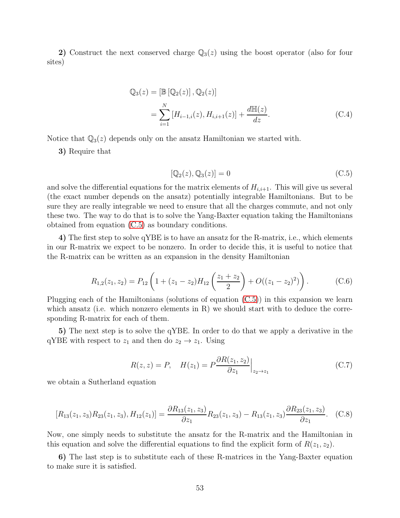2) Construct the next conserved charge  $\mathbb{Q}_3(z)$  using the boost operator (also for four sites)

$$
Q_3(z) = [\mathbb{B} [\mathbb{Q}_2(z)], \mathbb{Q}_2(z)]
$$
  
= 
$$
\sum_{i=1}^N [H_{i-1,i}(z), H_{i,i+1}(z)] + \frac{d\mathbb{H}(z)}{dz}.
$$
 (C.4)

Notice that  $\mathbb{Q}_3(z)$  depends only on the ansatz Hamiltonian we started with.

3) Require that

<span id="page-53-1"></span><span id="page-53-0"></span>
$$
[\mathbb{Q}_2(z), \mathbb{Q}_3(z)] = 0 \tag{C.5}
$$

and solve the differential equations for the matrix elements of  $H_{i,i+1}$ . This will give us several (the exact number depends on the ansatz) potentially integrable Hamiltonians. But to be sure they are really integrable we need to ensure that all the charges commute, and not only these two. The way to do that is to solve the Yang-Baxter equation taking the Hamiltonians obtained from equation [\(C.5\)](#page-53-0) as boundary conditions.

4) The first step to solve qYBE is to have an ansatz for the R-matrix, i.e., which elements in our R-matrix we expect to be nonzero. In order to decide this, it is useful to notice that the R-matrix can be written as an expansion in the density Hamiltonian

$$
R_{1,2}(z_1, z_2) = P_{12}\left(1 + (z_1 - z_2)H_{12}\left(\frac{z_1 + z_2}{2}\right) + O((z_1 - z_2)^2)\right). \tag{C.6}
$$

Plugging each of the Hamiltonians (solutions of equation [\(C.5\)](#page-53-0)) in this expansion we learn which ansatz (i.e. which nonzero elements in R) we should start with to deduce the corresponding R-matrix for each of them.

5) The next step is to solve the qYBE. In order to do that we apply a derivative in the qYBE with respect to  $z_1$  and then do  $z_2 \rightarrow z_1$ . Using

$$
R(z, z) = P, \quad H(z_1) = P \frac{\partial R(z_1, z_2)}{\partial z_1} \Big|_{z_2 \to z_1} \tag{C.7}
$$

we obtain a Sutherland equation

<span id="page-53-2"></span>
$$
[R_{13}(z_1, z_3)R_{23}(z_1, z_3), H_{12}(z_1)] = \frac{\partial R_{13}(z_1, z_3)}{\partial z_1}R_{23}(z_1, z_3) - R_{13}(z_1, z_3)\frac{\partial R_{23}(z_1, z_3)}{\partial z_1}.
$$
 (C.8)

Now, one simply needs to substitute the ansatz for the R-matrix and the Hamiltonian in this equation and solve the differential equations to find the explicit form of  $R(z_1, z_2)$ .

6) The last step is to substitute each of these R-matrices in the Yang-Baxter equation to make sure it is satisfied.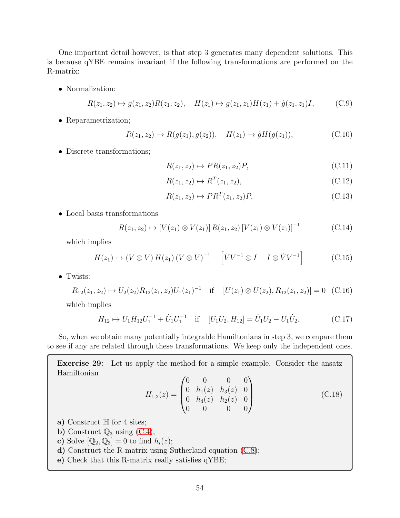One important detail however, is that step 3 generates many dependent solutions. This is because qYBE remains invariant if the following transformations are performed on the R-matrix:

• Normalization:

$$
R(z_1, z_2) \mapsto g(z_1, z_2)R(z_1, z_2), \quad H(z_1) \mapsto g(z_1, z_1)H(z_1) + \dot{g}(z_1, z_1)I, \quad (C.9)
$$

• Reparametrization;

$$
R(z_1, z_2) \mapsto R(g(z_1), g(z_2)), \quad H(z_1) \mapsto \dot{g}H(g(z_1)), \tag{C.10}
$$

• Discrete transformations;

$$
R(z_1, z_2) \mapsto PR(z_1, z_2)P, \tag{C.11}
$$

$$
R(z_1, z_2) \mapsto R^T(z_1, z_2), \tag{C.12}
$$

$$
R(z_1, z_2) \mapsto PR^T(z_1, z_2)P,
$$
\n(C.13)

• Local basis transformations

$$
R(z_1, z_2) \mapsto [V(z_1) \otimes V(z_1)] R(z_1, z_2) [V(z_1) \otimes V(z_1)]^{-1}
$$
 (C.14)

which implies

$$
H(z_1) \mapsto (V \otimes V) H(z_1) (V \otimes V)^{-1} - \left[ \dot{V} V^{-1} \otimes I - I \otimes \dot{V} V^{-1} \right]
$$
 (C.15)

• Twists:

$$
R_{12}(z_1, z_2) \mapsto U_2(z_2)R_{12}(z_1, z_2)U_1(z_1)^{-1} \quad \text{if} \quad [U(z_1) \otimes U(z_2), R_{12}(z_1, z_2)] = 0 \quad \text{(C.16)}
$$

which implies

$$
H_{12} \mapsto U_1 H_{12} U_1^{-1} + \dot{U}_1 U_1^{-1} \quad \text{if} \quad [U_1 U_2, H_{12}] = \dot{U}_1 U_2 - U_1 \dot{U}_2. \tag{C.17}
$$

So, when we obtain many potentially integrable Hamiltonians in step 3, we compare them to see if any are related through these transformations. We keep only the independent ones.

Exercise 29: Let us apply the method for a simple example. Consider the ansatz Hamiltonian

$$
H_{1,2}(z) = \begin{pmatrix} 0 & 0 & 0 & 0 \\ 0 & h_1(z) & h_3(z) & 0 \\ 0 & h_4(z) & h_2(z) & 0 \\ 0 & 0 & 0 & 0 \end{pmatrix}
$$
(C.18)

- a) Construct  $\mathbb H$  for 4 sites;
- **b)** Construct  $\mathbb{Q}_3$  using [\(C.4\)](#page-53-1);
- c) Solve  $[\mathbb{Q}_2, \mathbb{Q}_3] = 0$  to find  $h_i(z)$ ;
- d) Construct the R-matrix using Sutherland equation [\(C.8\)](#page-53-2);
- e) Check that this R-matrix really satisfies qYBE;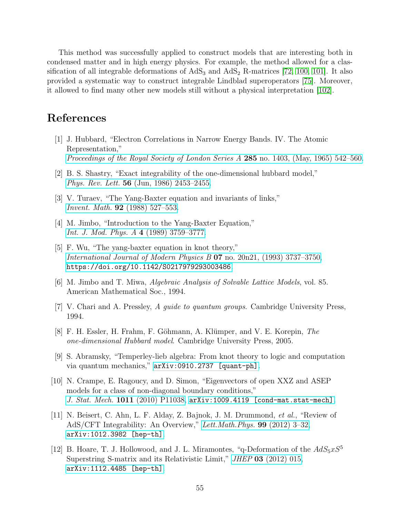This method was successfully applied to construct models that are interesting both in condensed matter and in high energy physics. For example, the method allowed for a classification of all integrable deformations of  $AdS_3$  and  $AdS_2$  R-matrices [\[72,](#page-59-11) [100,](#page-61-6) [101\]](#page-61-7). It also provided a systematic way to construct integrable Lindblad superoperators [\[75\]](#page-60-0). Moreover, it allowed to find many other new models still without a physical interpretation [\[102\]](#page-61-8).

# <span id="page-55-0"></span>References

- [1] J. Hubbard, "Electron Correlations in Narrow Energy Bands. IV. The Atomic Representation," [Proceedings of the Royal Society of London Series A](http://dx.doi.org/10.1098/rspa.1965.0124) 285 no. 1403, (May, 1965) 542–560.
- [2] B. S. Shastry, "Exact integrability of the one-dimensional hubbard model," Phys. Rev. Lett. 56 [\(Jun, 1986\) 2453–2455.](http://dx.doi.org/10.1103/PhysRevLett.56.2453)
- [3] V. Turaev, "The Yang-Baxter equation and invariants of links," Invent. Math. 92 [\(1988\) 527–553.](http://dx.doi.org/10.1007/BF01393746)
- [4] M. Jimbo, "Introduction to the Yang-Baxter Equation," [Int. J. Mod. Phys. A](http://dx.doi.org/10.1142/S0217751X89001503) 4 (1989) 3759–3777.
- [5] F. Wu, "The yang-baxter equation in knot theory," [International Journal of Modern Physics B](http://dx.doi.org/10.1142/S0217979293003486) 07 no. 20n21, (1993) 3737–3750, [https://doi.org/10.1142/S0217979293003486](http://arxiv.org/abs/https://doi.org/10.1142/S0217979293003486).
- <span id="page-55-3"></span>[6] M. Jimbo and T. Miwa, Algebraic Analysis of Solvable Lattice Models, vol. 85. American Mathematical Soc., 1994.
- <span id="page-55-1"></span>[7] V. Chari and A. Pressley, A guide to quantum groups. Cambridge University Press, 1994.
- [8] F. H. Essler, H. Frahm, F. Göhmann, A. Klümper, and V. E. Korepin, The one-dimensional Hubbard model. Cambridge University Press, 2005.
- [9] S. Abramsky, "Temperley-lieb algebra: From knot theory to logic and computation via quantum mechanics," [arXiv:0910.2737 \[quant-ph\]](http://arxiv.org/abs/0910.2737).
- [10] N. Crampe, E. Ragoucy, and D. Simon, "Eigenvectors of open XXZ and ASEP models for a class of non-diagonal boundary conditions," J. Stat. Mech. 1011 [\(2010\) P11038,](http://dx.doi.org/10.1088/1742-5468/2010/11/P11038) [arXiv:1009.4119 \[cond-mat.stat-mech\]](http://arxiv.org/abs/1009.4119).
- <span id="page-55-2"></span>[11] N. Beisert, C. Ahn, L. F. Alday, Z. Bajnok, J. M. Drummond, et al., "Review of AdS/CFT Integrability: An Overview," Lett. Math. Phys. 99 (2012) 3-32, [arXiv:1012.3982 \[hep-th\]](http://arxiv.org/abs/1012.3982).
- [12] B. Hoare, T. J. Hollowood, and J. L. Miramontes, "q-Deformation of the  $AdS_5xS^5$ Superstring S-matrix and its Relativistic Limit," *JHEP* 03 [\(2012\) 015,](http://dx.doi.org/10.1007/JHEP03(2012)015) [arXiv:1112.4485 \[hep-th\]](http://arxiv.org/abs/1112.4485).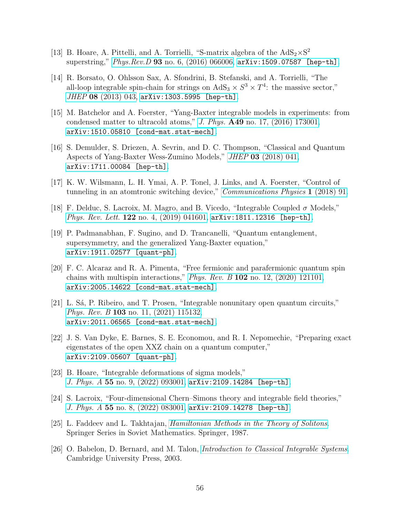- [13] B. Hoare, A. Pittelli, and A. Torrielli, "S-matrix algebra of the  $AdS_2 \times S^2$ superstring,"  $Phys. Rev. D$  93 [no. 6, \(2016\) 066006,](http://dx.doi.org/10.1103/PhysRevD.93.066006)  $arXiv:1509.07587$  [hep-th].
- [14] R. Borsato, O. Ohlsson Sax, A. Sfondrini, B. Stefanski, and A. Torrielli, "The all-loop integrable spin-chain for strings on  $AdS_3 \times S^3 \times T^4$ : the massive sector," JHEP 08 [\(2013\) 043,](http://dx.doi.org/10.1007/JHEP08(2013)043) [arXiv:1303.5995 \[hep-th\]](http://arxiv.org/abs/1303.5995).
- [15] M. Batchelor and A. Foerster, "Yang-Baxter integrable models in experiments: from condensed matter to ultracold atoms," J. Phys. A49 [no. 17, \(2016\) 173001,](http://dx.doi.org/10.1088/1751-8113/49/17/173001) [arXiv:1510.05810 \[cond-mat.stat-mech\]](http://arxiv.org/abs/1510.05810).
- [16] S. Demulder, S. Driezen, A. Sevrin, and D. C. Thompson, "Classical and Quantum Aspects of Yang-Baxter Wess-Zumino Models," JHEP 03 [\(2018\) 041,](http://dx.doi.org/10.1007/JHEP03(2018)041) [arXiv:1711.00084 \[hep-th\]](http://arxiv.org/abs/1711.00084).
- [17] K. W. Wilsmann, L. H. Ymai, A. P. Tonel, J. Links, and A. Foerster, "Control of tunneling in an atomtronic switching device," [Communications Physics](http://dx.doi.org/10.1038/s42005-018-0089-1) 1 (2018) 91.
- [18] F. Delduc, S. Lacroix, M. Magro, and B. Vicedo, "Integrable Coupled  $\sigma$  Models," *Phys. Rev. Lett.* 122 no. 4,  $(2019)$  041601,  $arXiv:1811.12316$  [hep-th].
- [19] P. Padmanabhan, F. Sugino, and D. Trancanelli, "Quantum entanglement, supersymmetry, and the generalized Yang-Baxter equation," [arXiv:1911.02577 \[quant-ph\]](http://arxiv.org/abs/1911.02577).
- [20] F. C. Alcaraz and R. A. Pimenta, "Free fermionic and parafermionic quantum spin chains with multispin interactions," *Phys. Rev. B* 102 no. 12,  $(2020)$  121101, [arXiv:2005.14622 \[cond-mat.stat-mech\]](http://arxiv.org/abs/2005.14622).
- [21] L. Sá, P. Ribeiro, and T. Prosen, "Integrable nonunitary open quantum circuits," *Phys. Rev. B* 103 [no. 11, \(2021\) 115132,](http://dx.doi.org/10.1103/PhysRevB.103.115132) [arXiv:2011.06565 \[cond-mat.stat-mech\]](http://arxiv.org/abs/2011.06565).
- <span id="page-56-0"></span>[22] J. S. Van Dyke, E. Barnes, S. E. Economou, and R. I. Nepomechie, "Preparing exact eigenstates of the open XXZ chain on a quantum computer," [arXiv:2109.05607 \[quant-ph\]](http://arxiv.org/abs/2109.05607).
- <span id="page-56-1"></span>[23] B. Hoare, "Integrable deformations of sigma models," J. Phys. A 55 [no. 9, \(2022\) 093001,](http://dx.doi.org/10.1088/1751-8121/ac4a1e) [arXiv:2109.14284 \[hep-th\]](http://arxiv.org/abs/2109.14284).
- <span id="page-56-2"></span>[24] S. Lacroix, "Four-dimensional Chern–Simons theory and integrable field theories," J. Phys. A 55 [no. 8, \(2022\) 083001,](http://dx.doi.org/10.1088/1751-8121/ac48ed) [arXiv:2109.14278 \[hep-th\]](http://arxiv.org/abs/2109.14278).
- <span id="page-56-3"></span>[25] L. Faddeev and L. Takhtajan, [Hamiltonian Methods in the Theory of Solitons](http://dx.doi.org/10.1007/978-3-540-69969-9). Springer Series in Soviet Mathematics. Springer, 1987.
- <span id="page-56-4"></span>[26] O. Babelon, D. Bernard, and M. Talon, *[Introduction to Classical Integrable Systems](http://dx.doi.org/10.1017/CBO9780511535024)*. Cambridge University Press, 2003.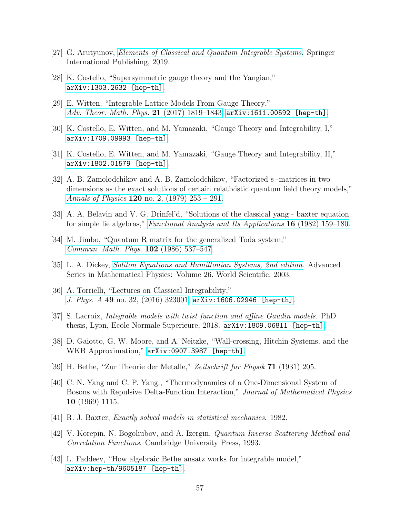- <span id="page-57-1"></span><span id="page-57-0"></span>[27] G. Arutyunov, [Elements of Classical and Quantum Integrable Systems](http://dx.doi.org/10.1007/978-3-030-24198-8). Springer International Publishing, 2019.
- [28] K. Costello, "Supersymmetric gauge theory and the Yangian," [arXiv:1303.2632 \[hep-th\]](http://arxiv.org/abs/1303.2632).
- [29] E. Witten, "Integrable Lattice Models From Gauge Theory," [Adv. Theor. Math. Phys.](http://dx.doi.org/10.4310/ATMP.2017.v21.n7.a10) 21 (2017) 1819–1843,  $arXiv:1611.00592$  [hep-th].
- <span id="page-57-2"></span>[30] K. Costello, E. Witten, and M. Yamazaki, "Gauge Theory and Integrability, I," [arXiv:1709.09993 \[hep-th\]](http://arxiv.org/abs/1709.09993).
- <span id="page-57-3"></span>[31] K. Costello, E. Witten, and M. Yamazaki, "Gauge Theory and Integrability, II," [arXiv:1802.01579 \[hep-th\]](http://arxiv.org/abs/1802.01579).
- [32] A. B. Zamolodchikov and A. B. Zamolodchikov, "Factorized s -matrices in two dimensions as the exact solutions of certain relativistic quantum field theory models," *Annals of Physics* 120 no. 2, (1979)  $253 - 291$ .
- <span id="page-57-5"></span><span id="page-57-4"></span>[33] A. A. Belavin and V. G. Drinfel'd, "Solutions of the classical yang - baxter equation for simple lie algebras," [Functional Analysis and Its Applications](http://dx.doi.org/10.1007/BF01081585) 16 (1982) 159–180.
- <span id="page-57-6"></span>[34] M. Jimbo, "Quantum R matrix for the generalized Toda system," [Commun. Math. Phys.](http://dx.doi.org/10.1007/BF01221646) 102 (1986) 537–547.
- <span id="page-57-9"></span>[35] L. A. Dickey, [Soliton Equations and Hamiltonian Systems, 2nd edition](http://dx.doi.org/10.1142/5108). Advanced Series in Mathematical Physics: Volume 26. World Scientific, 2003.
- [36] A. Torrielli, "Lectures on Classical Integrability," J. Phys. A 49 no. 32,  $(2016)$  323001, [arXiv:1606.02946 \[hep-th\]](http://arxiv.org/abs/1606.02946).
- <span id="page-57-11"></span><span id="page-57-7"></span>[37] S. Lacroix, Integrable models with twist function and affine Gaudin models. PhD thesis, Lyon, Ecole Normale Superieure, 2018. [arXiv:1809.06811 \[hep-th\]](http://arxiv.org/abs/1809.06811).
- <span id="page-57-8"></span>[38] D. Gaiotto, G. W. Moore, and A. Neitzke, "Wall-crossing, Hitchin Systems, and the WKB Approximation," [arXiv:0907.3987 \[hep-th\]](http://arxiv.org/abs/0907.3987).
- [39] H. Bethe, "Zur Theorie der Metalle," Zeitschrift fur Physik 71 (1931) 205.
- [40] C. N. Yang and C. P. Yang., "Thermodynamics of a One-Dimensional System of Bosons with Repulsive Delta-Function Interaction," Journal of Mathematical Physics 10 (1969) 1115.
- [41] R. J. Baxter, Exactly solved models in statistical mechanics. 1982.
- <span id="page-57-10"></span>[42] V. Korepin, N. Bogoliubov, and A. Izergin, Quantum Inverse Scattering Method and Correlation Functions. Cambridge University Press, 1993.
- [43] L. Faddeev, "How algebraic Bethe ansatz works for integrable model," [arXiv:hep-th/9605187 \[hep-th\]](http://arxiv.org/abs/hep-th/9605187).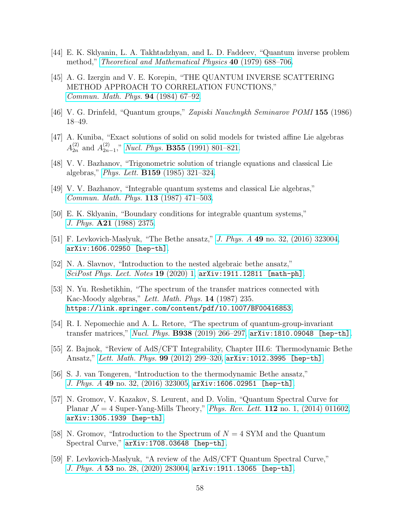- [44] E. K. Sklyanin, L. A. Takhtadzhyan, and L. D. Faddeev, "Quantum inverse problem method," *[Theoretical and Mathematical Physics](http://dx.doi.org/10.1007/BF01018718)* 40 (1979) 688–706.
- [45] A. G. Izergin and V. E. Korepin, "THE QUANTUM INVERSE SCATTERING METHOD APPROACH TO CORRELATION FUNCTIONS," [Commun. Math. Phys.](http://dx.doi.org/10.1007/BF01212350) 94 (1984) 67–92.
- <span id="page-58-1"></span><span id="page-58-0"></span>[46] V. G. Drinfeld, "Quantum groups," Zapiski Nauchnykh Seminarov POMI 155 (1986) 18–49.
- [47] A. Kuniba, "Exact solutions of solid on solid models for twisted affine Lie algebras  $A_{2n}^{(2)}$  and  $A_{2n}^{(2)}$  $\sum_{2n-1}^{(2)}$ ," Nucl. Phys. **B355** [\(1991\) 801–821.](http://dx.doi.org/10.1016/0550-3213(91)90495-J)
- <span id="page-58-2"></span>[48] V. V. Bazhanov, "Trigonometric solution of triangle equations and classical Lie algebras," Phys. Lett. B159 [\(1985\) 321–324.](http://dx.doi.org/10.1016/0370-2693(85)90259-X)
- <span id="page-58-3"></span>[49] V. V. Bazhanov, "Integrable quantum systems and classical Lie algebras," [Commun. Math. Phys.](http://dx.doi.org/10.1007/BF01221256) 113 (1987) 471–503.
- <span id="page-58-4"></span>[50] E. K. Sklyanin, "Boundary conditions for integrable quantum systems," J. Phys. A21 [\(1988\) 2375.](http://dx.doi.org/10.1088/0305-4470/21/10/015)
- [51] F. Levkovich-Maslyuk, "The Bethe ansatz," J. Phys. A 49 [no. 32, \(2016\) 323004,](http://dx.doi.org/10.1088/1751-8113/49/32/323004) [arXiv:1606.02950 \[hep-th\]](http://arxiv.org/abs/1606.02950).
- <span id="page-58-5"></span>[52] N. A. Slavnov, "Introduction to the nested algebraic bethe ansatz," [SciPost Phys. Lect. Notes](http://dx.doi.org/10.21468/SciPostPhysLectNotes.19) 19 (2020) 1, arXiv: 1911.12811 [math-ph].
- <span id="page-58-6"></span>[53] N. Yu. Reshetikhin, "The spectrum of the transfer matrices connected with Kac-Moody algebras," Lett. Math. Phys. 14 (1987) 235. <https://link.springer.com/content/pdf/10.1007/BF00416853>.
- <span id="page-58-7"></span>[54] R. I. Nepomechie and A. L. Retore, "The spectrum of quantum-group-invariant transfer matrices," Nucl. Phys. B938 [\(2019\) 266–297,](http://dx.doi.org/10.1016/j.nuclphysb.2018.11.017) [arXiv:1810.09048 \[hep-th\]](http://arxiv.org/abs/1810.09048).
- <span id="page-58-8"></span>[55] Z. Bajnok, "Review of AdS/CFT Integrability, Chapter III.6: Thermodynamic Bethe Ansatz," [Lett. Math. Phys.](http://dx.doi.org/10.1007/s11005-011-0512-y) 99 (2012) 299–320, [arXiv:1012.3995 \[hep-th\]](http://arxiv.org/abs/1012.3995).
- <span id="page-58-10"></span><span id="page-58-9"></span>[56] S. J. van Tongeren, "Introduction to the thermodynamic Bethe ansatz," J. Phys. A 49 no. 32,  $(2016)$  323005, [arXiv:1606.02951 \[hep-th\]](http://arxiv.org/abs/1606.02951).
- [57] N. Gromov, V. Kazakov, S. Leurent, and D. Volin, "Quantum Spectral Curve for Planar  $\mathcal{N} = 4$  Super-Yang-Mills Theory," Phys. Rev. Lett. 112 [no. 1, \(2014\) 011602,](http://dx.doi.org/10.1103/PhysRevLett.112.011602) [arXiv:1305.1939 \[hep-th\]](http://arxiv.org/abs/1305.1939).
- <span id="page-58-11"></span>[58] N. Gromov, "Introduction to the Spectrum of  $N = 4$  SYM and the Quantum Spectral Curve," [arXiv:1708.03648 \[hep-th\]](http://arxiv.org/abs/1708.03648).
- <span id="page-58-12"></span>[59] F. Levkovich-Maslyuk, "A review of the AdS/CFT Quantum Spectral Curve," J. Phys. A 53 [no. 28, \(2020\) 283004,](http://dx.doi.org/10.1088/1751-8121/ab7137) [arXiv:1911.13065 \[hep-th\]](http://arxiv.org/abs/1911.13065).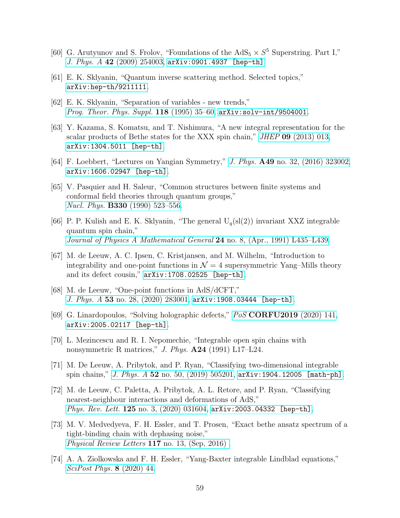- <span id="page-59-1"></span><span id="page-59-0"></span>[60] G. Arutyunov and S. Frolov, "Foundations of the  $AdS_5 \times S^5$  Superstring. Part I," J. Phys. A 42 [\(2009\) 254003,](http://dx.doi.org/10.1088/1751-8113/42/25/254003) [arXiv:0901.4937 \[hep-th\]](http://arxiv.org/abs/0901.4937).
- [61] E. K. Sklyanin, "Quantum inverse scattering method. Selected topics," [arXiv:hep-th/9211111](http://arxiv.org/abs/hep-th/9211111).
- <span id="page-59-2"></span>[62] E. K. Sklyanin, "Separation of variables - new trends," *[Prog. Theor. Phys. Suppl.](http://dx.doi.org/10.1143/PTPS.118.35)* **118** (1995) 35–60,  $\ar{xiv:}$ solv-int/9504001.
- [63] Y. Kazama, S. Komatsu, and T. Nishimura, "A new integral representation for the scalar products of Bethe states for the XXX spin chain," JHEP 09 [\(2013\) 013,](http://dx.doi.org/10.1007/JHEP09(2013)013) [arXiv:1304.5011 \[hep-th\]](http://arxiv.org/abs/1304.5011).
- <span id="page-59-4"></span><span id="page-59-3"></span>[64] F. Loebbert, "Lectures on Yangian Symmetry," J. Phys. A49 [no. 32, \(2016\) 323002,](http://dx.doi.org/10.1088/1751-8113/49/32/323002) [arXiv:1606.02947 \[hep-th\]](http://arxiv.org/abs/1606.02947).
- [65] V. Pasquier and H. Saleur, "Common structures between finite systems and conformal field theories through quantum groups," Nucl. Phys. B330 [\(1990\) 523–556.](http://dx.doi.org/10.1016/0550-3213(90)90122-T)
- <span id="page-59-5"></span>[66] P. P. Kulish and E. K. Sklyanin, "The general  $U_q(sl(2))$  invariant XXZ integrable quantum spin chain," [Journal of Physics A Mathematical General](http://dx.doi.org/10.1088/0305-4470/24/8/009) 24 no. 8, (Apr., 1991) L435-L439.
- <span id="page-59-6"></span>[67] M. de Leeuw, A. C. Ipsen, C. Kristjansen, and M. Wilhelm, "Introduction to integrability and one-point functions in  $\mathcal{N}=4$  supersymmetric Yang–Mills theory and its defect cousin," [arXiv:1708.02525 \[hep-th\]](http://arxiv.org/abs/1708.02525).
- <span id="page-59-7"></span>[68] M. de Leeuw, "One-point functions in AdS/dCFT," J. Phys. A 53 [no. 28, \(2020\) 283001,](http://dx.doi.org/10.1088/1751-8121/ab15fb) [arXiv:1908.03444 \[hep-th\]](http://arxiv.org/abs/1908.03444).
- <span id="page-59-9"></span><span id="page-59-8"></span>[69] G. Linardopoulos, "Solving holographic defects," PoS [CORFU2019](http://dx.doi.org/10.22323/1.376.0141) (2020) 141, [arXiv:2005.02117 \[hep-th\]](http://arxiv.org/abs/2005.02117).
- [70] L. Mezincescu and R. I. Nepomechie, "Integrable open spin chains with nonsymmetric R matrices," J. Phys.  $\mathbf{A24}$  (1991) L17–L24.
- <span id="page-59-10"></span>[71] M. De Leeuw, A. Pribytok, and P. Ryan, "Classifying two-dimensional integrable spin chains," J. Phys. A  $52$  [no. 50, \(2019\) 505201,](http://dx.doi.org/10.1088/1751-8121/ab529f) [arXiv:1904.12005 \[math-ph\]](http://arxiv.org/abs/1904.12005).
- <span id="page-59-11"></span>[72] M. de Leeuw, C. Paletta, A. Pribytok, A. L. Retore, and P. Ryan, "Classifying nearest-neighbour interactions and deformations of AdS," *Phys. Rev. Lett.* **125** no. 3,  $(2020)$  031604,  $\text{arXiv:} 2003.04332$  [hep-th].
- <span id="page-59-12"></span>[73] M. V. Medvedyeva, F. H. Essler, and T. Prosen, "Exact bethe ansatz spectrum of a tight-binding chain with dephasing noise," [Physical Review Letters](http://dx.doi.org/10.1103/physrevlett.117.137202) 117 no. 13, (Sep, 2016) .
- [74] A. A. Ziolkowska and F. H. Essler, "Yang-Baxter integrable Lindblad equations," [SciPost Phys.](http://dx.doi.org/10.21468/SciPostPhys.8.3.044) 8 (2020) 44.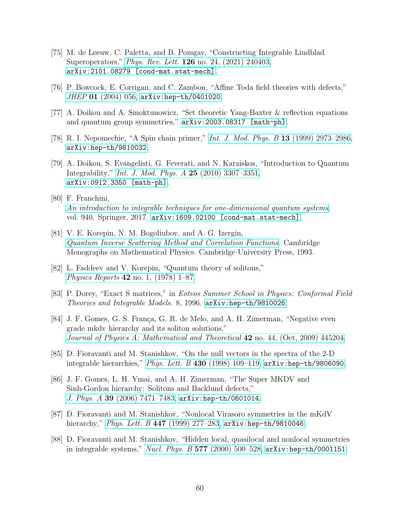- <span id="page-60-0"></span>[75] M. de Leeuw, C. Paletta, and B. Pozsgay, "Constructing Integrable Lindblad Superoperators," Phys. Rev. Lett. 126 [no. 24, \(2021\) 240403,](http://dx.doi.org/10.1103/PhysRevLett.126.240403) [arXiv:2101.08279 \[cond-mat.stat-mech\]](http://arxiv.org/abs/2101.08279).
- <span id="page-60-2"></span><span id="page-60-1"></span>[76] P. Bowcock, E. Corrigan, and C. Zambon, "Affine Toda field theories with defects," JHEP 01 [\(2004\) 056,](http://dx.doi.org/10.1088/1126-6708/2004/01/056) [arXiv:hep-th/0401020](http://arxiv.org/abs/hep-th/0401020).
- <span id="page-60-3"></span>[77] A. Doikou and A. Smoktunowicz, "Set theoretic Yang-Baxter & reflection equations and quantum group symmetries," [arXiv:2003.08317 \[math-ph\]](http://arxiv.org/abs/2003.08317).
- [78] R. I. Nepomechie, "A Spin chain primer," [Int. J. Mod. Phys. B](http://dx.doi.org/10.1142/S0217979299002800) 13 (1999) 2973–2986, [arXiv:hep-th/9810032](http://arxiv.org/abs/hep-th/9810032).
- [79] A. Doikou, S. Evangelisti, G. Feverati, and N. Karaiskos, "Introduction to Quantum Integrability," [Int. J. Mod. Phys. A](http://dx.doi.org/10.1142/S0217751X10049803) 25 (2010) 3307–3351, [arXiv:0912.3350 \[math-ph\]](http://arxiv.org/abs/0912.3350).
- [80] F. Franchini, [An introduction to integrable techniques for one-dimensional quantum systems](http://dx.doi.org/10.1007/978-3-319-48487-7), vol. 940. Springer, 2017. [arXiv:1609.02100 \[cond-mat.stat-mech\]](http://arxiv.org/abs/1609.02100).
- [81] V. E. Korepin, N. M. Bogoliubov, and A. G. Izergin, [Quantum Inverse Scattering Method and Correlation Functions](http://dx.doi.org/10.1017/CBO9780511628832). Cambridge Monographs on Mathematical Physics. Cambridge University Press, 1993.
- [82] L. Faddeev and V. Korepin, "Quantum theory of solitons," *Physics Reports* 42 [no. 1, \(1978\) 1–87.](http://dx.doi.org/https://doi.org/10.1016/0370-1573(78)90058-3)
- <span id="page-60-5"></span><span id="page-60-4"></span>[83] P. Dorey, "Exact S matrices," in Eotvos Summer School in Physics: Conformal Field Theories and Integrable Models. 8, 1996. [arXiv:hep-th/9810026](http://arxiv.org/abs/hep-th/9810026).
- [84] J. F. Gomes, G. S. França, G. R. de Melo, and A. H. Zimerman, "Negative even grade mkdv hierarchy and its soliton solutions," [Journal of Physics A: Mathematical and Theoretical](http://dx.doi.org/10.1088/1751-8113/42/44/445204) 42 no. 44, (Oct, 2009) 445204.
- <span id="page-60-6"></span>[85] D. Fioravanti and M. Stanishkov, "On the null vectors in the spectra of the 2-D integrable hierarchies," Phys. Lett. B 430 (1998) 109-119,  $arXiv:hep-th/9806090$ .
- <span id="page-60-7"></span>[86] J. F. Gomes, L. H. Ymai, and A. H. Zimerman, "The Super MKDV and Sinh-Gordon hierarchy: Solitons and Backlund defects," J. Phys. A 39 [\(2006\) 7471–7483,](http://dx.doi.org/10.1088/0305-4470/39/23/020) [arXiv:hep-th/0601014](http://arxiv.org/abs/hep-th/0601014).
- <span id="page-60-8"></span>[87] D. Fioravanti and M. Stanishkov, "Nonlocal Virasoro symmetries in the mKdV hierarchy," Phys. Lett. B 447 (1999) 277-283,  $arXiv:hep-th/9810046$ .
- [88] D. Fioravanti and M. Stanishkov, "Hidden local, quasilocal and nonlocal symmetries in integrable systems," Nucl. Phys. B  $577$  (2000) 500-528, [arXiv:hep-th/0001151](http://arxiv.org/abs/hep-th/0001151).